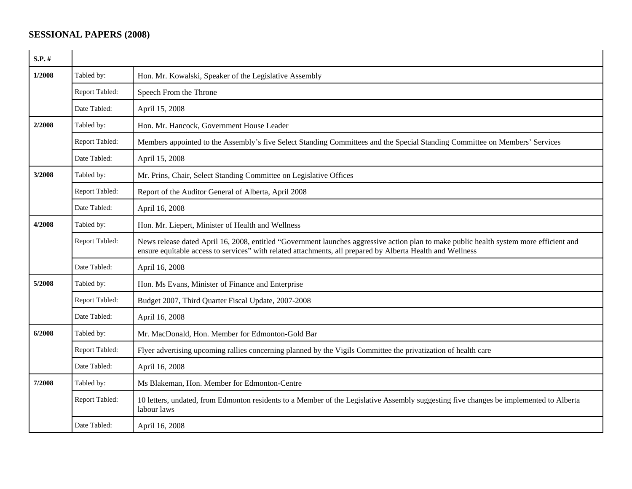## **SESSIONAL PAPERS (2008)**

| $S.P.$ # |                |                                                                                                                                                                                                                                                       |
|----------|----------------|-------------------------------------------------------------------------------------------------------------------------------------------------------------------------------------------------------------------------------------------------------|
| 1/2008   | Tabled by:     | Hon. Mr. Kowalski, Speaker of the Legislative Assembly                                                                                                                                                                                                |
|          | Report Tabled: | Speech From the Throne                                                                                                                                                                                                                                |
|          | Date Tabled:   | April 15, 2008                                                                                                                                                                                                                                        |
| 2/2008   | Tabled by:     | Hon. Mr. Hancock, Government House Leader                                                                                                                                                                                                             |
|          | Report Tabled: | Members appointed to the Assembly's five Select Standing Committees and the Special Standing Committee on Members' Services                                                                                                                           |
|          | Date Tabled:   | April 15, 2008                                                                                                                                                                                                                                        |
| 3/2008   | Tabled by:     | Mr. Prins, Chair, Select Standing Committee on Legislative Offices                                                                                                                                                                                    |
|          | Report Tabled: | Report of the Auditor General of Alberta, April 2008                                                                                                                                                                                                  |
|          | Date Tabled:   | April 16, 2008                                                                                                                                                                                                                                        |
| 4/2008   | Tabled by:     | Hon. Mr. Liepert, Minister of Health and Wellness                                                                                                                                                                                                     |
|          | Report Tabled: | News release dated April 16, 2008, entitled "Government launches aggressive action plan to make public health system more efficient and<br>ensure equitable access to services" with related attachments, all prepared by Alberta Health and Wellness |
|          | Date Tabled:   | April 16, 2008                                                                                                                                                                                                                                        |
| 5/2008   | Tabled by:     | Hon. Ms Evans, Minister of Finance and Enterprise                                                                                                                                                                                                     |
|          | Report Tabled: | Budget 2007, Third Quarter Fiscal Update, 2007-2008                                                                                                                                                                                                   |
|          | Date Tabled:   | April 16, 2008                                                                                                                                                                                                                                        |
| 6/2008   | Tabled by:     | Mr. MacDonald, Hon. Member for Edmonton-Gold Bar                                                                                                                                                                                                      |
|          | Report Tabled: | Flyer advertising upcoming rallies concerning planned by the Vigils Committee the privatization of health care                                                                                                                                        |
|          | Date Tabled:   | April 16, 2008                                                                                                                                                                                                                                        |
| 7/2008   | Tabled by:     | Ms Blakeman, Hon. Member for Edmonton-Centre                                                                                                                                                                                                          |
|          | Report Tabled: | 10 letters, undated, from Edmonton residents to a Member of the Legislative Assembly suggesting five changes be implemented to Alberta<br>labour laws                                                                                                 |
|          | Date Tabled:   | April 16, 2008                                                                                                                                                                                                                                        |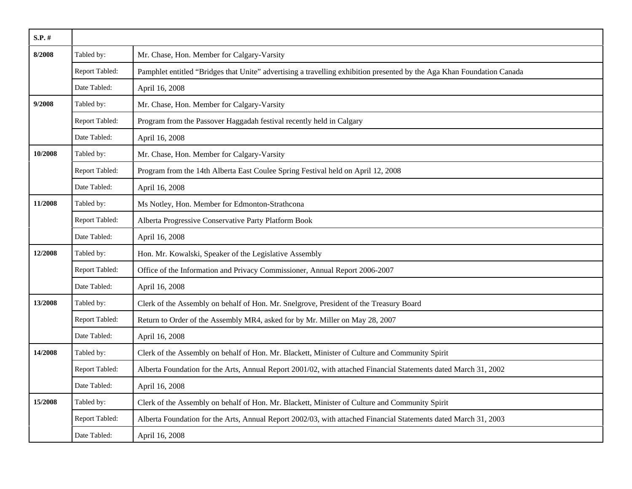| $S.P.$ # |                |                                                                                                                        |
|----------|----------------|------------------------------------------------------------------------------------------------------------------------|
| 8/2008   | Tabled by:     | Mr. Chase, Hon. Member for Calgary-Varsity                                                                             |
|          | Report Tabled: | Pamphlet entitled "Bridges that Unite" advertising a travelling exhibition presented by the Aga Khan Foundation Canada |
|          | Date Tabled:   | April 16, 2008                                                                                                         |
| 9/2008   | Tabled by:     | Mr. Chase, Hon. Member for Calgary-Varsity                                                                             |
|          | Report Tabled: | Program from the Passover Haggadah festival recently held in Calgary                                                   |
|          | Date Tabled:   | April 16, 2008                                                                                                         |
| 10/2008  | Tabled by:     | Mr. Chase, Hon. Member for Calgary-Varsity                                                                             |
|          | Report Tabled: | Program from the 14th Alberta East Coulee Spring Festival held on April 12, 2008                                       |
|          | Date Tabled:   | April 16, 2008                                                                                                         |
| 11/2008  | Tabled by:     | Ms Notley, Hon. Member for Edmonton-Strathcona                                                                         |
|          | Report Tabled: | Alberta Progressive Conservative Party Platform Book                                                                   |
|          | Date Tabled:   | April 16, 2008                                                                                                         |
| 12/2008  | Tabled by:     | Hon. Mr. Kowalski, Speaker of the Legislative Assembly                                                                 |
|          | Report Tabled: | Office of the Information and Privacy Commissioner, Annual Report 2006-2007                                            |
|          | Date Tabled:   | April 16, 2008                                                                                                         |
| 13/2008  | Tabled by:     | Clerk of the Assembly on behalf of Hon. Mr. Snelgrove, President of the Treasury Board                                 |
|          | Report Tabled: | Return to Order of the Assembly MR4, asked for by Mr. Miller on May 28, 2007                                           |
|          | Date Tabled:   | April 16, 2008                                                                                                         |
| 14/2008  | Tabled by:     | Clerk of the Assembly on behalf of Hon. Mr. Blackett, Minister of Culture and Community Spirit                         |
|          | Report Tabled: | Alberta Foundation for the Arts, Annual Report 2001/02, with attached Financial Statements dated March 31, 2002        |
|          | Date Tabled:   | April 16, 2008                                                                                                         |
| 15/2008  | Tabled by:     | Clerk of the Assembly on behalf of Hon. Mr. Blackett, Minister of Culture and Community Spirit                         |
|          | Report Tabled: | Alberta Foundation for the Arts, Annual Report 2002/03, with attached Financial Statements dated March 31, 2003        |
|          | Date Tabled:   | April 16, 2008                                                                                                         |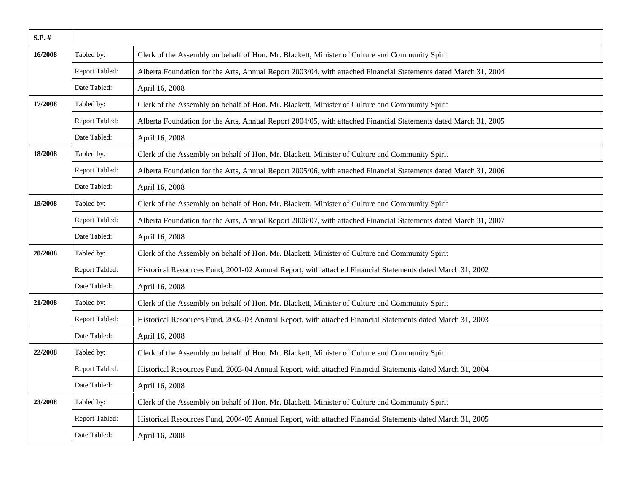| $S.P.$ # |                |                                                                                                                 |
|----------|----------------|-----------------------------------------------------------------------------------------------------------------|
| 16/2008  | Tabled by:     | Clerk of the Assembly on behalf of Hon. Mr. Blackett, Minister of Culture and Community Spirit                  |
|          | Report Tabled: | Alberta Foundation for the Arts, Annual Report 2003/04, with attached Financial Statements dated March 31, 2004 |
|          | Date Tabled:   | April 16, 2008                                                                                                  |
| 17/2008  | Tabled by:     | Clerk of the Assembly on behalf of Hon. Mr. Blackett, Minister of Culture and Community Spirit                  |
|          | Report Tabled: | Alberta Foundation for the Arts, Annual Report 2004/05, with attached Financial Statements dated March 31, 2005 |
|          | Date Tabled:   | April 16, 2008                                                                                                  |
| 18/2008  | Tabled by:     | Clerk of the Assembly on behalf of Hon. Mr. Blackett, Minister of Culture and Community Spirit                  |
|          | Report Tabled: | Alberta Foundation for the Arts, Annual Report 2005/06, with attached Financial Statements dated March 31, 2006 |
|          | Date Tabled:   | April 16, 2008                                                                                                  |
| 19/2008  | Tabled by:     | Clerk of the Assembly on behalf of Hon. Mr. Blackett, Minister of Culture and Community Spirit                  |
|          | Report Tabled: | Alberta Foundation for the Arts, Annual Report 2006/07, with attached Financial Statements dated March 31, 2007 |
|          | Date Tabled:   | April 16, 2008                                                                                                  |
| 20/2008  | Tabled by:     | Clerk of the Assembly on behalf of Hon. Mr. Blackett, Minister of Culture and Community Spirit                  |
|          | Report Tabled: | Historical Resources Fund, 2001-02 Annual Report, with attached Financial Statements dated March 31, 2002       |
|          | Date Tabled:   | April 16, 2008                                                                                                  |
| 21/2008  | Tabled by:     | Clerk of the Assembly on behalf of Hon. Mr. Blackett, Minister of Culture and Community Spirit                  |
|          | Report Tabled: | Historical Resources Fund, 2002-03 Annual Report, with attached Financial Statements dated March 31, 2003       |
|          | Date Tabled:   | April 16, 2008                                                                                                  |
| 22/2008  | Tabled by:     | Clerk of the Assembly on behalf of Hon. Mr. Blackett, Minister of Culture and Community Spirit                  |
|          | Report Tabled: | Historical Resources Fund, 2003-04 Annual Report, with attached Financial Statements dated March 31, 2004       |
|          | Date Tabled:   | April 16, 2008                                                                                                  |
| 23/2008  | Tabled by:     | Clerk of the Assembly on behalf of Hon. Mr. Blackett, Minister of Culture and Community Spirit                  |
|          | Report Tabled: | Historical Resources Fund, 2004-05 Annual Report, with attached Financial Statements dated March 31, 2005       |
|          | Date Tabled:   | April 16, 2008                                                                                                  |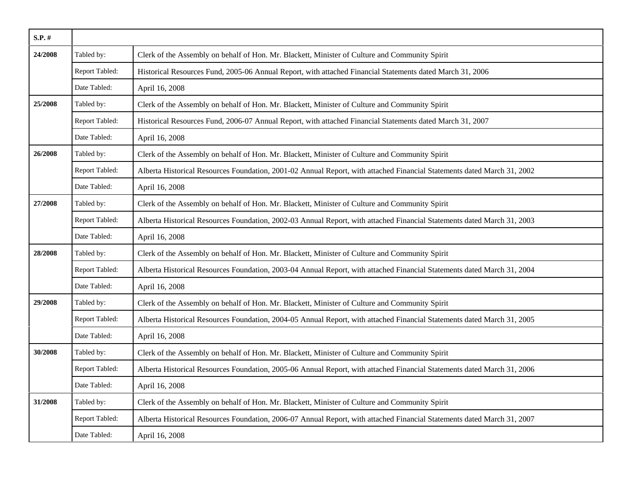| $S.P.$ # |                |                                                                                                                         |
|----------|----------------|-------------------------------------------------------------------------------------------------------------------------|
| 24/2008  | Tabled by:     | Clerk of the Assembly on behalf of Hon. Mr. Blackett, Minister of Culture and Community Spirit                          |
|          | Report Tabled: | Historical Resources Fund, 2005-06 Annual Report, with attached Financial Statements dated March 31, 2006               |
|          | Date Tabled:   | April 16, 2008                                                                                                          |
| 25/2008  | Tabled by:     | Clerk of the Assembly on behalf of Hon. Mr. Blackett, Minister of Culture and Community Spirit                          |
|          | Report Tabled: | Historical Resources Fund, 2006-07 Annual Report, with attached Financial Statements dated March 31, 2007               |
|          | Date Tabled:   | April 16, 2008                                                                                                          |
| 26/2008  | Tabled by:     | Clerk of the Assembly on behalf of Hon. Mr. Blackett, Minister of Culture and Community Spirit                          |
|          | Report Tabled: | Alberta Historical Resources Foundation, 2001-02 Annual Report, with attached Financial Statements dated March 31, 2002 |
|          | Date Tabled:   | April 16, 2008                                                                                                          |
| 27/2008  | Tabled by:     | Clerk of the Assembly on behalf of Hon. Mr. Blackett, Minister of Culture and Community Spirit                          |
|          | Report Tabled: | Alberta Historical Resources Foundation, 2002-03 Annual Report, with attached Financial Statements dated March 31, 2003 |
|          | Date Tabled:   | April 16, 2008                                                                                                          |
| 28/2008  | Tabled by:     | Clerk of the Assembly on behalf of Hon. Mr. Blackett, Minister of Culture and Community Spirit                          |
|          | Report Tabled: | Alberta Historical Resources Foundation, 2003-04 Annual Report, with attached Financial Statements dated March 31, 2004 |
|          | Date Tabled:   | April 16, 2008                                                                                                          |
| 29/2008  | Tabled by:     | Clerk of the Assembly on behalf of Hon. Mr. Blackett, Minister of Culture and Community Spirit                          |
|          | Report Tabled: | Alberta Historical Resources Foundation, 2004-05 Annual Report, with attached Financial Statements dated March 31, 2005 |
|          | Date Tabled:   | April 16, 2008                                                                                                          |
| 30/2008  | Tabled by:     | Clerk of the Assembly on behalf of Hon. Mr. Blackett, Minister of Culture and Community Spirit                          |
|          | Report Tabled: | Alberta Historical Resources Foundation, 2005-06 Annual Report, with attached Financial Statements dated March 31, 2006 |
|          | Date Tabled:   | April 16, 2008                                                                                                          |
| 31/2008  | Tabled by:     | Clerk of the Assembly on behalf of Hon. Mr. Blackett, Minister of Culture and Community Spirit                          |
|          | Report Tabled: | Alberta Historical Resources Foundation, 2006-07 Annual Report, with attached Financial Statements dated March 31, 2007 |
|          | Date Tabled:   | April 16, 2008                                                                                                          |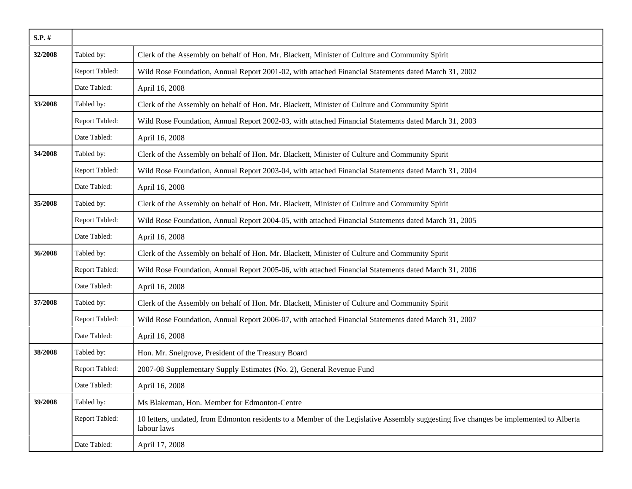| $S.P.$ # |                |                                                                                                                                                       |
|----------|----------------|-------------------------------------------------------------------------------------------------------------------------------------------------------|
| 32/2008  | Tabled by:     | Clerk of the Assembly on behalf of Hon. Mr. Blackett, Minister of Culture and Community Spirit                                                        |
|          | Report Tabled: | Wild Rose Foundation, Annual Report 2001-02, with attached Financial Statements dated March 31, 2002                                                  |
|          | Date Tabled:   | April 16, 2008                                                                                                                                        |
| 33/2008  | Tabled by:     | Clerk of the Assembly on behalf of Hon. Mr. Blackett, Minister of Culture and Community Spirit                                                        |
|          | Report Tabled: | Wild Rose Foundation, Annual Report 2002-03, with attached Financial Statements dated March 31, 2003                                                  |
|          | Date Tabled:   | April 16, 2008                                                                                                                                        |
| 34/2008  | Tabled by:     | Clerk of the Assembly on behalf of Hon. Mr. Blackett, Minister of Culture and Community Spirit                                                        |
|          | Report Tabled: | Wild Rose Foundation, Annual Report 2003-04, with attached Financial Statements dated March 31, 2004                                                  |
|          | Date Tabled:   | April 16, 2008                                                                                                                                        |
| 35/2008  | Tabled by:     | Clerk of the Assembly on behalf of Hon. Mr. Blackett, Minister of Culture and Community Spirit                                                        |
|          | Report Tabled: | Wild Rose Foundation, Annual Report 2004-05, with attached Financial Statements dated March 31, 2005                                                  |
|          | Date Tabled:   | April 16, 2008                                                                                                                                        |
| 36/2008  | Tabled by:     | Clerk of the Assembly on behalf of Hon. Mr. Blackett, Minister of Culture and Community Spirit                                                        |
|          | Report Tabled: | Wild Rose Foundation, Annual Report 2005-06, with attached Financial Statements dated March 31, 2006                                                  |
|          | Date Tabled:   | April 16, 2008                                                                                                                                        |
| 37/2008  | Tabled by:     | Clerk of the Assembly on behalf of Hon. Mr. Blackett, Minister of Culture and Community Spirit                                                        |
|          | Report Tabled: | Wild Rose Foundation, Annual Report 2006-07, with attached Financial Statements dated March 31, 2007                                                  |
|          | Date Tabled:   | April 16, 2008                                                                                                                                        |
| 38/2008  | Tabled by:     | Hon. Mr. Snelgrove, President of the Treasury Board                                                                                                   |
|          | Report Tabled: | 2007-08 Supplementary Supply Estimates (No. 2), General Revenue Fund                                                                                  |
|          | Date Tabled:   | April 16, 2008                                                                                                                                        |
| 39/2008  | Tabled by:     | Ms Blakeman, Hon. Member for Edmonton-Centre                                                                                                          |
|          | Report Tabled: | 10 letters, undated, from Edmonton residents to a Member of the Legislative Assembly suggesting five changes be implemented to Alberta<br>labour laws |
|          | Date Tabled:   | April 17, 2008                                                                                                                                        |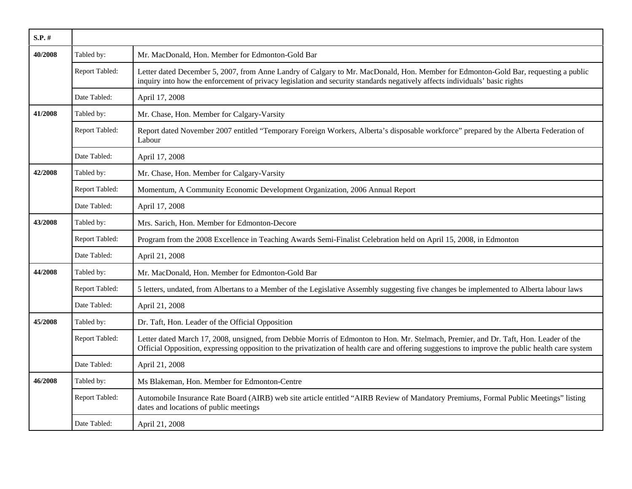| $S.P.$ #       |                |                                                                                                                                                                                                                                                                                           |
|----------------|----------------|-------------------------------------------------------------------------------------------------------------------------------------------------------------------------------------------------------------------------------------------------------------------------------------------|
| 40/2008        | Tabled by:     | Mr. MacDonald, Hon. Member for Edmonton-Gold Bar                                                                                                                                                                                                                                          |
|                | Report Tabled: | Letter dated December 5, 2007, from Anne Landry of Calgary to Mr. MacDonald, Hon. Member for Edmonton-Gold Bar, requesting a public<br>inquiry into how the enforcement of privacy legislation and security standards negatively affects individuals' basic rights                        |
|                | Date Tabled:   | April 17, 2008                                                                                                                                                                                                                                                                            |
| 41/2008        | Tabled by:     | Mr. Chase, Hon. Member for Calgary-Varsity                                                                                                                                                                                                                                                |
|                | Report Tabled: | Report dated November 2007 entitled "Temporary Foreign Workers, Alberta's disposable workforce" prepared by the Alberta Federation of<br>Labour                                                                                                                                           |
|                | Date Tabled:   | April 17, 2008                                                                                                                                                                                                                                                                            |
| 42/2008        | Tabled by:     | Mr. Chase, Hon. Member for Calgary-Varsity                                                                                                                                                                                                                                                |
|                | Report Tabled: | Momentum, A Community Economic Development Organization, 2006 Annual Report                                                                                                                                                                                                               |
|                | Date Tabled:   | April 17, 2008                                                                                                                                                                                                                                                                            |
| 43/2008        | Tabled by:     | Mrs. Sarich, Hon. Member for Edmonton-Decore                                                                                                                                                                                                                                              |
|                | Report Tabled: | Program from the 2008 Excellence in Teaching Awards Semi-Finalist Celebration held on April 15, 2008, in Edmonton                                                                                                                                                                         |
|                | Date Tabled:   | April 21, 2008                                                                                                                                                                                                                                                                            |
| 44/2008        | Tabled by:     | Mr. MacDonald, Hon. Member for Edmonton-Gold Bar                                                                                                                                                                                                                                          |
|                | Report Tabled: | 5 letters, undated, from Albertans to a Member of the Legislative Assembly suggesting five changes be implemented to Alberta labour laws                                                                                                                                                  |
|                | Date Tabled:   | April 21, 2008                                                                                                                                                                                                                                                                            |
| <b>45/2008</b> | Tabled by:     | Dr. Taft, Hon. Leader of the Official Opposition                                                                                                                                                                                                                                          |
|                | Report Tabled: | Letter dated March 17, 2008, unsigned, from Debbie Morris of Edmonton to Hon. Mr. Stelmach, Premier, and Dr. Taft, Hon. Leader of the<br>Official Opposition, expressing opposition to the privatization of health care and offering suggestions to improve the public health care system |
|                | Date Tabled:   | April 21, 2008                                                                                                                                                                                                                                                                            |
| 46/2008        | Tabled by:     | Ms Blakeman, Hon. Member for Edmonton-Centre                                                                                                                                                                                                                                              |
|                | Report Tabled: | Automobile Insurance Rate Board (AIRB) web site article entitled "AIRB Review of Mandatory Premiums, Formal Public Meetings" listing<br>dates and locations of public meetings                                                                                                            |
|                | Date Tabled:   | April 21, 2008                                                                                                                                                                                                                                                                            |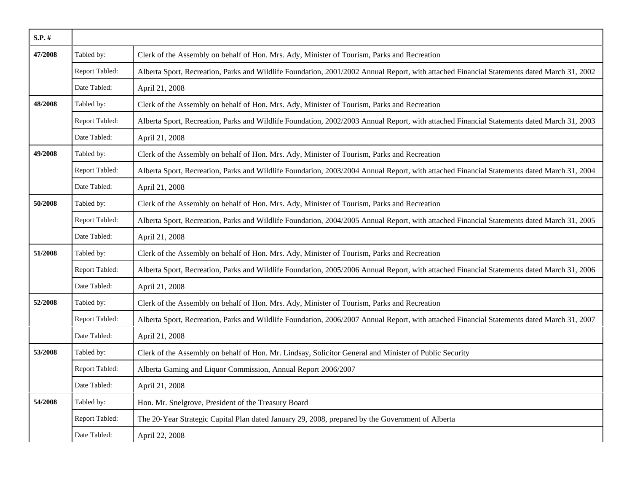| $S.P.$ # |                |                                                                                                                                            |
|----------|----------------|--------------------------------------------------------------------------------------------------------------------------------------------|
| 47/2008  | Tabled by:     | Clerk of the Assembly on behalf of Hon. Mrs. Ady, Minister of Tourism, Parks and Recreation                                                |
|          | Report Tabled: | Alberta Sport, Recreation, Parks and Wildlife Foundation, 2001/2002 Annual Report, with attached Financial Statements dated March 31, 2002 |
|          | Date Tabled:   | April 21, 2008                                                                                                                             |
| 48/2008  | Tabled by:     | Clerk of the Assembly on behalf of Hon. Mrs. Ady, Minister of Tourism, Parks and Recreation                                                |
|          | Report Tabled: | Alberta Sport, Recreation, Parks and Wildlife Foundation, 2002/2003 Annual Report, with attached Financial Statements dated March 31, 2003 |
|          | Date Tabled:   | April 21, 2008                                                                                                                             |
| 49/2008  | Tabled by:     | Clerk of the Assembly on behalf of Hon. Mrs. Ady, Minister of Tourism, Parks and Recreation                                                |
|          | Report Tabled: | Alberta Sport, Recreation, Parks and Wildlife Foundation, 2003/2004 Annual Report, with attached Financial Statements dated March 31, 2004 |
|          | Date Tabled:   | April 21, 2008                                                                                                                             |
| 50/2008  | Tabled by:     | Clerk of the Assembly on behalf of Hon. Mrs. Ady, Minister of Tourism, Parks and Recreation                                                |
|          | Report Tabled: | Alberta Sport, Recreation, Parks and Wildlife Foundation, 2004/2005 Annual Report, with attached Financial Statements dated March 31, 2005 |
|          | Date Tabled:   | April 21, 2008                                                                                                                             |
| 51/2008  | Tabled by:     | Clerk of the Assembly on behalf of Hon. Mrs. Ady, Minister of Tourism, Parks and Recreation                                                |
|          | Report Tabled: | Alberta Sport, Recreation, Parks and Wildlife Foundation, 2005/2006 Annual Report, with attached Financial Statements dated March 31, 2006 |
|          | Date Tabled:   | April 21, 2008                                                                                                                             |
| 52/2008  | Tabled by:     | Clerk of the Assembly on behalf of Hon. Mrs. Ady, Minister of Tourism, Parks and Recreation                                                |
|          | Report Tabled: | Alberta Sport, Recreation, Parks and Wildlife Foundation, 2006/2007 Annual Report, with attached Financial Statements dated March 31, 2007 |
|          | Date Tabled:   | April 21, 2008                                                                                                                             |
| 53/2008  | Tabled by:     | Clerk of the Assembly on behalf of Hon. Mr. Lindsay, Solicitor General and Minister of Public Security                                     |
|          | Report Tabled: | Alberta Gaming and Liquor Commission, Annual Report 2006/2007                                                                              |
|          | Date Tabled:   | April 21, 2008                                                                                                                             |
| 54/2008  | Tabled by:     | Hon. Mr. Snelgrove, President of the Treasury Board                                                                                        |
|          | Report Tabled: | The 20-Year Strategic Capital Plan dated January 29, 2008, prepared by the Government of Alberta                                           |
|          | Date Tabled:   | April 22, 2008                                                                                                                             |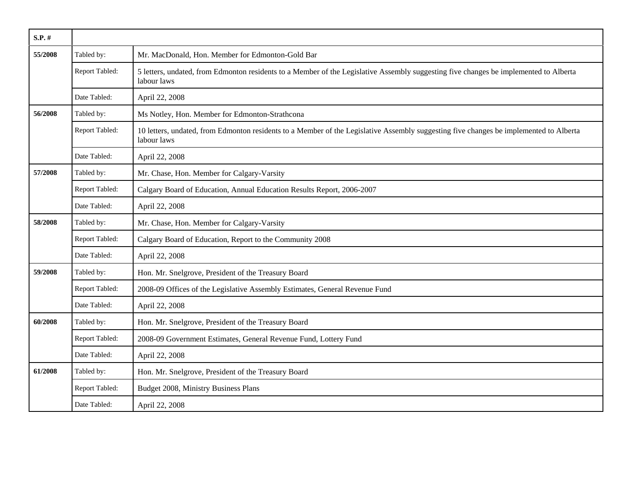| $S.P.$ # |                |                                                                                                                                                       |
|----------|----------------|-------------------------------------------------------------------------------------------------------------------------------------------------------|
| 55/2008  | Tabled by:     | Mr. MacDonald, Hon. Member for Edmonton-Gold Bar                                                                                                      |
|          | Report Tabled: | 5 letters, undated, from Edmonton residents to a Member of the Legislative Assembly suggesting five changes be implemented to Alberta<br>labour laws  |
|          | Date Tabled:   | April 22, 2008                                                                                                                                        |
| 56/2008  | Tabled by:     | Ms Notley, Hon. Member for Edmonton-Strathcona                                                                                                        |
|          | Report Tabled: | 10 letters, undated, from Edmonton residents to a Member of the Legislative Assembly suggesting five changes be implemented to Alberta<br>labour laws |
|          | Date Tabled:   | April 22, 2008                                                                                                                                        |
| 57/2008  | Tabled by:     | Mr. Chase, Hon. Member for Calgary-Varsity                                                                                                            |
|          | Report Tabled: | Calgary Board of Education, Annual Education Results Report, 2006-2007                                                                                |
|          | Date Tabled:   | April 22, 2008                                                                                                                                        |
| 58/2008  | Tabled by:     | Mr. Chase, Hon. Member for Calgary-Varsity                                                                                                            |
|          | Report Tabled: | Calgary Board of Education, Report to the Community 2008                                                                                              |
|          | Date Tabled:   | April 22, 2008                                                                                                                                        |
| 59/2008  | Tabled by:     | Hon. Mr. Snelgrove, President of the Treasury Board                                                                                                   |
|          | Report Tabled: | 2008-09 Offices of the Legislative Assembly Estimates, General Revenue Fund                                                                           |
|          | Date Tabled:   | April 22, 2008                                                                                                                                        |
| 60/2008  | Tabled by:     | Hon. Mr. Snelgrove, President of the Treasury Board                                                                                                   |
|          | Report Tabled: | 2008-09 Government Estimates, General Revenue Fund, Lottery Fund                                                                                      |
|          | Date Tabled:   | April 22, 2008                                                                                                                                        |
| 61/2008  | Tabled by:     | Hon. Mr. Snelgrove, President of the Treasury Board                                                                                                   |
|          | Report Tabled: | Budget 2008, Ministry Business Plans                                                                                                                  |
|          | Date Tabled:   | April 22, 2008                                                                                                                                        |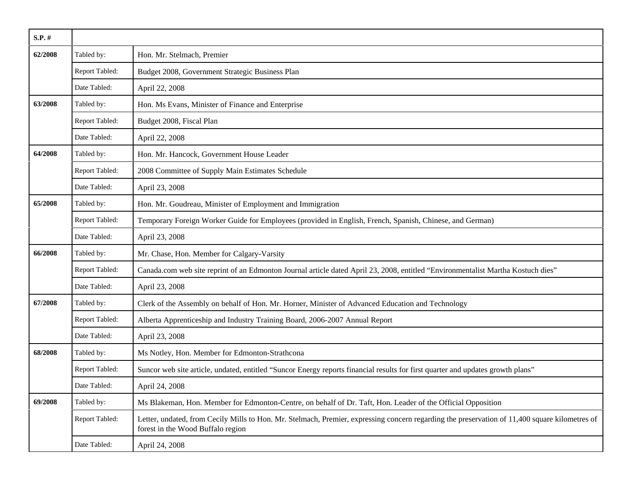| $S.P.$ # |                |                                                                                                                                                                                     |
|----------|----------------|-------------------------------------------------------------------------------------------------------------------------------------------------------------------------------------|
| 62/2008  | Tabled by:     | Hon. Mr. Stelmach, Premier                                                                                                                                                          |
|          | Report Tabled: | Budget 2008, Government Strategic Business Plan                                                                                                                                     |
|          | Date Tabled:   | April 22, 2008                                                                                                                                                                      |
| 63/2008  | Tabled by:     | Hon. Ms Evans, Minister of Finance and Enterprise                                                                                                                                   |
|          | Report Tabled: | Budget 2008, Fiscal Plan                                                                                                                                                            |
|          | Date Tabled:   | April 22, 2008                                                                                                                                                                      |
| 64/2008  | Tabled by:     | Hon. Mr. Hancock, Government House Leader                                                                                                                                           |
|          | Report Tabled: | 2008 Committee of Supply Main Estimates Schedule                                                                                                                                    |
|          | Date Tabled:   | April 23, 2008                                                                                                                                                                      |
| 65/2008  | Tabled by:     | Hon. Mr. Goudreau, Minister of Employment and Immigration                                                                                                                           |
|          | Report Tabled: | Temporary Foreign Worker Guide for Employees (provided in English, French, Spanish, Chinese, and German)                                                                            |
|          | Date Tabled:   | April 23, 2008                                                                                                                                                                      |
| 66/2008  | Tabled by:     | Mr. Chase, Hon. Member for Calgary-Varsity                                                                                                                                          |
|          | Report Tabled: | Canada.com web site reprint of an Edmonton Journal article dated April 23, 2008, entitled "Environmentalist Martha Kostuch dies"                                                    |
|          | Date Tabled:   | April 23, 2008                                                                                                                                                                      |
| 67/2008  | Tabled by:     | Clerk of the Assembly on behalf of Hon. Mr. Horner, Minister of Advanced Education and Technology                                                                                   |
|          | Report Tabled: | Alberta Apprenticeship and Industry Training Board, 2006-2007 Annual Report                                                                                                         |
|          | Date Tabled:   | April 23, 2008                                                                                                                                                                      |
| 68/2008  | Tabled by:     | Ms Notley, Hon. Member for Edmonton-Strathcona                                                                                                                                      |
|          | Report Tabled: | Suncor web site article, undated, entitled "Suncor Energy reports financial results for first quarter and updates growth plans"                                                     |
|          | Date Tabled:   | April 24, 2008                                                                                                                                                                      |
| 69/2008  | Tabled by:     | Ms Blakeman, Hon. Member for Edmonton-Centre, on behalf of Dr. Taft, Hon. Leader of the Official Opposition                                                                         |
|          | Report Tabled: | Letter, undated, from Cecily Mills to Hon. Mr. Stelmach, Premier, expressing concern regarding the preservation of 11,400 square kilometres of<br>forest in the Wood Buffalo region |
|          | Date Tabled:   | April 24, 2008                                                                                                                                                                      |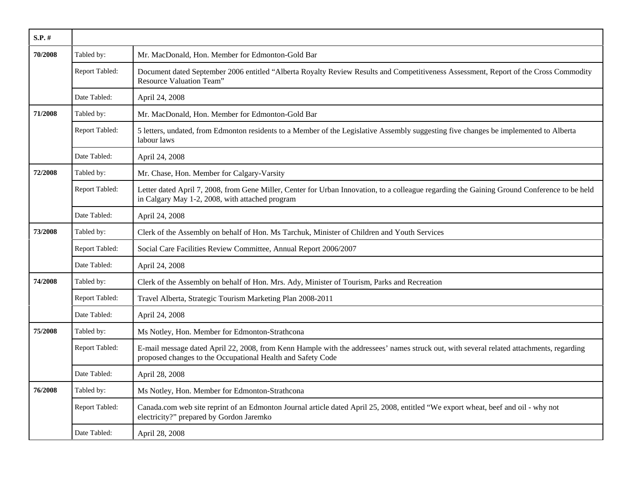| $S.P.$ # |                |                                                                                                                                                                                                         |
|----------|----------------|---------------------------------------------------------------------------------------------------------------------------------------------------------------------------------------------------------|
| 70/2008  | Tabled by:     | Mr. MacDonald, Hon. Member for Edmonton-Gold Bar                                                                                                                                                        |
|          | Report Tabled: | Document dated September 2006 entitled "Alberta Royalty Review Results and Competitiveness Assessment, Report of the Cross Commodity<br>Resource Valuation Team"                                        |
|          | Date Tabled:   | April 24, 2008                                                                                                                                                                                          |
| 71/2008  | Tabled by:     | Mr. MacDonald, Hon. Member for Edmonton-Gold Bar                                                                                                                                                        |
|          | Report Tabled: | 5 letters, undated, from Edmonton residents to a Member of the Legislative Assembly suggesting five changes be implemented to Alberta<br>labour laws                                                    |
|          | Date Tabled:   | April 24, 2008                                                                                                                                                                                          |
| 72/2008  | Tabled by:     | Mr. Chase, Hon. Member for Calgary-Varsity                                                                                                                                                              |
|          | Report Tabled: | Letter dated April 7, 2008, from Gene Miller, Center for Urban Innovation, to a colleague regarding the Gaining Ground Conference to be held<br>in Calgary May 1-2, 2008, with attached program         |
|          | Date Tabled:   | April 24, 2008                                                                                                                                                                                          |
| 73/2008  | Tabled by:     | Clerk of the Assembly on behalf of Hon. Ms Tarchuk, Minister of Children and Youth Services                                                                                                             |
|          | Report Tabled: | Social Care Facilities Review Committee, Annual Report 2006/2007                                                                                                                                        |
|          | Date Tabled:   | April 24, 2008                                                                                                                                                                                          |
| 74/2008  | Tabled by:     | Clerk of the Assembly on behalf of Hon. Mrs. Ady, Minister of Tourism, Parks and Recreation                                                                                                             |
|          | Report Tabled: | Travel Alberta, Strategic Tourism Marketing Plan 2008-2011                                                                                                                                              |
|          | Date Tabled:   | April 24, 2008                                                                                                                                                                                          |
| 75/2008  | Tabled by:     | Ms Notley, Hon. Member for Edmonton-Strathcona                                                                                                                                                          |
|          | Report Tabled: | E-mail message dated April 22, 2008, from Kenn Hample with the addressees' names struck out, with several related attachments, regarding<br>proposed changes to the Occupational Health and Safety Code |
|          | Date Tabled:   | April 28, 2008                                                                                                                                                                                          |
| 76/2008  | Tabled by:     | Ms Notley, Hon. Member for Edmonton-Strathcona                                                                                                                                                          |
|          | Report Tabled: | Canada.com web site reprint of an Edmonton Journal article dated April 25, 2008, entitled "We export wheat, beef and oil - why not<br>electricity?" prepared by Gordon Jaremko                          |
|          | Date Tabled:   | April 28, 2008                                                                                                                                                                                          |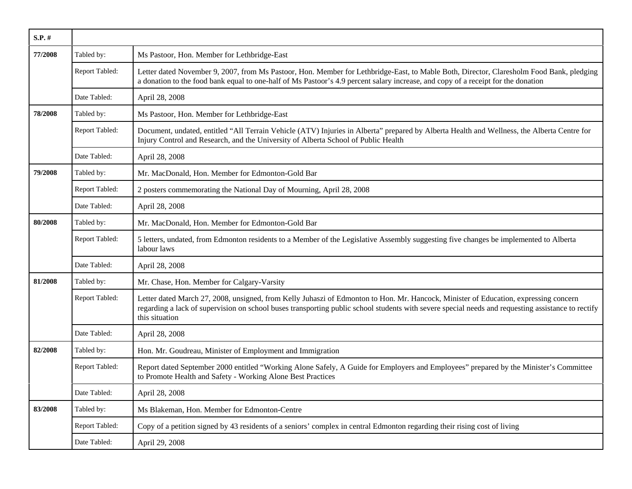| $S.P.$ # |                |                                                                                                                                                                                                                                                                                                              |
|----------|----------------|--------------------------------------------------------------------------------------------------------------------------------------------------------------------------------------------------------------------------------------------------------------------------------------------------------------|
| 77/2008  | Tabled by:     | Ms Pastoor, Hon. Member for Lethbridge-East                                                                                                                                                                                                                                                                  |
|          | Report Tabled: | Letter dated November 9, 2007, from Ms Pastoor, Hon. Member for Lethbridge-East, to Mable Both, Director, Claresholm Food Bank, pledging<br>a donation to the food bank equal to one-half of Ms Pastoor's 4.9 percent salary increase, and copy of a receipt for the donation                                |
|          | Date Tabled:   | April 28, 2008                                                                                                                                                                                                                                                                                               |
| 78/2008  | Tabled by:     | Ms Pastoor, Hon. Member for Lethbridge-East                                                                                                                                                                                                                                                                  |
|          | Report Tabled: | Document, undated, entitled "All Terrain Vehicle (ATV) Injuries in Alberta" prepared by Alberta Health and Wellness, the Alberta Centre for<br>Injury Control and Research, and the University of Alberta School of Public Health                                                                            |
|          | Date Tabled:   | April 28, 2008                                                                                                                                                                                                                                                                                               |
| 79/2008  | Tabled by:     | Mr. MacDonald, Hon. Member for Edmonton-Gold Bar                                                                                                                                                                                                                                                             |
|          | Report Tabled: | 2 posters commemorating the National Day of Mourning, April 28, 2008                                                                                                                                                                                                                                         |
|          | Date Tabled:   | April 28, 2008                                                                                                                                                                                                                                                                                               |
| 80/2008  | Tabled by:     | Mr. MacDonald, Hon. Member for Edmonton-Gold Bar                                                                                                                                                                                                                                                             |
|          | Report Tabled: | 5 letters, undated, from Edmonton residents to a Member of the Legislative Assembly suggesting five changes be implemented to Alberta<br>labour laws                                                                                                                                                         |
|          | Date Tabled:   | April 28, 2008                                                                                                                                                                                                                                                                                               |
| 81/2008  | Tabled by:     | Mr. Chase, Hon. Member for Calgary-Varsity                                                                                                                                                                                                                                                                   |
|          | Report Tabled: | Letter dated March 27, 2008, unsigned, from Kelly Juhaszi of Edmonton to Hon. Mr. Hancock, Minister of Education, expressing concern<br>regarding a lack of supervision on school buses transporting public school students with severe special needs and requesting assistance to rectify<br>this situation |
|          | Date Tabled:   | April 28, 2008                                                                                                                                                                                                                                                                                               |
| 82/2008  | Tabled by:     | Hon. Mr. Goudreau, Minister of Employment and Immigration                                                                                                                                                                                                                                                    |
|          | Report Tabled: | Report dated September 2000 entitled "Working Alone Safely, A Guide for Employers and Employees" prepared by the Minister's Committee<br>to Promote Health and Safety - Working Alone Best Practices                                                                                                         |
|          | Date Tabled:   | April 28, 2008                                                                                                                                                                                                                                                                                               |
| 83/2008  | Tabled by:     | Ms Blakeman, Hon. Member for Edmonton-Centre                                                                                                                                                                                                                                                                 |
|          | Report Tabled: | Copy of a petition signed by 43 residents of a seniors' complex in central Edmonton regarding their rising cost of living                                                                                                                                                                                    |
|          | Date Tabled:   | April 29, 2008                                                                                                                                                                                                                                                                                               |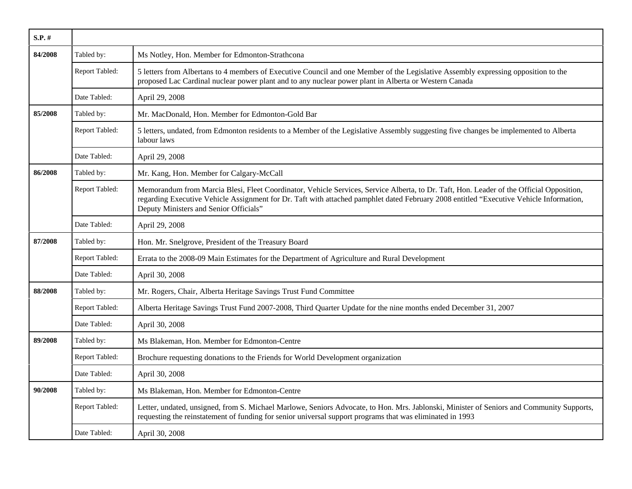| $S.P.$ # |                |                                                                                                                                                                                                                                                                                                                               |
|----------|----------------|-------------------------------------------------------------------------------------------------------------------------------------------------------------------------------------------------------------------------------------------------------------------------------------------------------------------------------|
| 84/2008  | Tabled by:     | Ms Notley, Hon. Member for Edmonton-Strathcona                                                                                                                                                                                                                                                                                |
|          | Report Tabled: | 5 letters from Albertans to 4 members of Executive Council and one Member of the Legislative Assembly expressing opposition to the<br>proposed Lac Cardinal nuclear power plant and to any nuclear power plant in Alberta or Western Canada                                                                                   |
|          | Date Tabled:   | April 29, 2008                                                                                                                                                                                                                                                                                                                |
| 85/2008  | Tabled by:     | Mr. MacDonald, Hon. Member for Edmonton-Gold Bar                                                                                                                                                                                                                                                                              |
|          | Report Tabled: | 5 letters, undated, from Edmonton residents to a Member of the Legislative Assembly suggesting five changes be implemented to Alberta<br>labour laws                                                                                                                                                                          |
|          | Date Tabled:   | April 29, 2008                                                                                                                                                                                                                                                                                                                |
| 86/2008  | Tabled by:     | Mr. Kang, Hon. Member for Calgary-McCall                                                                                                                                                                                                                                                                                      |
|          | Report Tabled: | Memorandum from Marcia Blesi, Fleet Coordinator, Vehicle Services, Service Alberta, to Dr. Taft, Hon. Leader of the Official Opposition,<br>regarding Executive Vehicle Assignment for Dr. Taft with attached pamphlet dated February 2008 entitled "Executive Vehicle Information,<br>Deputy Ministers and Senior Officials" |
|          | Date Tabled:   | April 29, 2008                                                                                                                                                                                                                                                                                                                |
| 87/2008  | Tabled by:     | Hon. Mr. Snelgrove, President of the Treasury Board                                                                                                                                                                                                                                                                           |
|          | Report Tabled: | Errata to the 2008-09 Main Estimates for the Department of Agriculture and Rural Development                                                                                                                                                                                                                                  |
|          | Date Tabled:   | April 30, 2008                                                                                                                                                                                                                                                                                                                |
| 88/2008  | Tabled by:     | Mr. Rogers, Chair, Alberta Heritage Savings Trust Fund Committee                                                                                                                                                                                                                                                              |
|          | Report Tabled: | Alberta Heritage Savings Trust Fund 2007-2008, Third Quarter Update for the nine months ended December 31, 2007                                                                                                                                                                                                               |
|          | Date Tabled:   | April 30, 2008                                                                                                                                                                                                                                                                                                                |
| 89/2008  | Tabled by:     | Ms Blakeman, Hon. Member for Edmonton-Centre                                                                                                                                                                                                                                                                                  |
|          | Report Tabled: | Brochure requesting donations to the Friends for World Development organization                                                                                                                                                                                                                                               |
|          | Date Tabled:   | April 30, 2008                                                                                                                                                                                                                                                                                                                |
| 90/2008  | Tabled by:     | Ms Blakeman, Hon. Member for Edmonton-Centre                                                                                                                                                                                                                                                                                  |
|          | Report Tabled: | Letter, undated, unsigned, from S. Michael Marlowe, Seniors Advocate, to Hon. Mrs. Jablonski, Minister of Seniors and Community Supports,<br>requesting the reinstatement of funding for senior universal support programs that was eliminated in 1993                                                                        |
|          | Date Tabled:   | April 30, 2008                                                                                                                                                                                                                                                                                                                |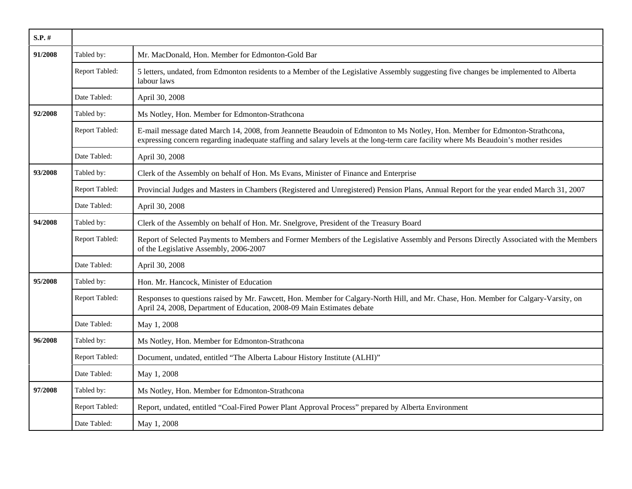| $S.P.$ # |                |                                                                                                                                                                                                                                                                     |
|----------|----------------|---------------------------------------------------------------------------------------------------------------------------------------------------------------------------------------------------------------------------------------------------------------------|
| 91/2008  | Tabled by:     | Mr. MacDonald, Hon. Member for Edmonton-Gold Bar                                                                                                                                                                                                                    |
|          | Report Tabled: | 5 letters, undated, from Edmonton residents to a Member of the Legislative Assembly suggesting five changes be implemented to Alberta<br>labour laws                                                                                                                |
|          | Date Tabled:   | April 30, 2008                                                                                                                                                                                                                                                      |
| 92/2008  | Tabled by:     | Ms Notley, Hon. Member for Edmonton-Strathcona                                                                                                                                                                                                                      |
|          | Report Tabled: | E-mail message dated March 14, 2008, from Jeannette Beaudoin of Edmonton to Ms Notley, Hon. Member for Edmonton-Strathcona,<br>expressing concern regarding inadequate staffing and salary levels at the long-term care facility where Ms Beaudoin's mother resides |
|          | Date Tabled:   | April 30, 2008                                                                                                                                                                                                                                                      |
| 93/2008  | Tabled by:     | Clerk of the Assembly on behalf of Hon. Ms Evans, Minister of Finance and Enterprise                                                                                                                                                                                |
|          | Report Tabled: | Provincial Judges and Masters in Chambers (Registered and Unregistered) Pension Plans, Annual Report for the year ended March 31, 2007                                                                                                                              |
|          | Date Tabled:   | April 30, 2008                                                                                                                                                                                                                                                      |
| 94/2008  | Tabled by:     | Clerk of the Assembly on behalf of Hon. Mr. Snelgrove, President of the Treasury Board                                                                                                                                                                              |
|          | Report Tabled: | Report of Selected Payments to Members and Former Members of the Legislative Assembly and Persons Directly Associated with the Members<br>of the Legislative Assembly, 2006-2007                                                                                    |
|          | Date Tabled:   | April 30, 2008                                                                                                                                                                                                                                                      |
| 95/2008  | Tabled by:     | Hon. Mr. Hancock, Minister of Education                                                                                                                                                                                                                             |
|          | Report Tabled: | Responses to questions raised by Mr. Fawcett, Hon. Member for Calgary-North Hill, and Mr. Chase, Hon. Member for Calgary-Varsity, on<br>April 24, 2008, Department of Education, 2008-09 Main Estimates debate                                                      |
|          | Date Tabled:   | May 1, 2008                                                                                                                                                                                                                                                         |
| 96/2008  | Tabled by:     | Ms Notley, Hon. Member for Edmonton-Strathcona                                                                                                                                                                                                                      |
|          | Report Tabled: | Document, undated, entitled "The Alberta Labour History Institute (ALHI)"                                                                                                                                                                                           |
|          | Date Tabled:   | May 1, 2008                                                                                                                                                                                                                                                         |
| 97/2008  | Tabled by:     | Ms Notley, Hon. Member for Edmonton-Strathcona                                                                                                                                                                                                                      |
|          | Report Tabled: | Report, undated, entitled "Coal-Fired Power Plant Approval Process" prepared by Alberta Environment                                                                                                                                                                 |
|          | Date Tabled:   | May 1, 2008                                                                                                                                                                                                                                                         |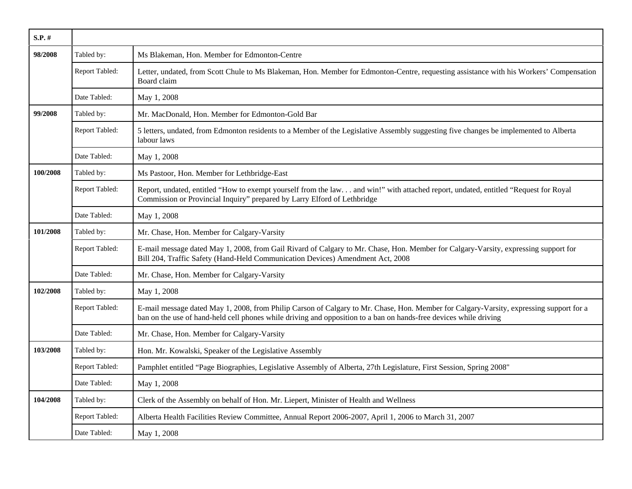| $S.P.$ # |                |                                                                                                                                                                                                                                                              |
|----------|----------------|--------------------------------------------------------------------------------------------------------------------------------------------------------------------------------------------------------------------------------------------------------------|
| 98/2008  | Tabled by:     | Ms Blakeman, Hon. Member for Edmonton-Centre                                                                                                                                                                                                                 |
|          | Report Tabled: | Letter, undated, from Scott Chule to Ms Blakeman, Hon. Member for Edmonton-Centre, requesting assistance with his Workers' Compensation<br>Board claim                                                                                                       |
|          | Date Tabled:   | May 1, 2008                                                                                                                                                                                                                                                  |
| 99/2008  | Tabled by:     | Mr. MacDonald, Hon. Member for Edmonton-Gold Bar                                                                                                                                                                                                             |
|          | Report Tabled: | 5 letters, undated, from Edmonton residents to a Member of the Legislative Assembly suggesting five changes be implemented to Alberta<br>labour laws                                                                                                         |
|          | Date Tabled:   | May 1, 2008                                                                                                                                                                                                                                                  |
| 100/2008 | Tabled by:     | Ms Pastoor, Hon. Member for Lethbridge-East                                                                                                                                                                                                                  |
|          | Report Tabled: | Report, undated, entitled "How to exempt yourself from the law and win!" with attached report, undated, entitled "Request for Royal<br>Commission or Provincial Inquiry" prepared by Larry Elford of Lethbridge                                              |
|          | Date Tabled:   | May 1, 2008                                                                                                                                                                                                                                                  |
| 101/2008 | Tabled by:     | Mr. Chase, Hon. Member for Calgary-Varsity                                                                                                                                                                                                                   |
|          | Report Tabled: | E-mail message dated May 1, 2008, from Gail Rivard of Calgary to Mr. Chase, Hon. Member for Calgary-Varsity, expressing support for<br>Bill 204, Traffic Safety (Hand-Held Communication Devices) Amendment Act, 2008                                        |
|          | Date Tabled:   | Mr. Chase, Hon. Member for Calgary-Varsity                                                                                                                                                                                                                   |
| 102/2008 | Tabled by:     | May 1, 2008                                                                                                                                                                                                                                                  |
|          | Report Tabled: | E-mail message dated May 1, 2008, from Philip Carson of Calgary to Mr. Chase, Hon. Member for Calgary-Varsity, expressing support for a<br>ban on the use of hand-held cell phones while driving and opposition to a ban on hands-free devices while driving |
|          | Date Tabled:   | Mr. Chase, Hon. Member for Calgary-Varsity                                                                                                                                                                                                                   |
| 103/2008 | Tabled by:     | Hon. Mr. Kowalski, Speaker of the Legislative Assembly                                                                                                                                                                                                       |
|          | Report Tabled: | Pamphlet entitled "Page Biographies, Legislative Assembly of Alberta, 27th Legislature, First Session, Spring 2008"                                                                                                                                          |
|          | Date Tabled:   | May 1, 2008                                                                                                                                                                                                                                                  |
| 104/2008 | Tabled by:     | Clerk of the Assembly on behalf of Hon. Mr. Liepert, Minister of Health and Wellness                                                                                                                                                                         |
|          | Report Tabled: | Alberta Health Facilities Review Committee, Annual Report 2006-2007, April 1, 2006 to March 31, 2007                                                                                                                                                         |
|          | Date Tabled:   | May 1, 2008                                                                                                                                                                                                                                                  |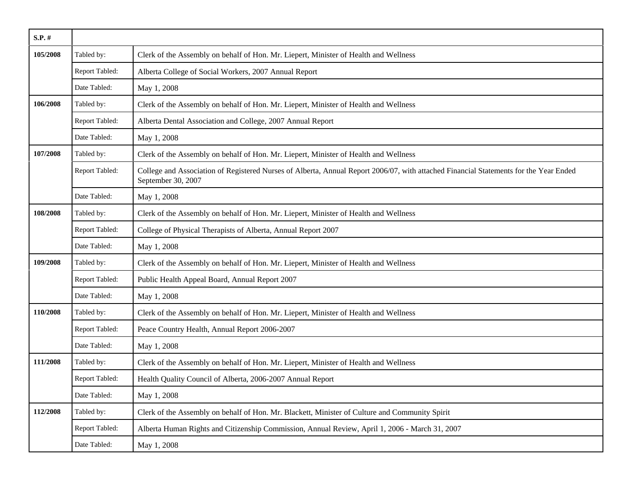| $S.P.$ # |                |                                                                                                                                                             |
|----------|----------------|-------------------------------------------------------------------------------------------------------------------------------------------------------------|
| 105/2008 | Tabled by:     | Clerk of the Assembly on behalf of Hon. Mr. Liepert, Minister of Health and Wellness                                                                        |
|          | Report Tabled: | Alberta College of Social Workers, 2007 Annual Report                                                                                                       |
|          | Date Tabled:   | May 1, 2008                                                                                                                                                 |
| 106/2008 | Tabled by:     | Clerk of the Assembly on behalf of Hon. Mr. Liepert, Minister of Health and Wellness                                                                        |
|          | Report Tabled: | Alberta Dental Association and College, 2007 Annual Report                                                                                                  |
|          | Date Tabled:   | May 1, 2008                                                                                                                                                 |
| 107/2008 | Tabled by:     | Clerk of the Assembly on behalf of Hon. Mr. Liepert, Minister of Health and Wellness                                                                        |
|          | Report Tabled: | College and Association of Registered Nurses of Alberta, Annual Report 2006/07, with attached Financial Statements for the Year Ended<br>September 30, 2007 |
|          | Date Tabled:   | May 1, 2008                                                                                                                                                 |
| 108/2008 | Tabled by:     | Clerk of the Assembly on behalf of Hon. Mr. Liepert, Minister of Health and Wellness                                                                        |
|          | Report Tabled: | College of Physical Therapists of Alberta, Annual Report 2007                                                                                               |
|          | Date Tabled:   | May 1, 2008                                                                                                                                                 |
| 109/2008 | Tabled by:     | Clerk of the Assembly on behalf of Hon. Mr. Liepert, Minister of Health and Wellness                                                                        |
|          | Report Tabled: | Public Health Appeal Board, Annual Report 2007                                                                                                              |
|          | Date Tabled:   | May 1, 2008                                                                                                                                                 |
| 110/2008 | Tabled by:     | Clerk of the Assembly on behalf of Hon. Mr. Liepert, Minister of Health and Wellness                                                                        |
|          | Report Tabled: | Peace Country Health, Annual Report 2006-2007                                                                                                               |
|          | Date Tabled:   | May 1, 2008                                                                                                                                                 |
| 111/2008 | Tabled by:     | Clerk of the Assembly on behalf of Hon. Mr. Liepert, Minister of Health and Wellness                                                                        |
|          | Report Tabled: | Health Quality Council of Alberta, 2006-2007 Annual Report                                                                                                  |
|          | Date Tabled:   | May 1, 2008                                                                                                                                                 |
| 112/2008 | Tabled by:     | Clerk of the Assembly on behalf of Hon. Mr. Blackett, Minister of Culture and Community Spirit                                                              |
|          | Report Tabled: | Alberta Human Rights and Citizenship Commission, Annual Review, April 1, 2006 - March 31, 2007                                                              |
|          | Date Tabled:   | May 1, 2008                                                                                                                                                 |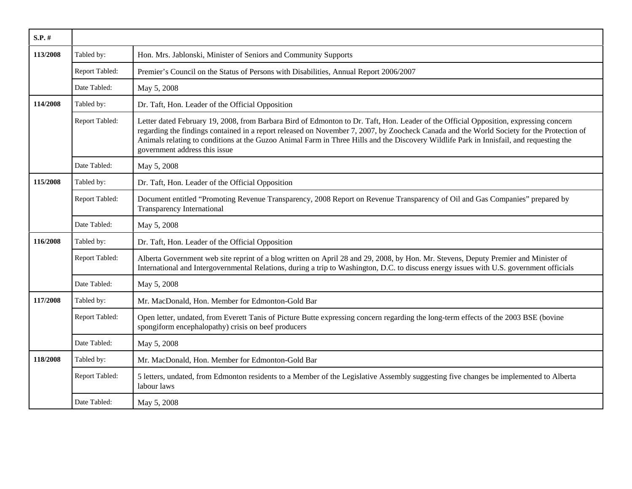| $S.P.$ # |                |                                                                                                                                                                                                                                                                                                                                                                                                                                                                |
|----------|----------------|----------------------------------------------------------------------------------------------------------------------------------------------------------------------------------------------------------------------------------------------------------------------------------------------------------------------------------------------------------------------------------------------------------------------------------------------------------------|
| 113/2008 | Tabled by:     | Hon. Mrs. Jablonski, Minister of Seniors and Community Supports                                                                                                                                                                                                                                                                                                                                                                                                |
|          | Report Tabled: | Premier's Council on the Status of Persons with Disabilities, Annual Report 2006/2007                                                                                                                                                                                                                                                                                                                                                                          |
|          | Date Tabled:   | May 5, 2008                                                                                                                                                                                                                                                                                                                                                                                                                                                    |
| 114/2008 | Tabled by:     | Dr. Taft, Hon. Leader of the Official Opposition                                                                                                                                                                                                                                                                                                                                                                                                               |
|          | Report Tabled: | Letter dated February 19, 2008, from Barbara Bird of Edmonton to Dr. Taft, Hon. Leader of the Official Opposition, expressing concern<br>regarding the findings contained in a report released on November 7, 2007, by Zoocheck Canada and the World Society for the Protection of<br>Animals relating to conditions at the Guzoo Animal Farm in Three Hills and the Discovery Wildlife Park in Innisfail, and requesting the<br>government address this issue |
|          | Date Tabled:   | May 5, 2008                                                                                                                                                                                                                                                                                                                                                                                                                                                    |
| 115/2008 | Tabled by:     | Dr. Taft, Hon. Leader of the Official Opposition                                                                                                                                                                                                                                                                                                                                                                                                               |
|          | Report Tabled: | Document entitled "Promoting Revenue Transparency, 2008 Report on Revenue Transparency of Oil and Gas Companies" prepared by<br><b>Transparency International</b>                                                                                                                                                                                                                                                                                              |
|          | Date Tabled:   | May 5, 2008                                                                                                                                                                                                                                                                                                                                                                                                                                                    |
| 116/2008 | Tabled by:     | Dr. Taft, Hon. Leader of the Official Opposition                                                                                                                                                                                                                                                                                                                                                                                                               |
|          | Report Tabled: | Alberta Government web site reprint of a blog written on April 28 and 29, 2008, by Hon. Mr. Stevens, Deputy Premier and Minister of<br>International and Intergovernmental Relations, during a trip to Washington, D.C. to discuss energy issues with U.S. government officials                                                                                                                                                                                |
|          | Date Tabled:   | May 5, 2008                                                                                                                                                                                                                                                                                                                                                                                                                                                    |
| 117/2008 | Tabled by:     | Mr. MacDonald, Hon. Member for Edmonton-Gold Bar                                                                                                                                                                                                                                                                                                                                                                                                               |
|          | Report Tabled: | Open letter, undated, from Everett Tanis of Picture Butte expressing concern regarding the long-term effects of the 2003 BSE (bovine<br>spongiform encephalopathy) crisis on beef producers                                                                                                                                                                                                                                                                    |
|          | Date Tabled:   | May 5, 2008                                                                                                                                                                                                                                                                                                                                                                                                                                                    |
| 118/2008 | Tabled by:     | Mr. MacDonald, Hon. Member for Edmonton-Gold Bar                                                                                                                                                                                                                                                                                                                                                                                                               |
|          | Report Tabled: | 5 letters, undated, from Edmonton residents to a Member of the Legislative Assembly suggesting five changes be implemented to Alberta<br>labour laws                                                                                                                                                                                                                                                                                                           |
|          | Date Tabled:   | May 5, 2008                                                                                                                                                                                                                                                                                                                                                                                                                                                    |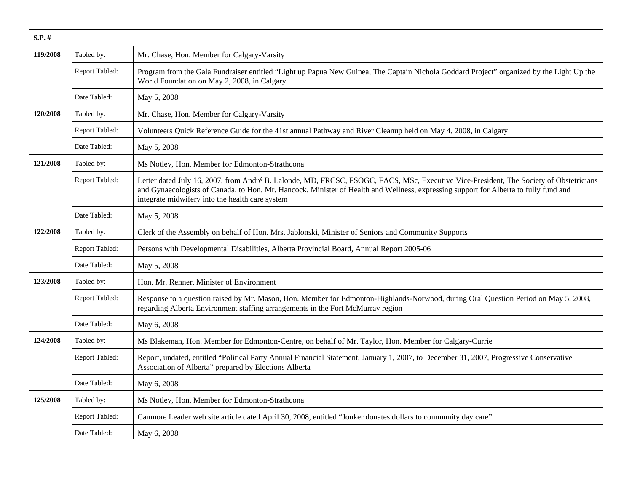| $S.P.$ # |                |                                                                                                                                                                                                                                                                                                                                   |
|----------|----------------|-----------------------------------------------------------------------------------------------------------------------------------------------------------------------------------------------------------------------------------------------------------------------------------------------------------------------------------|
| 119/2008 | Tabled by:     | Mr. Chase, Hon. Member for Calgary-Varsity                                                                                                                                                                                                                                                                                        |
|          | Report Tabled: | Program from the Gala Fundraiser entitled "Light up Papua New Guinea, The Captain Nichola Goddard Project" organized by the Light Up the<br>World Foundation on May 2, 2008, in Calgary                                                                                                                                           |
|          | Date Tabled:   | May 5, 2008                                                                                                                                                                                                                                                                                                                       |
| 120/2008 | Tabled by:     | Mr. Chase, Hon. Member for Calgary-Varsity                                                                                                                                                                                                                                                                                        |
|          | Report Tabled: | Volunteers Quick Reference Guide for the 41st annual Pathway and River Cleanup held on May 4, 2008, in Calgary                                                                                                                                                                                                                    |
|          | Date Tabled:   | May 5, 2008                                                                                                                                                                                                                                                                                                                       |
| 121/2008 | Tabled by:     | Ms Notley, Hon. Member for Edmonton-Strathcona                                                                                                                                                                                                                                                                                    |
|          | Report Tabled: | Letter dated July 16, 2007, from André B. Lalonde, MD, FRCSC, FSOGC, FACS, MSc, Executive Vice-President, The Society of Obstetricians<br>and Gynaecologists of Canada, to Hon. Mr. Hancock, Minister of Health and Wellness, expressing support for Alberta to fully fund and<br>integrate midwifery into the health care system |
|          | Date Tabled:   | May 5, 2008                                                                                                                                                                                                                                                                                                                       |
| 122/2008 | Tabled by:     | Clerk of the Assembly on behalf of Hon. Mrs. Jablonski, Minister of Seniors and Community Supports                                                                                                                                                                                                                                |
|          | Report Tabled: | Persons with Developmental Disabilities, Alberta Provincial Board, Annual Report 2005-06                                                                                                                                                                                                                                          |
|          | Date Tabled:   | May 5, 2008                                                                                                                                                                                                                                                                                                                       |
| 123/2008 | Tabled by:     | Hon. Mr. Renner, Minister of Environment                                                                                                                                                                                                                                                                                          |
|          | Report Tabled: | Response to a question raised by Mr. Mason, Hon. Member for Edmonton-Highlands-Norwood, during Oral Question Period on May 5, 2008,<br>regarding Alberta Environment staffing arrangements in the Fort McMurray region                                                                                                            |
|          | Date Tabled:   | May 6, 2008                                                                                                                                                                                                                                                                                                                       |
| 124/2008 | Tabled by:     | Ms Blakeman, Hon. Member for Edmonton-Centre, on behalf of Mr. Taylor, Hon. Member for Calgary-Currie                                                                                                                                                                                                                             |
|          | Report Tabled: | Report, undated, entitled "Political Party Annual Financial Statement, January 1, 2007, to December 31, 2007, Progressive Conservative<br>Association of Alberta" prepared by Elections Alberta                                                                                                                                   |
|          | Date Tabled:   | May 6, 2008                                                                                                                                                                                                                                                                                                                       |
| 125/2008 | Tabled by:     | Ms Notley, Hon. Member for Edmonton-Strathcona                                                                                                                                                                                                                                                                                    |
|          | Report Tabled: | Canmore Leader web site article dated April 30, 2008, entitled "Jonker donates dollars to community day care"                                                                                                                                                                                                                     |
|          | Date Tabled:   | May 6, 2008                                                                                                                                                                                                                                                                                                                       |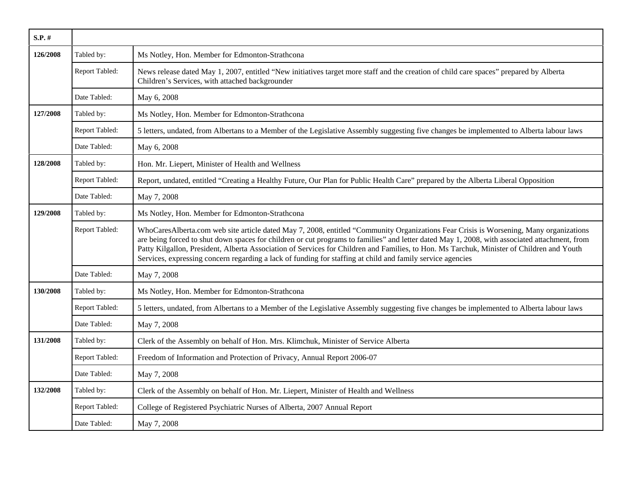| $S.P.$ # |                       |                                                                                                                                                                                                                                                                                                                                                                                                                                                                                                                                                    |
|----------|-----------------------|----------------------------------------------------------------------------------------------------------------------------------------------------------------------------------------------------------------------------------------------------------------------------------------------------------------------------------------------------------------------------------------------------------------------------------------------------------------------------------------------------------------------------------------------------|
| 126/2008 | Tabled by:            | Ms Notley, Hon. Member for Edmonton-Strathcona                                                                                                                                                                                                                                                                                                                                                                                                                                                                                                     |
|          | <b>Report Tabled:</b> | News release dated May 1, 2007, entitled "New initiatives target more staff and the creation of child care spaces" prepared by Alberta<br>Children's Services, with attached backgrounder                                                                                                                                                                                                                                                                                                                                                          |
|          | Date Tabled:          | May 6, 2008                                                                                                                                                                                                                                                                                                                                                                                                                                                                                                                                        |
| 127/2008 | Tabled by:            | Ms Notley, Hon. Member for Edmonton-Strathcona                                                                                                                                                                                                                                                                                                                                                                                                                                                                                                     |
|          | Report Tabled:        | 5 letters, undated, from Albertans to a Member of the Legislative Assembly suggesting five changes be implemented to Alberta labour laws                                                                                                                                                                                                                                                                                                                                                                                                           |
|          | Date Tabled:          | May 6, 2008                                                                                                                                                                                                                                                                                                                                                                                                                                                                                                                                        |
| 128/2008 | Tabled by:            | Hon. Mr. Liepert, Minister of Health and Wellness                                                                                                                                                                                                                                                                                                                                                                                                                                                                                                  |
|          | Report Tabled:        | Report, undated, entitled "Creating a Healthy Future, Our Plan for Public Health Care" prepared by the Alberta Liberal Opposition                                                                                                                                                                                                                                                                                                                                                                                                                  |
|          | Date Tabled:          | May 7, 2008                                                                                                                                                                                                                                                                                                                                                                                                                                                                                                                                        |
| 129/2008 | Tabled by:            | Ms Notley, Hon. Member for Edmonton-Strathcona                                                                                                                                                                                                                                                                                                                                                                                                                                                                                                     |
|          | Report Tabled:        | WhoCaresAlberta.com web site article dated May 7, 2008, entitled "Community Organizations Fear Crisis is Worsening, Many organizations<br>are being forced to shut down spaces for children or cut programs to families" and letter dated May 1, 2008, with associated attachment, from<br>Patty Kilgallon, President, Alberta Association of Services for Children and Families, to Hon. Ms Tarchuk, Minister of Children and Youth<br>Services, expressing concern regarding a lack of funding for staffing at child and family service agencies |
|          | Date Tabled:          | May 7, 2008                                                                                                                                                                                                                                                                                                                                                                                                                                                                                                                                        |
| 130/2008 | Tabled by:            | Ms Notley, Hon. Member for Edmonton-Strathcona                                                                                                                                                                                                                                                                                                                                                                                                                                                                                                     |
|          | Report Tabled:        | 5 letters, undated, from Albertans to a Member of the Legislative Assembly suggesting five changes be implemented to Alberta labour laws                                                                                                                                                                                                                                                                                                                                                                                                           |
|          | Date Tabled:          | May 7, 2008                                                                                                                                                                                                                                                                                                                                                                                                                                                                                                                                        |
| 131/2008 | Tabled by:            | Clerk of the Assembly on behalf of Hon. Mrs. Klimchuk, Minister of Service Alberta                                                                                                                                                                                                                                                                                                                                                                                                                                                                 |
|          | Report Tabled:        | Freedom of Information and Protection of Privacy, Annual Report 2006-07                                                                                                                                                                                                                                                                                                                                                                                                                                                                            |
|          | Date Tabled:          | May 7, 2008                                                                                                                                                                                                                                                                                                                                                                                                                                                                                                                                        |
| 132/2008 | Tabled by:            | Clerk of the Assembly on behalf of Hon. Mr. Liepert, Minister of Health and Wellness                                                                                                                                                                                                                                                                                                                                                                                                                                                               |
|          | Report Tabled:        | College of Registered Psychiatric Nurses of Alberta, 2007 Annual Report                                                                                                                                                                                                                                                                                                                                                                                                                                                                            |
|          | Date Tabled:          | May 7, 2008                                                                                                                                                                                                                                                                                                                                                                                                                                                                                                                                        |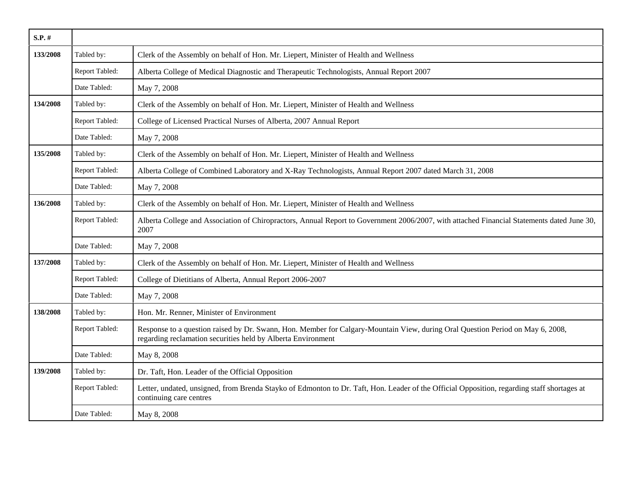| $S.P.$ # |                |                                                                                                                                                                                                |
|----------|----------------|------------------------------------------------------------------------------------------------------------------------------------------------------------------------------------------------|
| 133/2008 | Tabled by:     | Clerk of the Assembly on behalf of Hon. Mr. Liepert, Minister of Health and Wellness                                                                                                           |
|          | Report Tabled: | Alberta College of Medical Diagnostic and Therapeutic Technologists, Annual Report 2007                                                                                                        |
|          | Date Tabled:   | May 7, 2008                                                                                                                                                                                    |
| 134/2008 | Tabled by:     | Clerk of the Assembly on behalf of Hon. Mr. Liepert, Minister of Health and Wellness                                                                                                           |
|          | Report Tabled: | College of Licensed Practical Nurses of Alberta, 2007 Annual Report                                                                                                                            |
|          | Date Tabled:   | May 7, 2008                                                                                                                                                                                    |
| 135/2008 | Tabled by:     | Clerk of the Assembly on behalf of Hon. Mr. Liepert, Minister of Health and Wellness                                                                                                           |
|          | Report Tabled: | Alberta College of Combined Laboratory and X-Ray Technologists, Annual Report 2007 dated March 31, 2008                                                                                        |
|          | Date Tabled:   | May 7, 2008                                                                                                                                                                                    |
| 136/2008 | Tabled by:     | Clerk of the Assembly on behalf of Hon. Mr. Liepert, Minister of Health and Wellness                                                                                                           |
|          | Report Tabled: | Alberta College and Association of Chiropractors, Annual Report to Government 2006/2007, with attached Financial Statements dated June 30,<br>2007                                             |
|          | Date Tabled:   | May 7, 2008                                                                                                                                                                                    |
| 137/2008 | Tabled by:     | Clerk of the Assembly on behalf of Hon. Mr. Liepert, Minister of Health and Wellness                                                                                                           |
|          | Report Tabled: | College of Dietitians of Alberta, Annual Report 2006-2007                                                                                                                                      |
|          | Date Tabled:   | May 7, 2008                                                                                                                                                                                    |
| 138/2008 | Tabled by:     | Hon. Mr. Renner, Minister of Environment                                                                                                                                                       |
|          | Report Tabled: | Response to a question raised by Dr. Swann, Hon. Member for Calgary-Mountain View, during Oral Question Period on May 6, 2008,<br>regarding reclamation securities held by Alberta Environment |
|          | Date Tabled:   | May 8, 2008                                                                                                                                                                                    |
| 139/2008 | Tabled by:     | Dr. Taft, Hon. Leader of the Official Opposition                                                                                                                                               |
|          | Report Tabled: | Letter, undated, unsigned, from Brenda Stayko of Edmonton to Dr. Taft, Hon. Leader of the Official Opposition, regarding staff shortages at<br>continuing care centres                         |
|          | Date Tabled:   | May 8, 2008                                                                                                                                                                                    |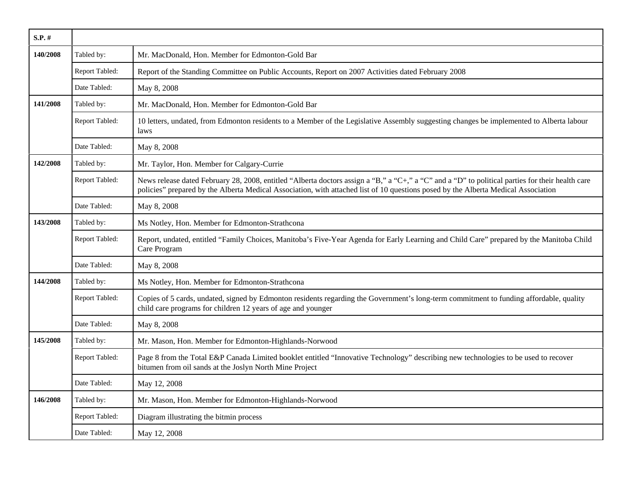| $S.P.$ # |                |                                                                                                                                                                                                                                                                                        |
|----------|----------------|----------------------------------------------------------------------------------------------------------------------------------------------------------------------------------------------------------------------------------------------------------------------------------------|
| 140/2008 | Tabled by:     | Mr. MacDonald, Hon. Member for Edmonton-Gold Bar                                                                                                                                                                                                                                       |
|          | Report Tabled: | Report of the Standing Committee on Public Accounts, Report on 2007 Activities dated February 2008                                                                                                                                                                                     |
|          | Date Tabled:   | May 8, 2008                                                                                                                                                                                                                                                                            |
| 141/2008 | Tabled by:     | Mr. MacDonald, Hon. Member for Edmonton-Gold Bar                                                                                                                                                                                                                                       |
|          | Report Tabled: | 10 letters, undated, from Edmonton residents to a Member of the Legislative Assembly suggesting changes be implemented to Alberta labour<br>laws                                                                                                                                       |
|          | Date Tabled:   | May 8, 2008                                                                                                                                                                                                                                                                            |
| 142/2008 | Tabled by:     | Mr. Taylor, Hon. Member for Calgary-Currie                                                                                                                                                                                                                                             |
|          | Report Tabled: | News release dated February 28, 2008, entitled "Alberta doctors assign a "B," a "C+," a "C" and a "D" to political parties for their health care<br>policies" prepared by the Alberta Medical Association, with attached list of 10 questions posed by the Alberta Medical Association |
|          | Date Tabled:   | May 8, 2008                                                                                                                                                                                                                                                                            |
| 143/2008 | Tabled by:     | Ms Notley, Hon. Member for Edmonton-Strathcona                                                                                                                                                                                                                                         |
|          | Report Tabled: | Report, undated, entitled "Family Choices, Manitoba's Five-Year Agenda for Early Learning and Child Care" prepared by the Manitoba Child<br>Care Program                                                                                                                               |
|          | Date Tabled:   | May 8, 2008                                                                                                                                                                                                                                                                            |
| 144/2008 | Tabled by:     | Ms Notley, Hon. Member for Edmonton-Strathcona                                                                                                                                                                                                                                         |
|          | Report Tabled: | Copies of 5 cards, undated, signed by Edmonton residents regarding the Government's long-term commitment to funding affordable, quality<br>child care programs for children 12 years of age and younger                                                                                |
|          | Date Tabled:   | May 8, 2008                                                                                                                                                                                                                                                                            |
| 145/2008 | Tabled by:     | Mr. Mason, Hon. Member for Edmonton-Highlands-Norwood                                                                                                                                                                                                                                  |
|          | Report Tabled: | Page 8 from the Total E&P Canada Limited booklet entitled "Innovative Technology" describing new technologies to be used to recover<br>bitumen from oil sands at the Joslyn North Mine Project                                                                                         |
|          | Date Tabled:   | May 12, 2008                                                                                                                                                                                                                                                                           |
| 146/2008 | Tabled by:     | Mr. Mason, Hon. Member for Edmonton-Highlands-Norwood                                                                                                                                                                                                                                  |
|          | Report Tabled: | Diagram illustrating the bitmin process                                                                                                                                                                                                                                                |
|          | Date Tabled:   | May 12, 2008                                                                                                                                                                                                                                                                           |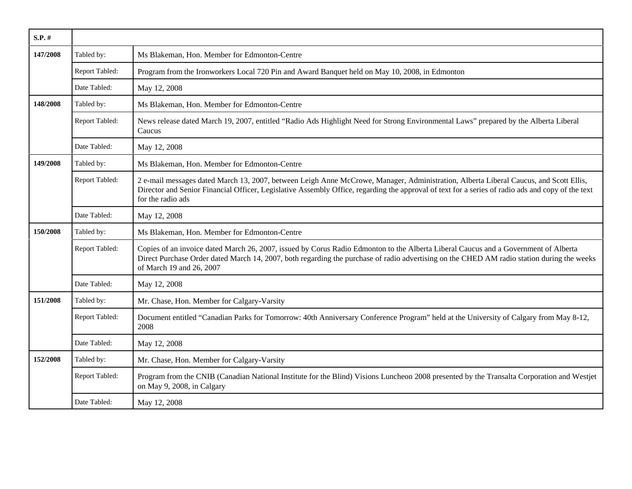| $S.P.$ # |                |                                                                                                                                                                                                                                                                                                                 |
|----------|----------------|-----------------------------------------------------------------------------------------------------------------------------------------------------------------------------------------------------------------------------------------------------------------------------------------------------------------|
| 147/2008 | Tabled by:     | Ms Blakeman, Hon. Member for Edmonton-Centre                                                                                                                                                                                                                                                                    |
|          | Report Tabled: | Program from the Ironworkers Local 720 Pin and Award Banquet held on May 10, 2008, in Edmonton                                                                                                                                                                                                                  |
|          | Date Tabled:   | May 12, 2008                                                                                                                                                                                                                                                                                                    |
| 148/2008 | Tabled by:     | Ms Blakeman, Hon. Member for Edmonton-Centre                                                                                                                                                                                                                                                                    |
|          | Report Tabled: | News release dated March 19, 2007, entitled "Radio Ads Highlight Need for Strong Environmental Laws" prepared by the Alberta Liberal<br>Caucus                                                                                                                                                                  |
|          | Date Tabled:   | May 12, 2008                                                                                                                                                                                                                                                                                                    |
| 149/2008 | Tabled by:     | Ms Blakeman, Hon. Member for Edmonton-Centre                                                                                                                                                                                                                                                                    |
|          | Report Tabled: | 2 e-mail messages dated March 13, 2007, between Leigh Anne McCrowe, Manager, Administration, Alberta Liberal Caucus, and Scott Ellis,<br>Director and Senior Financial Officer, Legislative Assembly Office, regarding the approval of text for a series of radio ads and copy of the text<br>for the radio ads |
|          | Date Tabled:   | May 12, 2008                                                                                                                                                                                                                                                                                                    |
| 150/2008 | Tabled by:     | Ms Blakeman, Hon. Member for Edmonton-Centre                                                                                                                                                                                                                                                                    |
|          | Report Tabled: | Copies of an invoice dated March 26, 2007, issued by Corus Radio Edmonton to the Alberta Liberal Caucus and a Government of Alberta<br>Direct Purchase Order dated March 14, 2007, both regarding the purchase of radio advertising on the CHED AM radio station during the weeks<br>of March 19 and 26, 2007   |
|          | Date Tabled:   | May 12, 2008                                                                                                                                                                                                                                                                                                    |
| 151/2008 | Tabled by:     | Mr. Chase, Hon. Member for Calgary-Varsity                                                                                                                                                                                                                                                                      |
|          | Report Tabled: | Document entitled "Canadian Parks for Tomorrow: 40th Anniversary Conference Program" held at the University of Calgary from May 8-12,<br>2008                                                                                                                                                                   |
|          | Date Tabled:   | May 12, 2008                                                                                                                                                                                                                                                                                                    |
| 152/2008 | Tabled by:     | Mr. Chase, Hon. Member for Calgary-Varsity                                                                                                                                                                                                                                                                      |
|          | Report Tabled: | Program from the CNIB (Canadian National Institute for the Blind) Visions Luncheon 2008 presented by the Transalta Corporation and Westjet<br>on May 9, 2008, in Calgary                                                                                                                                        |
|          | Date Tabled:   | May 12, 2008                                                                                                                                                                                                                                                                                                    |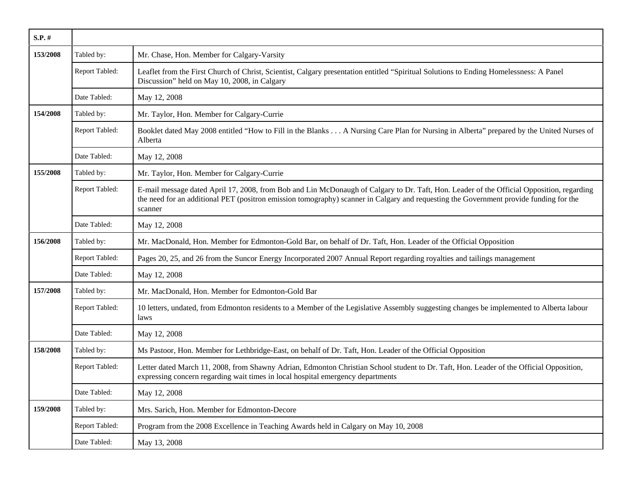| $S.P.$ # |                |                                                                                                                                                                                                                                                                                                |
|----------|----------------|------------------------------------------------------------------------------------------------------------------------------------------------------------------------------------------------------------------------------------------------------------------------------------------------|
| 153/2008 | Tabled by:     | Mr. Chase, Hon. Member for Calgary-Varsity                                                                                                                                                                                                                                                     |
|          | Report Tabled: | Leaflet from the First Church of Christ, Scientist, Calgary presentation entitled "Spiritual Solutions to Ending Homelessness: A Panel<br>Discussion" held on May 10, 2008, in Calgary                                                                                                         |
|          | Date Tabled:   | May 12, 2008                                                                                                                                                                                                                                                                                   |
| 154/2008 | Tabled by:     | Mr. Taylor, Hon. Member for Calgary-Currie                                                                                                                                                                                                                                                     |
|          | Report Tabled: | Booklet dated May 2008 entitled "How to Fill in the Blanks A Nursing Care Plan for Nursing in Alberta" prepared by the United Nurses of<br>Alberta                                                                                                                                             |
|          | Date Tabled:   | May 12, 2008                                                                                                                                                                                                                                                                                   |
| 155/2008 | Tabled by:     | Mr. Taylor, Hon. Member for Calgary-Currie                                                                                                                                                                                                                                                     |
|          | Report Tabled: | E-mail message dated April 17, 2008, from Bob and Lin McDonaugh of Calgary to Dr. Taft, Hon. Leader of the Official Opposition, regarding<br>the need for an additional PET (positron emission tomography) scanner in Calgary and requesting the Government provide funding for the<br>scanner |
|          | Date Tabled:   | May 12, 2008                                                                                                                                                                                                                                                                                   |
| 156/2008 | Tabled by:     | Mr. MacDonald, Hon. Member for Edmonton-Gold Bar, on behalf of Dr. Taft, Hon. Leader of the Official Opposition                                                                                                                                                                                |
|          | Report Tabled: | Pages 20, 25, and 26 from the Suncor Energy Incorporated 2007 Annual Report regarding royalties and tailings management                                                                                                                                                                        |
|          | Date Tabled:   | May 12, 2008                                                                                                                                                                                                                                                                                   |
| 157/2008 | Tabled by:     | Mr. MacDonald, Hon. Member for Edmonton-Gold Bar                                                                                                                                                                                                                                               |
|          | Report Tabled: | 10 letters, undated, from Edmonton residents to a Member of the Legislative Assembly suggesting changes be implemented to Alberta labour<br>laws                                                                                                                                               |
|          | Date Tabled:   | May 12, 2008                                                                                                                                                                                                                                                                                   |
| 158/2008 | Tabled by:     | Ms Pastoor, Hon. Member for Lethbridge-East, on behalf of Dr. Taft, Hon. Leader of the Official Opposition                                                                                                                                                                                     |
|          | Report Tabled: | Letter dated March 11, 2008, from Shawny Adrian, Edmonton Christian School student to Dr. Taft, Hon. Leader of the Official Opposition,<br>expressing concern regarding wait times in local hospital emergency departments                                                                     |
|          | Date Tabled:   | May 12, 2008                                                                                                                                                                                                                                                                                   |
| 159/2008 | Tabled by:     | Mrs. Sarich, Hon. Member for Edmonton-Decore                                                                                                                                                                                                                                                   |
|          | Report Tabled: | Program from the 2008 Excellence in Teaching Awards held in Calgary on May 10, 2008                                                                                                                                                                                                            |
|          | Date Tabled:   | May 13, 2008                                                                                                                                                                                                                                                                                   |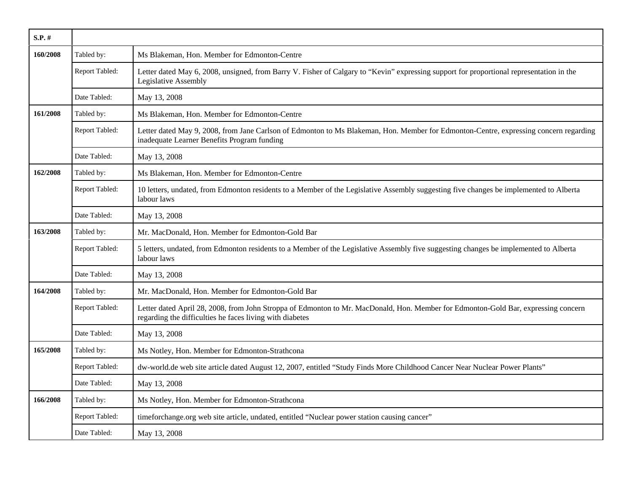| $S.P.$ # |                |                                                                                                                                                                                                |
|----------|----------------|------------------------------------------------------------------------------------------------------------------------------------------------------------------------------------------------|
| 160/2008 | Tabled by:     | Ms Blakeman, Hon. Member for Edmonton-Centre                                                                                                                                                   |
|          | Report Tabled: | Letter dated May 6, 2008, unsigned, from Barry V. Fisher of Calgary to "Kevin" expressing support for proportional representation in the<br>Legislative Assembly                               |
|          | Date Tabled:   | May 13, 2008                                                                                                                                                                                   |
| 161/2008 | Tabled by:     | Ms Blakeman, Hon. Member for Edmonton-Centre                                                                                                                                                   |
|          | Report Tabled: | Letter dated May 9, 2008, from Jane Carlson of Edmonton to Ms Blakeman, Hon. Member for Edmonton-Centre, expressing concern regarding<br>inadequate Learner Benefits Program funding           |
|          | Date Tabled:   | May 13, 2008                                                                                                                                                                                   |
| 162/2008 | Tabled by:     | Ms Blakeman, Hon. Member for Edmonton-Centre                                                                                                                                                   |
|          | Report Tabled: | 10 letters, undated, from Edmonton residents to a Member of the Legislative Assembly suggesting five changes be implemented to Alberta<br>labour laws                                          |
|          | Date Tabled:   | May 13, 2008                                                                                                                                                                                   |
| 163/2008 | Tabled by:     | Mr. MacDonald, Hon. Member for Edmonton-Gold Bar                                                                                                                                               |
|          | Report Tabled: | 5 letters, undated, from Edmonton residents to a Member of the Legislative Assembly five suggesting changes be implemented to Alberta<br>labour laws                                           |
|          | Date Tabled:   | May 13, 2008                                                                                                                                                                                   |
| 164/2008 | Tabled by:     | Mr. MacDonald, Hon. Member for Edmonton-Gold Bar                                                                                                                                               |
|          | Report Tabled: | Letter dated April 28, 2008, from John Stroppa of Edmonton to Mr. MacDonald, Hon. Member for Edmonton-Gold Bar, expressing concern<br>regarding the difficulties he faces living with diabetes |
|          | Date Tabled:   | May 13, 2008                                                                                                                                                                                   |
| 165/2008 | Tabled by:     | Ms Notley, Hon. Member for Edmonton-Strathcona                                                                                                                                                 |
|          | Report Tabled: | dw-world.de web site article dated August 12, 2007, entitled "Study Finds More Childhood Cancer Near Nuclear Power Plants"                                                                     |
|          | Date Tabled:   | May 13, 2008                                                                                                                                                                                   |
| 166/2008 | Tabled by:     | Ms Notley, Hon. Member for Edmonton-Strathcona                                                                                                                                                 |
|          | Report Tabled: | timeforchange.org web site article, undated, entitled "Nuclear power station causing cancer"                                                                                                   |
|          | Date Tabled:   | May 13, 2008                                                                                                                                                                                   |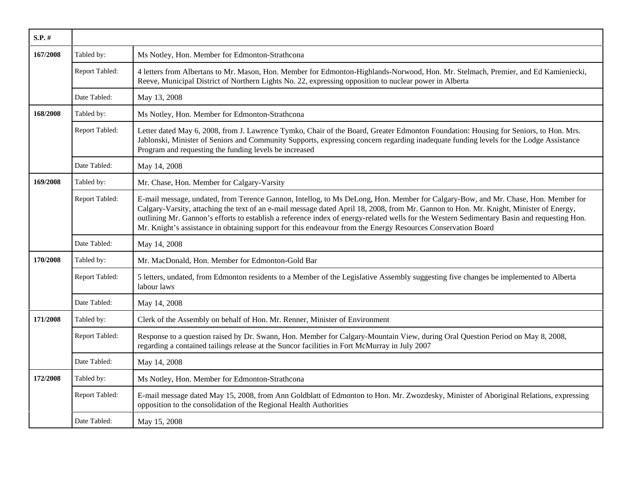| $S.P.$ # |                |                                                                                                                                                                                                                                                                                                                                                                                                                                                                                                                                            |
|----------|----------------|--------------------------------------------------------------------------------------------------------------------------------------------------------------------------------------------------------------------------------------------------------------------------------------------------------------------------------------------------------------------------------------------------------------------------------------------------------------------------------------------------------------------------------------------|
| 167/2008 | Tabled by:     | Ms Notley, Hon. Member for Edmonton-Strathcona                                                                                                                                                                                                                                                                                                                                                                                                                                                                                             |
|          | Report Tabled: | 4 letters from Albertans to Mr. Mason, Hon. Member for Edmonton-Highlands-Norwood, Hon. Mr. Stelmach, Premier, and Ed Kamieniecki,<br>Reeve, Municipal District of Northern Lights No. 22, expressing opposition to nuclear power in Alberta                                                                                                                                                                                                                                                                                               |
|          | Date Tabled:   | May 13, 2008                                                                                                                                                                                                                                                                                                                                                                                                                                                                                                                               |
| 168/2008 | Tabled by:     | Ms Notley, Hon. Member for Edmonton-Strathcona                                                                                                                                                                                                                                                                                                                                                                                                                                                                                             |
|          | Report Tabled: | Letter dated May 6, 2008, from J. Lawrence Tymko, Chair of the Board, Greater Edmonton Foundation: Housing for Seniors, to Hon. Mrs.<br>Jablonski, Minister of Seniors and Community Supports, expressing concern regarding inadequate funding levels for the Lodge Assistance<br>Program and requesting the funding levels be increased                                                                                                                                                                                                   |
|          | Date Tabled:   | May 14, 2008                                                                                                                                                                                                                                                                                                                                                                                                                                                                                                                               |
| 169/2008 | Tabled by:     | Mr. Chase, Hon. Member for Calgary-Varsity                                                                                                                                                                                                                                                                                                                                                                                                                                                                                                 |
|          | Report Tabled: | E-mail message, undated, from Terence Gannon, Intellog, to Ms DeLong, Hon. Member for Calgary-Bow, and Mr. Chase, Hon. Member for<br>Calgary-Varsity, attaching the text of an e-mail message dated April 18, 2008, from Mr. Gannon to Hon. Mr. Knight, Minister of Energy,<br>outlining Mr. Gannon's efforts to establish a reference index of energy-related wells for the Western Sedimentary Basin and requesting Hon.<br>Mr. Knight's assistance in obtaining support for this endeavour from the Energy Resources Conservation Board |
|          | Date Tabled:   | May 14, 2008                                                                                                                                                                                                                                                                                                                                                                                                                                                                                                                               |
| 170/2008 | Tabled by:     | Mr. MacDonald, Hon. Member for Edmonton-Gold Bar                                                                                                                                                                                                                                                                                                                                                                                                                                                                                           |
|          | Report Tabled: | 5 letters, undated, from Edmonton residents to a Member of the Legislative Assembly suggesting five changes be implemented to Alberta<br>labour laws                                                                                                                                                                                                                                                                                                                                                                                       |
|          | Date Tabled:   | May 14, 2008                                                                                                                                                                                                                                                                                                                                                                                                                                                                                                                               |
| 171/2008 | Tabled by:     | Clerk of the Assembly on behalf of Hon. Mr. Renner, Minister of Environment                                                                                                                                                                                                                                                                                                                                                                                                                                                                |
|          | Report Tabled: | Response to a question raised by Dr. Swann, Hon. Member for Calgary-Mountain View, during Oral Question Period on May 8, 2008,<br>regarding a contained tailings release at the Suncor facilities in Fort McMurray in July 2007                                                                                                                                                                                                                                                                                                            |
|          | Date Tabled:   | May 14, 2008                                                                                                                                                                                                                                                                                                                                                                                                                                                                                                                               |
| 172/2008 | Tabled by:     | Ms Notley, Hon. Member for Edmonton-Strathcona                                                                                                                                                                                                                                                                                                                                                                                                                                                                                             |
|          | Report Tabled: | E-mail message dated May 15, 2008, from Ann Goldblatt of Edmonton to Hon. Mr. Zwozdesky, Minister of Aboriginal Relations, expressing<br>opposition to the consolidation of the Regional Health Authorities                                                                                                                                                                                                                                                                                                                                |
|          | Date Tabled:   | May 15, 2008                                                                                                                                                                                                                                                                                                                                                                                                                                                                                                                               |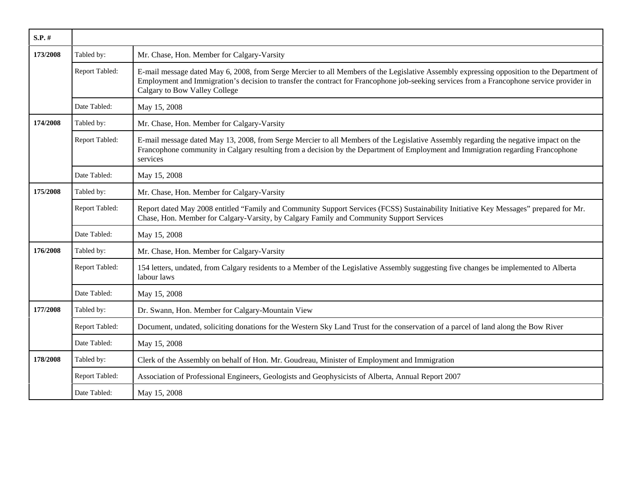| S.P. #   |                |                                                                                                                                                                                                                                                                                                                           |
|----------|----------------|---------------------------------------------------------------------------------------------------------------------------------------------------------------------------------------------------------------------------------------------------------------------------------------------------------------------------|
| 173/2008 | Tabled by:     | Mr. Chase, Hon. Member for Calgary-Varsity                                                                                                                                                                                                                                                                                |
|          | Report Tabled: | E-mail message dated May 6, 2008, from Serge Mercier to all Members of the Legislative Assembly expressing opposition to the Department of<br>Employment and Immigration's decision to transfer the contract for Francophone job-seeking services from a Francophone service provider in<br>Calgary to Bow Valley College |
|          | Date Tabled:   | May 15, 2008                                                                                                                                                                                                                                                                                                              |
| 174/2008 | Tabled by:     | Mr. Chase, Hon. Member for Calgary-Varsity                                                                                                                                                                                                                                                                                |
|          | Report Tabled: | E-mail message dated May 13, 2008, from Serge Mercier to all Members of the Legislative Assembly regarding the negative impact on the<br>Francophone community in Calgary resulting from a decision by the Department of Employment and Immigration regarding Francophone<br>services                                     |
|          | Date Tabled:   | May 15, 2008                                                                                                                                                                                                                                                                                                              |
| 175/2008 | Tabled by:     | Mr. Chase, Hon. Member for Calgary-Varsity                                                                                                                                                                                                                                                                                |
|          | Report Tabled: | Report dated May 2008 entitled "Family and Community Support Services (FCSS) Sustainability Initiative Key Messages" prepared for Mr.<br>Chase, Hon. Member for Calgary-Varsity, by Calgary Family and Community Support Services                                                                                         |
|          | Date Tabled:   | May 15, 2008                                                                                                                                                                                                                                                                                                              |
| 176/2008 | Tabled by:     | Mr. Chase, Hon. Member for Calgary-Varsity                                                                                                                                                                                                                                                                                |
|          | Report Tabled: | 154 letters, undated, from Calgary residents to a Member of the Legislative Assembly suggesting five changes be implemented to Alberta<br>labour laws                                                                                                                                                                     |
|          | Date Tabled:   | May 15, 2008                                                                                                                                                                                                                                                                                                              |
| 177/2008 | Tabled by:     | Dr. Swann, Hon. Member for Calgary-Mountain View                                                                                                                                                                                                                                                                          |
|          | Report Tabled: | Document, undated, soliciting donations for the Western Sky Land Trust for the conservation of a parcel of land along the Bow River                                                                                                                                                                                       |
|          | Date Tabled:   | May 15, 2008                                                                                                                                                                                                                                                                                                              |
| 178/2008 | Tabled by:     | Clerk of the Assembly on behalf of Hon. Mr. Goudreau, Minister of Employment and Immigration                                                                                                                                                                                                                              |
|          | Report Tabled: | Association of Professional Engineers, Geologists and Geophysicists of Alberta, Annual Report 2007                                                                                                                                                                                                                        |
|          | Date Tabled:   | May 15, 2008                                                                                                                                                                                                                                                                                                              |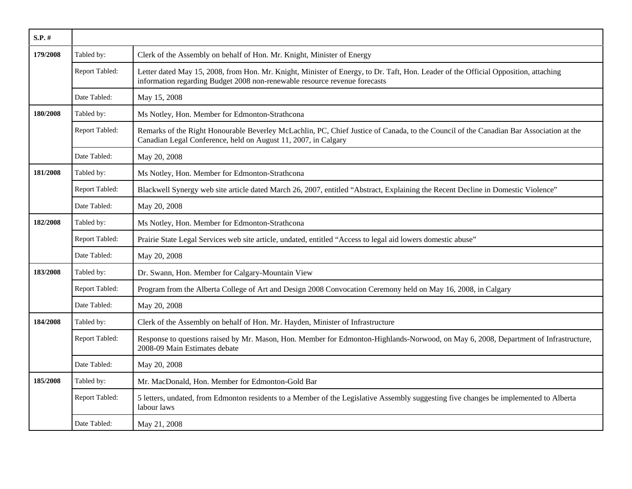| $S.P.$ # |                |                                                                                                                                                                                                                   |
|----------|----------------|-------------------------------------------------------------------------------------------------------------------------------------------------------------------------------------------------------------------|
| 179/2008 | Tabled by:     | Clerk of the Assembly on behalf of Hon. Mr. Knight, Minister of Energy                                                                                                                                            |
|          | Report Tabled: | Letter dated May 15, 2008, from Hon. Mr. Knight, Minister of Energy, to Dr. Taft, Hon. Leader of the Official Opposition, attaching<br>information regarding Budget 2008 non-renewable resource revenue forecasts |
|          | Date Tabled:   | May 15, 2008                                                                                                                                                                                                      |
| 180/2008 | Tabled by:     | Ms Notley, Hon. Member for Edmonton-Strathcona                                                                                                                                                                    |
|          | Report Tabled: | Remarks of the Right Honourable Beverley McLachlin, PC, Chief Justice of Canada, to the Council of the Canadian Bar Association at the<br>Canadian Legal Conference, held on August 11, 2007, in Calgary          |
|          | Date Tabled:   | May 20, 2008                                                                                                                                                                                                      |
| 181/2008 | Tabled by:     | Ms Notley, Hon. Member for Edmonton-Strathcona                                                                                                                                                                    |
|          | Report Tabled: | Blackwell Synergy web site article dated March 26, 2007, entitled "Abstract, Explaining the Recent Decline in Domestic Violence"                                                                                  |
|          | Date Tabled:   | May 20, 2008                                                                                                                                                                                                      |
| 182/2008 | Tabled by:     | Ms Notley, Hon. Member for Edmonton-Strathcona                                                                                                                                                                    |
|          | Report Tabled: | Prairie State Legal Services web site article, undated, entitled "Access to legal aid lowers domestic abuse"                                                                                                      |
|          | Date Tabled:   | May 20, 2008                                                                                                                                                                                                      |
| 183/2008 | Tabled by:     | Dr. Swann, Hon. Member for Calgary-Mountain View                                                                                                                                                                  |
|          | Report Tabled: | Program from the Alberta College of Art and Design 2008 Convocation Ceremony held on May 16, 2008, in Calgary                                                                                                     |
|          | Date Tabled:   | May 20, 2008                                                                                                                                                                                                      |
| 184/2008 | Tabled by:     | Clerk of the Assembly on behalf of Hon. Mr. Hayden, Minister of Infrastructure                                                                                                                                    |
|          | Report Tabled: | Response to questions raised by Mr. Mason, Hon. Member for Edmonton-Highlands-Norwood, on May 6, 2008, Department of Infrastructure,<br>2008-09 Main Estimates debate                                             |
|          | Date Tabled:   | May 20, 2008                                                                                                                                                                                                      |
| 185/2008 | Tabled by:     | Mr. MacDonald, Hon. Member for Edmonton-Gold Bar                                                                                                                                                                  |
|          | Report Tabled: | 5 letters, undated, from Edmonton residents to a Member of the Legislative Assembly suggesting five changes be implemented to Alberta<br>labour laws                                                              |
|          | Date Tabled:   | May 21, 2008                                                                                                                                                                                                      |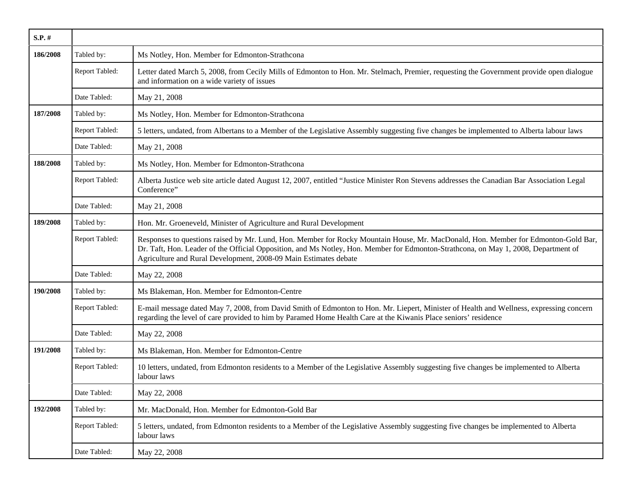| S.P.#    |                |                                                                                                                                                                                                                                                                                                                                               |
|----------|----------------|-----------------------------------------------------------------------------------------------------------------------------------------------------------------------------------------------------------------------------------------------------------------------------------------------------------------------------------------------|
| 186/2008 | Tabled by:     | Ms Notley, Hon. Member for Edmonton-Strathcona                                                                                                                                                                                                                                                                                                |
|          | Report Tabled: | Letter dated March 5, 2008, from Cecily Mills of Edmonton to Hon. Mr. Stelmach, Premier, requesting the Government provide open dialogue<br>and information on a wide variety of issues                                                                                                                                                       |
|          | Date Tabled:   | May 21, 2008                                                                                                                                                                                                                                                                                                                                  |
| 187/2008 | Tabled by:     | Ms Notley, Hon. Member for Edmonton-Strathcona                                                                                                                                                                                                                                                                                                |
|          | Report Tabled: | 5 letters, undated, from Albertans to a Member of the Legislative Assembly suggesting five changes be implemented to Alberta labour laws                                                                                                                                                                                                      |
|          | Date Tabled:   | May 21, 2008                                                                                                                                                                                                                                                                                                                                  |
| 188/2008 | Tabled by:     | Ms Notley, Hon. Member for Edmonton-Strathcona                                                                                                                                                                                                                                                                                                |
|          | Report Tabled: | Alberta Justice web site article dated August 12, 2007, entitled "Justice Minister Ron Stevens addresses the Canadian Bar Association Legal<br>Conference"                                                                                                                                                                                    |
|          | Date Tabled:   | May 21, 2008                                                                                                                                                                                                                                                                                                                                  |
| 189/2008 | Tabled by:     | Hon. Mr. Groeneveld, Minister of Agriculture and Rural Development                                                                                                                                                                                                                                                                            |
|          | Report Tabled: | Responses to questions raised by Mr. Lund, Hon. Member for Rocky Mountain House, Mr. MacDonald, Hon. Member for Edmonton-Gold Bar,<br>Dr. Taft, Hon. Leader of the Official Opposition, and Ms Notley, Hon. Member for Edmonton-Strathcona, on May 1, 2008, Department of<br>Agriculture and Rural Development, 2008-09 Main Estimates debate |
|          | Date Tabled:   | May 22, 2008                                                                                                                                                                                                                                                                                                                                  |
| 190/2008 | Tabled by:     | Ms Blakeman, Hon. Member for Edmonton-Centre                                                                                                                                                                                                                                                                                                  |
|          | Report Tabled: | E-mail message dated May 7, 2008, from David Smith of Edmonton to Hon. Mr. Liepert, Minister of Health and Wellness, expressing concern<br>regarding the level of care provided to him by Paramed Home Health Care at the Kiwanis Place seniors' residence                                                                                    |
|          | Date Tabled:   | May 22, 2008                                                                                                                                                                                                                                                                                                                                  |
| 191/2008 | Tabled by:     | Ms Blakeman, Hon. Member for Edmonton-Centre                                                                                                                                                                                                                                                                                                  |
|          | Report Tabled: | 10 letters, undated, from Edmonton residents to a Member of the Legislative Assembly suggesting five changes be implemented to Alberta<br>labour laws                                                                                                                                                                                         |
|          | Date Tabled:   | May 22, 2008                                                                                                                                                                                                                                                                                                                                  |
| 192/2008 | Tabled by:     | Mr. MacDonald, Hon. Member for Edmonton-Gold Bar                                                                                                                                                                                                                                                                                              |
|          | Report Tabled: | 5 letters, undated, from Edmonton residents to a Member of the Legislative Assembly suggesting five changes be implemented to Alberta<br>labour laws                                                                                                                                                                                          |
|          | Date Tabled:   | May 22, 2008                                                                                                                                                                                                                                                                                                                                  |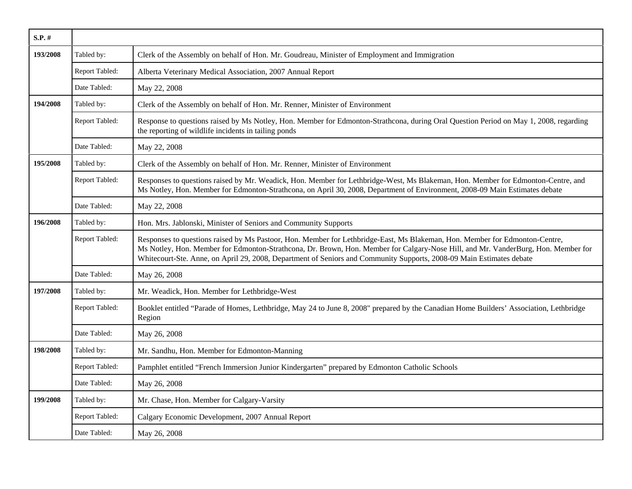| $S.P.$ # |                |                                                                                                                                                                                                                                                                                                                                                                                          |
|----------|----------------|------------------------------------------------------------------------------------------------------------------------------------------------------------------------------------------------------------------------------------------------------------------------------------------------------------------------------------------------------------------------------------------|
| 193/2008 | Tabled by:     | Clerk of the Assembly on behalf of Hon. Mr. Goudreau, Minister of Employment and Immigration                                                                                                                                                                                                                                                                                             |
|          | Report Tabled: | Alberta Veterinary Medical Association, 2007 Annual Report                                                                                                                                                                                                                                                                                                                               |
|          | Date Tabled:   | May 22, 2008                                                                                                                                                                                                                                                                                                                                                                             |
| 194/2008 | Tabled by:     | Clerk of the Assembly on behalf of Hon. Mr. Renner, Minister of Environment                                                                                                                                                                                                                                                                                                              |
|          | Report Tabled: | Response to questions raised by Ms Notley, Hon. Member for Edmonton-Strathcona, during Oral Question Period on May 1, 2008, regarding<br>the reporting of wildlife incidents in tailing ponds                                                                                                                                                                                            |
|          | Date Tabled:   | May 22, 2008                                                                                                                                                                                                                                                                                                                                                                             |
| 195/2008 | Tabled by:     | Clerk of the Assembly on behalf of Hon. Mr. Renner, Minister of Environment                                                                                                                                                                                                                                                                                                              |
|          | Report Tabled: | Responses to questions raised by Mr. Weadick, Hon. Member for Lethbridge-West, Ms Blakeman, Hon. Member for Edmonton-Centre, and<br>Ms Notley, Hon. Member for Edmonton-Strathcona, on April 30, 2008, Department of Environment, 2008-09 Main Estimates debate                                                                                                                          |
|          | Date Tabled:   | May 22, 2008                                                                                                                                                                                                                                                                                                                                                                             |
| 196/2008 | Tabled by:     | Hon. Mrs. Jablonski, Minister of Seniors and Community Supports                                                                                                                                                                                                                                                                                                                          |
|          | Report Tabled: | Responses to questions raised by Ms Pastoor, Hon. Member for Lethbridge-East, Ms Blakeman, Hon. Member for Edmonton-Centre,<br>Ms Notley, Hon. Member for Edmonton-Strathcona, Dr. Brown, Hon. Member for Calgary-Nose Hill, and Mr. VanderBurg, Hon. Member for<br>Whitecourt-Ste. Anne, on April 29, 2008, Department of Seniors and Community Supports, 2008-09 Main Estimates debate |
|          | Date Tabled:   | May 26, 2008                                                                                                                                                                                                                                                                                                                                                                             |
| 197/2008 | Tabled by:     | Mr. Weadick, Hon. Member for Lethbridge-West                                                                                                                                                                                                                                                                                                                                             |
|          | Report Tabled: | Booklet entitled "Parade of Homes, Lethbridge, May 24 to June 8, 2008" prepared by the Canadian Home Builders' Association, Lethbridge<br>Region                                                                                                                                                                                                                                         |
|          | Date Tabled:   | May 26, 2008                                                                                                                                                                                                                                                                                                                                                                             |
| 198/2008 | Tabled by:     | Mr. Sandhu, Hon. Member for Edmonton-Manning                                                                                                                                                                                                                                                                                                                                             |
|          | Report Tabled: | Pamphlet entitled "French Immersion Junior Kindergarten" prepared by Edmonton Catholic Schools                                                                                                                                                                                                                                                                                           |
|          | Date Tabled:   | May 26, 2008                                                                                                                                                                                                                                                                                                                                                                             |
| 199/2008 | Tabled by:     | Mr. Chase, Hon. Member for Calgary-Varsity                                                                                                                                                                                                                                                                                                                                               |
|          | Report Tabled: | Calgary Economic Development, 2007 Annual Report                                                                                                                                                                                                                                                                                                                                         |
|          | Date Tabled:   | May 26, 2008                                                                                                                                                                                                                                                                                                                                                                             |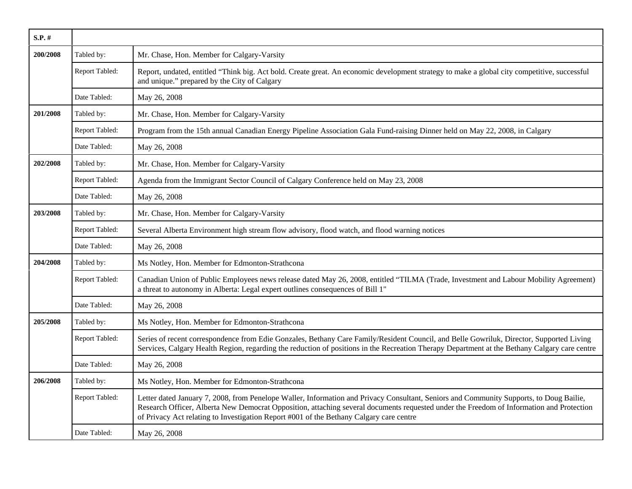| $S.P.$ # |                |                                                                                                                                                                                                                                                                                                                                                                                |
|----------|----------------|--------------------------------------------------------------------------------------------------------------------------------------------------------------------------------------------------------------------------------------------------------------------------------------------------------------------------------------------------------------------------------|
| 200/2008 | Tabled by:     | Mr. Chase, Hon. Member for Calgary-Varsity                                                                                                                                                                                                                                                                                                                                     |
|          | Report Tabled: | Report, undated, entitled "Think big. Act bold. Create great. An economic development strategy to make a global city competitive, successful<br>and unique." prepared by the City of Calgary                                                                                                                                                                                   |
|          | Date Tabled:   | May 26, 2008                                                                                                                                                                                                                                                                                                                                                                   |
| 201/2008 | Tabled by:     | Mr. Chase, Hon. Member for Calgary-Varsity                                                                                                                                                                                                                                                                                                                                     |
|          | Report Tabled: | Program from the 15th annual Canadian Energy Pipeline Association Gala Fund-raising Dinner held on May 22, 2008, in Calgary                                                                                                                                                                                                                                                    |
|          | Date Tabled:   | May 26, 2008                                                                                                                                                                                                                                                                                                                                                                   |
| 202/2008 | Tabled by:     | Mr. Chase, Hon. Member for Calgary-Varsity                                                                                                                                                                                                                                                                                                                                     |
|          | Report Tabled: | Agenda from the Immigrant Sector Council of Calgary Conference held on May 23, 2008                                                                                                                                                                                                                                                                                            |
|          | Date Tabled:   | May 26, 2008                                                                                                                                                                                                                                                                                                                                                                   |
| 203/2008 | Tabled by:     | Mr. Chase, Hon. Member for Calgary-Varsity                                                                                                                                                                                                                                                                                                                                     |
|          | Report Tabled: | Several Alberta Environment high stream flow advisory, flood watch, and flood warning notices                                                                                                                                                                                                                                                                                  |
|          | Date Tabled:   | May 26, 2008                                                                                                                                                                                                                                                                                                                                                                   |
| 204/2008 | Tabled by:     | Ms Notley, Hon. Member for Edmonton-Strathcona                                                                                                                                                                                                                                                                                                                                 |
|          | Report Tabled: | Canadian Union of Public Employees news release dated May 26, 2008, entitled "TILMA (Trade, Investment and Labour Mobility Agreement)<br>a threat to autonomy in Alberta: Legal expert outlines consequences of Bill 1"                                                                                                                                                        |
|          | Date Tabled:   | May 26, 2008                                                                                                                                                                                                                                                                                                                                                                   |
| 205/2008 | Tabled by:     | Ms Notley, Hon. Member for Edmonton-Strathcona                                                                                                                                                                                                                                                                                                                                 |
|          | Report Tabled: | Series of recent correspondence from Edie Gonzales, Bethany Care Family/Resident Council, and Belle Gowriluk, Director, Supported Living<br>Services, Calgary Health Region, regarding the reduction of positions in the Recreation Therapy Department at the Bethany Calgary care centre                                                                                      |
|          | Date Tabled:   | May 26, 2008                                                                                                                                                                                                                                                                                                                                                                   |
| 206/2008 | Tabled by:     | Ms Notley, Hon. Member for Edmonton-Strathcona                                                                                                                                                                                                                                                                                                                                 |
|          | Report Tabled: | Letter dated January 7, 2008, from Penelope Waller, Information and Privacy Consultant, Seniors and Community Supports, to Doug Bailie,<br>Research Officer, Alberta New Democrat Opposition, attaching several documents requested under the Freedom of Information and Protection<br>of Privacy Act relating to Investigation Report #001 of the Bethany Calgary care centre |
|          | Date Tabled:   | May 26, 2008                                                                                                                                                                                                                                                                                                                                                                   |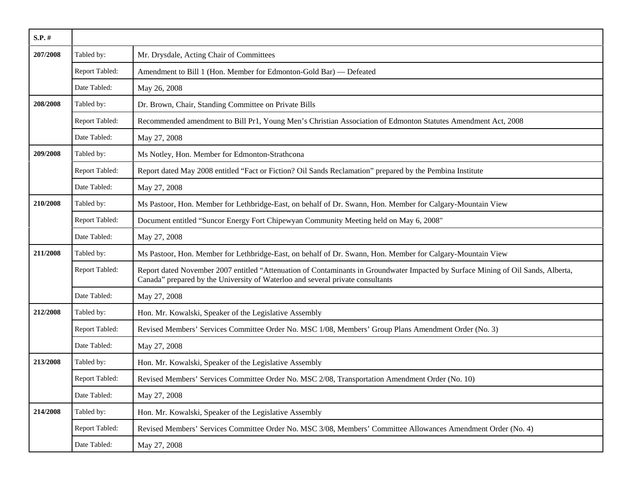| S.P. #   |                |                                                                                                                                                                                                                     |
|----------|----------------|---------------------------------------------------------------------------------------------------------------------------------------------------------------------------------------------------------------------|
| 207/2008 | Tabled by:     | Mr. Drysdale, Acting Chair of Committees                                                                                                                                                                            |
|          | Report Tabled: | Amendment to Bill 1 (Hon. Member for Edmonton-Gold Bar) — Defeated                                                                                                                                                  |
|          | Date Tabled:   | May 26, 2008                                                                                                                                                                                                        |
| 208/2008 | Tabled by:     | Dr. Brown, Chair, Standing Committee on Private Bills                                                                                                                                                               |
|          | Report Tabled: | Recommended amendment to Bill Pr1, Young Men's Christian Association of Edmonton Statutes Amendment Act, 2008                                                                                                       |
|          | Date Tabled:   | May 27, 2008                                                                                                                                                                                                        |
| 209/2008 | Tabled by:     | Ms Notley, Hon. Member for Edmonton-Strathcona                                                                                                                                                                      |
|          | Report Tabled: | Report dated May 2008 entitled "Fact or Fiction? Oil Sands Reclamation" prepared by the Pembina Institute                                                                                                           |
|          | Date Tabled:   | May 27, 2008                                                                                                                                                                                                        |
| 210/2008 | Tabled by:     | Ms Pastoor, Hon. Member for Lethbridge-East, on behalf of Dr. Swann, Hon. Member for Calgary-Mountain View                                                                                                          |
|          | Report Tabled: | Document entitled "Suncor Energy Fort Chipewyan Community Meeting held on May 6, 2008"                                                                                                                              |
|          | Date Tabled:   | May 27, 2008                                                                                                                                                                                                        |
| 211/2008 | Tabled by:     | Ms Pastoor, Hon. Member for Lethbridge-East, on behalf of Dr. Swann, Hon. Member for Calgary-Mountain View                                                                                                          |
|          | Report Tabled: | Report dated November 2007 entitled "Attenuation of Contaminants in Groundwater Impacted by Surface Mining of Oil Sands, Alberta,<br>Canada" prepared by the University of Waterloo and several private consultants |
|          | Date Tabled:   | May 27, 2008                                                                                                                                                                                                        |
| 212/2008 | Tabled by:     | Hon. Mr. Kowalski, Speaker of the Legislative Assembly                                                                                                                                                              |
|          | Report Tabled: | Revised Members' Services Committee Order No. MSC 1/08, Members' Group Plans Amendment Order (No. 3)                                                                                                                |
|          | Date Tabled:   | May 27, 2008                                                                                                                                                                                                        |
| 213/2008 | Tabled by:     | Hon. Mr. Kowalski, Speaker of the Legislative Assembly                                                                                                                                                              |
|          | Report Tabled: | Revised Members' Services Committee Order No. MSC 2/08, Transportation Amendment Order (No. 10)                                                                                                                     |
|          | Date Tabled:   | May 27, 2008                                                                                                                                                                                                        |
| 214/2008 | Tabled by:     | Hon. Mr. Kowalski, Speaker of the Legislative Assembly                                                                                                                                                              |
|          | Report Tabled: | Revised Members' Services Committee Order No. MSC 3/08, Members' Committee Allowances Amendment Order (No. 4)                                                                                                       |
|          | Date Tabled:   | May 27, 2008                                                                                                                                                                                                        |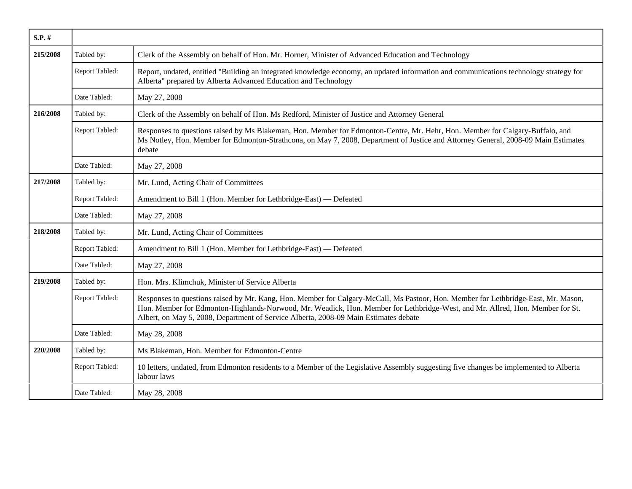| $S.P.$ # |                |                                                                                                                                                                                                                                                                                                                                                             |
|----------|----------------|-------------------------------------------------------------------------------------------------------------------------------------------------------------------------------------------------------------------------------------------------------------------------------------------------------------------------------------------------------------|
| 215/2008 | Tabled by:     | Clerk of the Assembly on behalf of Hon. Mr. Horner, Minister of Advanced Education and Technology                                                                                                                                                                                                                                                           |
|          | Report Tabled: | Report, undated, entitled "Building an integrated knowledge economy, an updated information and communications technology strategy for<br>Alberta" prepared by Alberta Advanced Education and Technology                                                                                                                                                    |
|          | Date Tabled:   | May 27, 2008                                                                                                                                                                                                                                                                                                                                                |
| 216/2008 | Tabled by:     | Clerk of the Assembly on behalf of Hon. Ms Redford, Minister of Justice and Attorney General                                                                                                                                                                                                                                                                |
|          | Report Tabled: | Responses to questions raised by Ms Blakeman, Hon. Member for Edmonton-Centre, Mr. Hehr, Hon. Member for Calgary-Buffalo, and<br>Ms Notley, Hon. Member for Edmonton-Strathcona, on May 7, 2008, Department of Justice and Attorney General, 2008-09 Main Estimates<br>debate                                                                               |
|          | Date Tabled:   | May 27, 2008                                                                                                                                                                                                                                                                                                                                                |
| 217/2008 | Tabled by:     | Mr. Lund, Acting Chair of Committees                                                                                                                                                                                                                                                                                                                        |
|          | Report Tabled: | Amendment to Bill 1 (Hon. Member for Lethbridge-East) — Defeated                                                                                                                                                                                                                                                                                            |
|          | Date Tabled:   | May 27, 2008                                                                                                                                                                                                                                                                                                                                                |
| 218/2008 | Tabled by:     | Mr. Lund, Acting Chair of Committees                                                                                                                                                                                                                                                                                                                        |
|          | Report Tabled: | Amendment to Bill 1 (Hon. Member for Lethbridge-East) — Defeated                                                                                                                                                                                                                                                                                            |
|          | Date Tabled:   | May 27, 2008                                                                                                                                                                                                                                                                                                                                                |
| 219/2008 | Tabled by:     | Hon. Mrs. Klimchuk, Minister of Service Alberta                                                                                                                                                                                                                                                                                                             |
|          | Report Tabled: | Responses to questions raised by Mr. Kang, Hon. Member for Calgary-McCall, Ms Pastoor, Hon. Member for Lethbridge-East, Mr. Mason,<br>Hon. Member for Edmonton-Highlands-Norwood, Mr. Weadick, Hon. Member for Lethbridge-West, and Mr. Allred, Hon. Member for St.<br>Albert, on May 5, 2008, Department of Service Alberta, 2008-09 Main Estimates debate |
|          | Date Tabled:   | May 28, 2008                                                                                                                                                                                                                                                                                                                                                |
| 220/2008 | Tabled by:     | Ms Blakeman, Hon. Member for Edmonton-Centre                                                                                                                                                                                                                                                                                                                |
|          | Report Tabled: | 10 letters, undated, from Edmonton residents to a Member of the Legislative Assembly suggesting five changes be implemented to Alberta<br>labour laws                                                                                                                                                                                                       |
|          | Date Tabled:   | May 28, 2008                                                                                                                                                                                                                                                                                                                                                |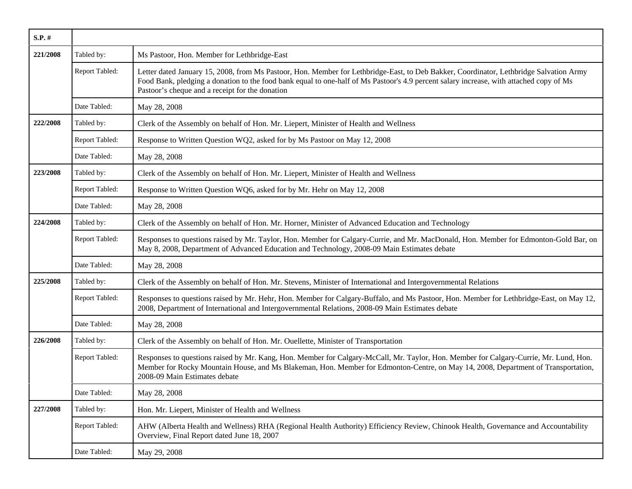| $S.P.$ # |                |                                                                                                                                                                                                                                                                                                                                      |
|----------|----------------|--------------------------------------------------------------------------------------------------------------------------------------------------------------------------------------------------------------------------------------------------------------------------------------------------------------------------------------|
| 221/2008 | Tabled by:     | Ms Pastoor, Hon. Member for Lethbridge-East                                                                                                                                                                                                                                                                                          |
|          | Report Tabled: | Letter dated January 15, 2008, from Ms Pastoor, Hon. Member for Lethbridge-East, to Deb Bakker, Coordinator, Lethbridge Salvation Army<br>Food Bank, pledging a donation to the food bank equal to one-half of Ms Pastoor's 4.9 percent salary increase, with attached copy of Ms<br>Pastoor's cheque and a receipt for the donation |
|          | Date Tabled:   | May 28, 2008                                                                                                                                                                                                                                                                                                                         |
| 222/2008 | Tabled by:     | Clerk of the Assembly on behalf of Hon. Mr. Liepert, Minister of Health and Wellness                                                                                                                                                                                                                                                 |
|          | Report Tabled: | Response to Written Question WQ2, asked for by Ms Pastoor on May 12, 2008                                                                                                                                                                                                                                                            |
|          | Date Tabled:   | May 28, 2008                                                                                                                                                                                                                                                                                                                         |
| 223/2008 | Tabled by:     | Clerk of the Assembly on behalf of Hon. Mr. Liepert, Minister of Health and Wellness                                                                                                                                                                                                                                                 |
|          | Report Tabled: | Response to Written Question WQ6, asked for by Mr. Hehr on May 12, 2008                                                                                                                                                                                                                                                              |
|          | Date Tabled:   | May 28, 2008                                                                                                                                                                                                                                                                                                                         |
| 224/2008 | Tabled by:     | Clerk of the Assembly on behalf of Hon. Mr. Horner, Minister of Advanced Education and Technology                                                                                                                                                                                                                                    |
|          | Report Tabled: | Responses to questions raised by Mr. Taylor, Hon. Member for Calgary-Currie, and Mr. MacDonald, Hon. Member for Edmonton-Gold Bar, on<br>May 8, 2008, Department of Advanced Education and Technology, 2008-09 Main Estimates debate                                                                                                 |
|          | Date Tabled:   | May 28, 2008                                                                                                                                                                                                                                                                                                                         |
| 225/2008 | Tabled by:     | Clerk of the Assembly on behalf of Hon. Mr. Stevens, Minister of International and Intergovernmental Relations                                                                                                                                                                                                                       |
|          | Report Tabled: | Responses to questions raised by Mr. Hehr, Hon. Member for Calgary-Buffalo, and Ms Pastoor, Hon. Member for Lethbridge-East, on May 12,<br>2008, Department of International and Intergovernmental Relations, 2008-09 Main Estimates debate                                                                                          |
|          | Date Tabled:   | May 28, 2008                                                                                                                                                                                                                                                                                                                         |
| 226/2008 | Tabled by:     | Clerk of the Assembly on behalf of Hon. Mr. Ouellette, Minister of Transportation                                                                                                                                                                                                                                                    |
|          | Report Tabled: | Responses to questions raised by Mr. Kang, Hon. Member for Calgary-McCall, Mr. Taylor, Hon. Member for Calgary-Currie, Mr. Lund, Hon.<br>Member for Rocky Mountain House, and Ms Blakeman, Hon. Member for Edmonton-Centre, on May 14, 2008, Department of Transportation,<br>2008-09 Main Estimates debate                          |
|          | Date Tabled:   | May 28, 2008                                                                                                                                                                                                                                                                                                                         |
| 227/2008 | Tabled by:     | Hon. Mr. Liepert, Minister of Health and Wellness                                                                                                                                                                                                                                                                                    |
|          | Report Tabled: | AHW (Alberta Health and Wellness) RHA (Regional Health Authority) Efficiency Review, Chinook Health, Governance and Accountability<br>Overview, Final Report dated June 18, 2007                                                                                                                                                     |
|          | Date Tabled:   | May 29, 2008                                                                                                                                                                                                                                                                                                                         |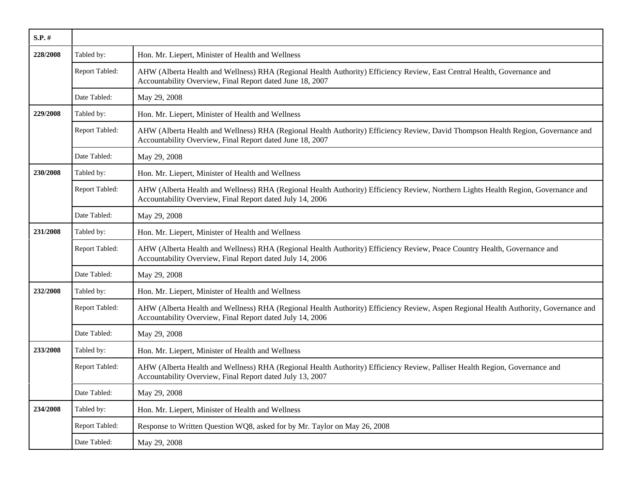| $S.P.$ # |                |                                                                                                                                                                                                   |
|----------|----------------|---------------------------------------------------------------------------------------------------------------------------------------------------------------------------------------------------|
| 228/2008 | Tabled by:     | Hon. Mr. Liepert, Minister of Health and Wellness                                                                                                                                                 |
|          | Report Tabled: | AHW (Alberta Health and Wellness) RHA (Regional Health Authority) Efficiency Review, East Central Health, Governance and<br>Accountability Overview, Final Report dated June 18, 2007             |
|          | Date Tabled:   | May 29, 2008                                                                                                                                                                                      |
| 229/2008 | Tabled by:     | Hon. Mr. Liepert, Minister of Health and Wellness                                                                                                                                                 |
|          | Report Tabled: | AHW (Alberta Health and Wellness) RHA (Regional Health Authority) Efficiency Review, David Thompson Health Region, Governance and<br>Accountability Overview, Final Report dated June 18, 2007    |
|          | Date Tabled:   | May 29, 2008                                                                                                                                                                                      |
| 230/2008 | Tabled by:     | Hon. Mr. Liepert, Minister of Health and Wellness                                                                                                                                                 |
|          | Report Tabled: | AHW (Alberta Health and Wellness) RHA (Regional Health Authority) Efficiency Review, Northern Lights Health Region, Governance and<br>Accountability Overview, Final Report dated July 14, 2006   |
|          | Date Tabled:   | May 29, 2008                                                                                                                                                                                      |
| 231/2008 | Tabled by:     | Hon. Mr. Liepert, Minister of Health and Wellness                                                                                                                                                 |
|          | Report Tabled: | AHW (Alberta Health and Wellness) RHA (Regional Health Authority) Efficiency Review, Peace Country Health, Governance and<br>Accountability Overview, Final Report dated July 14, 2006            |
|          | Date Tabled:   | May 29, 2008                                                                                                                                                                                      |
| 232/2008 | Tabled by:     | Hon. Mr. Liepert, Minister of Health and Wellness                                                                                                                                                 |
|          | Report Tabled: | AHW (Alberta Health and Wellness) RHA (Regional Health Authority) Efficiency Review, Aspen Regional Health Authority, Governance and<br>Accountability Overview, Final Report dated July 14, 2006 |
|          | Date Tabled:   | May 29, 2008                                                                                                                                                                                      |
| 233/2008 | Tabled by:     | Hon. Mr. Liepert, Minister of Health and Wellness                                                                                                                                                 |
|          | Report Tabled: | AHW (Alberta Health and Wellness) RHA (Regional Health Authority) Efficiency Review, Palliser Health Region, Governance and<br>Accountability Overview, Final Report dated July 13, 2007          |
|          | Date Tabled:   | May 29, 2008                                                                                                                                                                                      |
| 234/2008 | Tabled by:     | Hon. Mr. Liepert, Minister of Health and Wellness                                                                                                                                                 |
|          | Report Tabled: | Response to Written Question WQ8, asked for by Mr. Taylor on May 26, 2008                                                                                                                         |
|          | Date Tabled:   | May 29, 2008                                                                                                                                                                                      |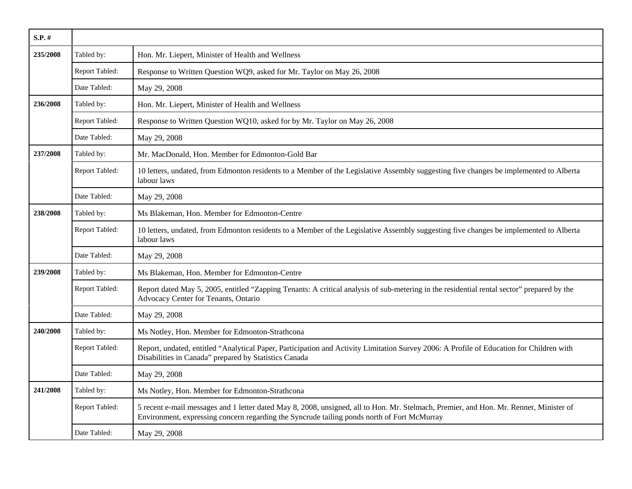| $S.P.$ # |                |                                                                                                                                                                                                                                       |
|----------|----------------|---------------------------------------------------------------------------------------------------------------------------------------------------------------------------------------------------------------------------------------|
| 235/2008 | Tabled by:     | Hon. Mr. Liepert, Minister of Health and Wellness                                                                                                                                                                                     |
|          | Report Tabled: | Response to Written Question WQ9, asked for Mr. Taylor on May 26, 2008                                                                                                                                                                |
|          | Date Tabled:   | May 29, 2008                                                                                                                                                                                                                          |
| 236/2008 | Tabled by:     | Hon. Mr. Liepert, Minister of Health and Wellness                                                                                                                                                                                     |
|          | Report Tabled: | Response to Written Question WQ10, asked for by Mr. Taylor on May 26, 2008                                                                                                                                                            |
|          | Date Tabled:   | May 29, 2008                                                                                                                                                                                                                          |
| 237/2008 | Tabled by:     | Mr. MacDonald, Hon. Member for Edmonton-Gold Bar                                                                                                                                                                                      |
|          | Report Tabled: | 10 letters, undated, from Edmonton residents to a Member of the Legislative Assembly suggesting five changes be implemented to Alberta<br>labour laws                                                                                 |
|          | Date Tabled:   | May 29, 2008                                                                                                                                                                                                                          |
| 238/2008 | Tabled by:     | Ms Blakeman, Hon. Member for Edmonton-Centre                                                                                                                                                                                          |
|          | Report Tabled: | 10 letters, undated, from Edmonton residents to a Member of the Legislative Assembly suggesting five changes be implemented to Alberta<br>labour laws                                                                                 |
|          | Date Tabled:   | May 29, 2008                                                                                                                                                                                                                          |
| 239/2008 | Tabled by:     | Ms Blakeman, Hon. Member for Edmonton-Centre                                                                                                                                                                                          |
|          | Report Tabled: | Report dated May 5, 2005, entitled "Zapping Tenants: A critical analysis of sub-metering in the residential rental sector" prepared by the<br>Advocacy Center for Tenants, Ontario                                                    |
|          | Date Tabled:   | May 29, 2008                                                                                                                                                                                                                          |
| 240/2008 | Tabled by:     | Ms Notley, Hon. Member for Edmonton-Strathcona                                                                                                                                                                                        |
|          | Report Tabled: | Report, undated, entitled "Analytical Paper, Participation and Activity Limitation Survey 2006: A Profile of Education for Children with<br>Disabilities in Canada" prepared by Statistics Canada                                     |
|          | Date Tabled:   | May 29, 2008                                                                                                                                                                                                                          |
| 241/2008 | Tabled by:     | Ms Notley, Hon. Member for Edmonton-Strathcona                                                                                                                                                                                        |
|          | Report Tabled: | 5 recent e-mail messages and 1 letter dated May 8, 2008, unsigned, all to Hon. Mr. Stelmach, Premier, and Hon. Mr. Renner, Minister of<br>Environment, expressing concern regarding the Syncrude tailing ponds north of Fort McMurray |
|          | Date Tabled:   | May 29, 2008                                                                                                                                                                                                                          |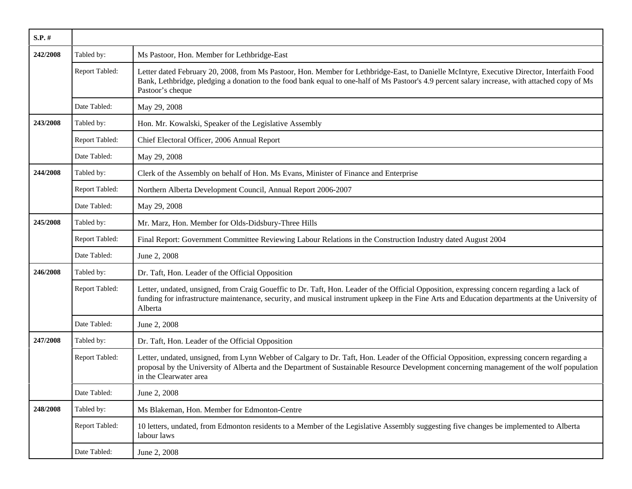| $S.P.$ # |                |                                                                                                                                                                                                                                                                                                                   |
|----------|----------------|-------------------------------------------------------------------------------------------------------------------------------------------------------------------------------------------------------------------------------------------------------------------------------------------------------------------|
| 242/2008 | Tabled by:     | Ms Pastoor, Hon. Member for Lethbridge-East                                                                                                                                                                                                                                                                       |
|          | Report Tabled: | Letter dated February 20, 2008, from Ms Pastoor, Hon. Member for Lethbridge-East, to Danielle McIntyre, Executive Director, Interfaith Food<br>Bank, Lethbridge, pledging a donation to the food bank equal to one-half of Ms Pastoor's 4.9 percent salary increase, with attached copy of Ms<br>Pastoor's cheque |
|          | Date Tabled:   | May 29, 2008                                                                                                                                                                                                                                                                                                      |
| 243/2008 | Tabled by:     | Hon. Mr. Kowalski, Speaker of the Legislative Assembly                                                                                                                                                                                                                                                            |
|          | Report Tabled: | Chief Electoral Officer, 2006 Annual Report                                                                                                                                                                                                                                                                       |
|          | Date Tabled:   | May 29, 2008                                                                                                                                                                                                                                                                                                      |
| 244/2008 | Tabled by:     | Clerk of the Assembly on behalf of Hon. Ms Evans, Minister of Finance and Enterprise                                                                                                                                                                                                                              |
|          | Report Tabled: | Northern Alberta Development Council, Annual Report 2006-2007                                                                                                                                                                                                                                                     |
|          | Date Tabled:   | May 29, 2008                                                                                                                                                                                                                                                                                                      |
| 245/2008 | Tabled by:     | Mr. Marz, Hon. Member for Olds-Didsbury-Three Hills                                                                                                                                                                                                                                                               |
|          | Report Tabled: | Final Report: Government Committee Reviewing Labour Relations in the Construction Industry dated August 2004                                                                                                                                                                                                      |
|          | Date Tabled:   | June 2, 2008                                                                                                                                                                                                                                                                                                      |
| 246/2008 | Tabled by:     | Dr. Taft, Hon. Leader of the Official Opposition                                                                                                                                                                                                                                                                  |
|          | Report Tabled: | Letter, undated, unsigned, from Craig Goueffic to Dr. Taft, Hon. Leader of the Official Opposition, expressing concern regarding a lack of<br>funding for infrastructure maintenance, security, and musical instrument upkeep in the Fine Arts and Education departments at the University of<br>Alberta          |
|          | Date Tabled:   | June 2, 2008                                                                                                                                                                                                                                                                                                      |
| 247/2008 | Tabled by:     | Dr. Taft, Hon. Leader of the Official Opposition                                                                                                                                                                                                                                                                  |
|          | Report Tabled: | Letter, undated, unsigned, from Lynn Webber of Calgary to Dr. Taft, Hon. Leader of the Official Opposition, expressing concern regarding a<br>proposal by the University of Alberta and the Department of Sustainable Resource Development concerning management of the wolf population<br>in the Clearwater area |
|          | Date Tabled:   | June 2, 2008                                                                                                                                                                                                                                                                                                      |
| 248/2008 | Tabled by:     | Ms Blakeman, Hon. Member for Edmonton-Centre                                                                                                                                                                                                                                                                      |
|          | Report Tabled: | 10 letters, undated, from Edmonton residents to a Member of the Legislative Assembly suggesting five changes be implemented to Alberta<br>labour laws                                                                                                                                                             |
|          | Date Tabled:   | June 2, 2008                                                                                                                                                                                                                                                                                                      |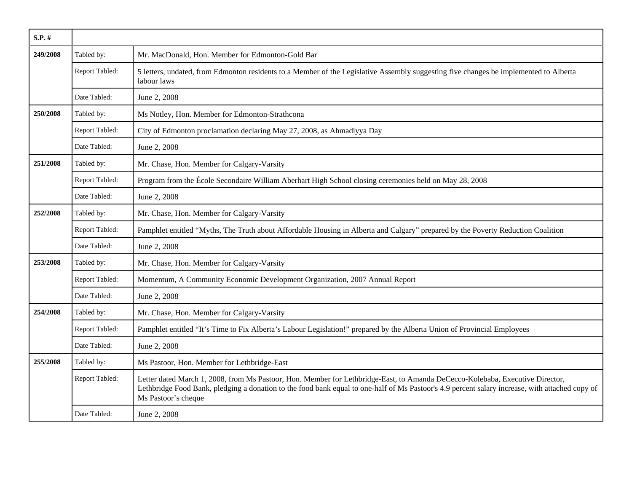| $S.P.$ #        |                |                                                                                                                                                                                                                                                                                                         |
|-----------------|----------------|---------------------------------------------------------------------------------------------------------------------------------------------------------------------------------------------------------------------------------------------------------------------------------------------------------|
| 249/2008        | Tabled by:     | Mr. MacDonald, Hon. Member for Edmonton-Gold Bar                                                                                                                                                                                                                                                        |
|                 | Report Tabled: | 5 letters, undated, from Edmonton residents to a Member of the Legislative Assembly suggesting five changes be implemented to Alberta<br>labour laws                                                                                                                                                    |
|                 | Date Tabled:   | June 2, 2008                                                                                                                                                                                                                                                                                            |
| 250/2008        | Tabled by:     | Ms Notley, Hon. Member for Edmonton-Strathcona                                                                                                                                                                                                                                                          |
|                 | Report Tabled: | City of Edmonton proclamation declaring May 27, 2008, as Ahmadiyya Day                                                                                                                                                                                                                                  |
|                 | Date Tabled:   | June 2, 2008                                                                                                                                                                                                                                                                                            |
| 251/2008        | Tabled by:     | Mr. Chase, Hon. Member for Calgary-Varsity                                                                                                                                                                                                                                                              |
|                 | Report Tabled: | Program from the École Secondaire William Aberhart High School closing ceremonies held on May 28, 2008                                                                                                                                                                                                  |
|                 | Date Tabled:   | June 2, 2008                                                                                                                                                                                                                                                                                            |
| 252/2008        | Tabled by:     | Mr. Chase, Hon. Member for Calgary-Varsity                                                                                                                                                                                                                                                              |
|                 | Report Tabled: | Pamphlet entitled "Myths, The Truth about Affordable Housing in Alberta and Calgary" prepared by the Poverty Reduction Coalition                                                                                                                                                                        |
|                 | Date Tabled:   | June 2, 2008                                                                                                                                                                                                                                                                                            |
| <b>253/2008</b> | Tabled by:     | Mr. Chase, Hon. Member for Calgary-Varsity                                                                                                                                                                                                                                                              |
|                 | Report Tabled: | Momentum, A Community Economic Development Organization, 2007 Annual Report                                                                                                                                                                                                                             |
|                 | Date Tabled:   | June 2, 2008                                                                                                                                                                                                                                                                                            |
| 254/2008        | Tabled by:     | Mr. Chase, Hon. Member for Calgary-Varsity                                                                                                                                                                                                                                                              |
|                 | Report Tabled: | Pamphlet entitled "It's Time to Fix Alberta's Labour Legislation!" prepared by the Alberta Union of Provincial Employees                                                                                                                                                                                |
|                 | Date Tabled:   | June 2, 2008                                                                                                                                                                                                                                                                                            |
| 255/2008        | Tabled by:     | Ms Pastoor, Hon. Member for Lethbridge-East                                                                                                                                                                                                                                                             |
|                 | Report Tabled: | Letter dated March 1, 2008, from Ms Pastoor, Hon. Member for Lethbridge-East, to Amanda DeCecco-Kolebaba, Executive Director,<br>Lethbridge Food Bank, pledging a donation to the food bank equal to one-half of Ms Pastoor's 4.9 percent salary increase, with attached copy of<br>Ms Pastoor's cheque |
|                 | Date Tabled:   | June 2, 2008                                                                                                                                                                                                                                                                                            |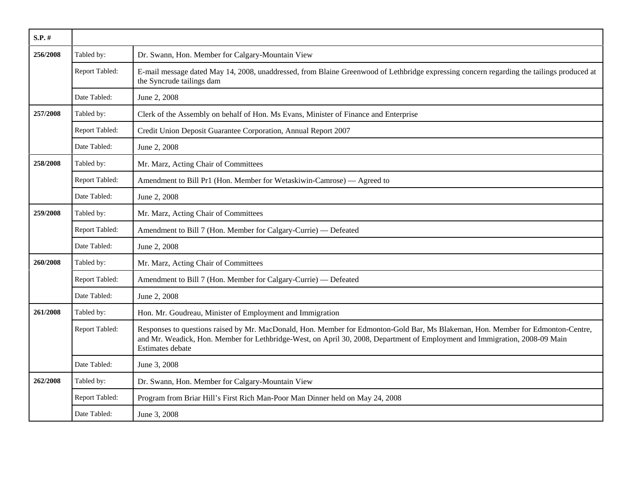| $S.P.$ # |                |                                                                                                                                                                                                                                                                                     |
|----------|----------------|-------------------------------------------------------------------------------------------------------------------------------------------------------------------------------------------------------------------------------------------------------------------------------------|
| 256/2008 | Tabled by:     | Dr. Swann, Hon. Member for Calgary-Mountain View                                                                                                                                                                                                                                    |
|          | Report Tabled: | E-mail message dated May 14, 2008, unaddressed, from Blaine Greenwood of Lethbridge expressing concern regarding the tailings produced at<br>the Syncrude tailings dam                                                                                                              |
|          | Date Tabled:   | June 2, 2008                                                                                                                                                                                                                                                                        |
| 257/2008 | Tabled by:     | Clerk of the Assembly on behalf of Hon. Ms Evans, Minister of Finance and Enterprise                                                                                                                                                                                                |
|          | Report Tabled: | Credit Union Deposit Guarantee Corporation, Annual Report 2007                                                                                                                                                                                                                      |
|          | Date Tabled:   | June 2, 2008                                                                                                                                                                                                                                                                        |
| 258/2008 | Tabled by:     | Mr. Marz, Acting Chair of Committees                                                                                                                                                                                                                                                |
|          | Report Tabled: | Amendment to Bill Pr1 (Hon. Member for Wetaskiwin-Camrose) — Agreed to                                                                                                                                                                                                              |
|          | Date Tabled:   | June 2, 2008                                                                                                                                                                                                                                                                        |
| 259/2008 | Tabled by:     | Mr. Marz, Acting Chair of Committees                                                                                                                                                                                                                                                |
|          | Report Tabled: | Amendment to Bill 7 (Hon. Member for Calgary-Currie) — Defeated                                                                                                                                                                                                                     |
|          | Date Tabled:   | June 2, 2008                                                                                                                                                                                                                                                                        |
| 260/2008 | Tabled by:     | Mr. Marz, Acting Chair of Committees                                                                                                                                                                                                                                                |
|          | Report Tabled: | Amendment to Bill 7 (Hon. Member for Calgary-Currie) — Defeated                                                                                                                                                                                                                     |
|          | Date Tabled:   | June 2, 2008                                                                                                                                                                                                                                                                        |
| 261/2008 | Tabled by:     | Hon. Mr. Goudreau, Minister of Employment and Immigration                                                                                                                                                                                                                           |
|          | Report Tabled: | Responses to questions raised by Mr. MacDonald, Hon. Member for Edmonton-Gold Bar, Ms Blakeman, Hon. Member for Edmonton-Centre,<br>and Mr. Weadick, Hon. Member for Lethbridge-West, on April 30, 2008, Department of Employment and Immigration, 2008-09 Main<br>Estimates debate |
|          | Date Tabled:   | June 3, 2008                                                                                                                                                                                                                                                                        |
| 262/2008 | Tabled by:     | Dr. Swann, Hon. Member for Calgary-Mountain View                                                                                                                                                                                                                                    |
|          | Report Tabled: | Program from Briar Hill's First Rich Man-Poor Man Dinner held on May 24, 2008                                                                                                                                                                                                       |
|          | Date Tabled:   | June 3, 2008                                                                                                                                                                                                                                                                        |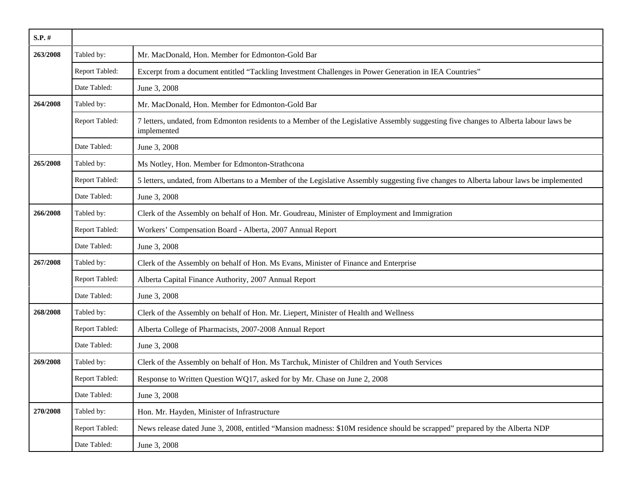| S.P. #   |                |                                                                                                                                                      |
|----------|----------------|------------------------------------------------------------------------------------------------------------------------------------------------------|
| 263/2008 | Tabled by:     | Mr. MacDonald, Hon. Member for Edmonton-Gold Bar                                                                                                     |
|          | Report Tabled: | Excerpt from a document entitled "Tackling Investment Challenges in Power Generation in IEA Countries"                                               |
|          | Date Tabled:   | June 3, 2008                                                                                                                                         |
| 264/2008 | Tabled by:     | Mr. MacDonald, Hon. Member for Edmonton-Gold Bar                                                                                                     |
|          | Report Tabled: | 7 letters, undated, from Edmonton residents to a Member of the Legislative Assembly suggesting five changes to Alberta labour laws be<br>implemented |
|          | Date Tabled:   | June 3, 2008                                                                                                                                         |
| 265/2008 | Tabled by:     | Ms Notley, Hon. Member for Edmonton-Strathcona                                                                                                       |
|          | Report Tabled: | 5 letters, undated, from Albertans to a Member of the Legislative Assembly suggesting five changes to Alberta labour laws be implemented             |
|          | Date Tabled:   | June 3, 2008                                                                                                                                         |
| 266/2008 | Tabled by:     | Clerk of the Assembly on behalf of Hon. Mr. Goudreau, Minister of Employment and Immigration                                                         |
|          | Report Tabled: | Workers' Compensation Board - Alberta, 2007 Annual Report                                                                                            |
|          | Date Tabled:   | June 3, 2008                                                                                                                                         |
| 267/2008 | Tabled by:     | Clerk of the Assembly on behalf of Hon. Ms Evans, Minister of Finance and Enterprise                                                                 |
|          | Report Tabled: | Alberta Capital Finance Authority, 2007 Annual Report                                                                                                |
|          | Date Tabled:   | June 3, 2008                                                                                                                                         |
| 268/2008 | Tabled by:     | Clerk of the Assembly on behalf of Hon. Mr. Liepert, Minister of Health and Wellness                                                                 |
|          | Report Tabled: | Alberta College of Pharmacists, 2007-2008 Annual Report                                                                                              |
|          | Date Tabled:   | June 3, 2008                                                                                                                                         |
| 269/2008 | Tabled by:     | Clerk of the Assembly on behalf of Hon. Ms Tarchuk, Minister of Children and Youth Services                                                          |
|          | Report Tabled: | Response to Written Question WQ17, asked for by Mr. Chase on June 2, 2008                                                                            |
|          | Date Tabled:   | June 3, 2008                                                                                                                                         |
| 270/2008 | Tabled by:     | Hon. Mr. Hayden, Minister of Infrastructure                                                                                                          |
|          | Report Tabled: | News release dated June 3, 2008, entitled "Mansion madness: \$10M residence should be scrapped" prepared by the Alberta NDP                          |
|          | Date Tabled:   | June 3, 2008                                                                                                                                         |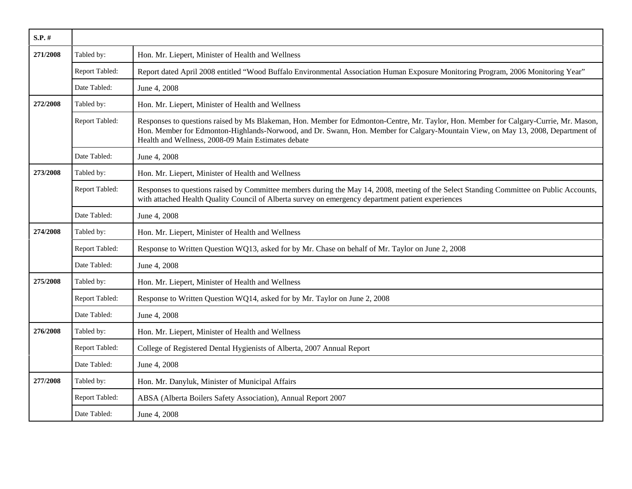| $S.P.$ # |                |                                                                                                                                                                                                                                                                                                                                 |
|----------|----------------|---------------------------------------------------------------------------------------------------------------------------------------------------------------------------------------------------------------------------------------------------------------------------------------------------------------------------------|
| 271/2008 | Tabled by:     | Hon. Mr. Liepert, Minister of Health and Wellness                                                                                                                                                                                                                                                                               |
|          | Report Tabled: | Report dated April 2008 entitled "Wood Buffalo Environmental Association Human Exposure Monitoring Program, 2006 Monitoring Year"                                                                                                                                                                                               |
|          | Date Tabled:   | June 4, 2008                                                                                                                                                                                                                                                                                                                    |
| 272/2008 | Tabled by:     | Hon. Mr. Liepert, Minister of Health and Wellness                                                                                                                                                                                                                                                                               |
|          | Report Tabled: | Responses to questions raised by Ms Blakeman, Hon. Member for Edmonton-Centre, Mr. Taylor, Hon. Member for Calgary-Currie, Mr. Mason,<br>Hon. Member for Edmonton-Highlands-Norwood, and Dr. Swann, Hon. Member for Calgary-Mountain View, on May 13, 2008, Department of<br>Health and Wellness, 2008-09 Main Estimates debate |
|          | Date Tabled:   | June 4, 2008                                                                                                                                                                                                                                                                                                                    |
| 273/2008 | Tabled by:     | Hon. Mr. Liepert, Minister of Health and Wellness                                                                                                                                                                                                                                                                               |
|          | Report Tabled: | Responses to questions raised by Committee members during the May 14, 2008, meeting of the Select Standing Committee on Public Accounts,<br>with attached Health Quality Council of Alberta survey on emergency department patient experiences                                                                                  |
|          | Date Tabled:   | June 4, 2008                                                                                                                                                                                                                                                                                                                    |
| 274/2008 | Tabled by:     | Hon. Mr. Liepert, Minister of Health and Wellness                                                                                                                                                                                                                                                                               |
|          | Report Tabled: | Response to Written Question WQ13, asked for by Mr. Chase on behalf of Mr. Taylor on June 2, 2008                                                                                                                                                                                                                               |
|          | Date Tabled:   | June 4, 2008                                                                                                                                                                                                                                                                                                                    |
| 275/2008 | Tabled by:     | Hon. Mr. Liepert, Minister of Health and Wellness                                                                                                                                                                                                                                                                               |
|          | Report Tabled: | Response to Written Question WQ14, asked for by Mr. Taylor on June 2, 2008                                                                                                                                                                                                                                                      |
|          | Date Tabled:   | June 4, 2008                                                                                                                                                                                                                                                                                                                    |
| 276/2008 | Tabled by:     | Hon. Mr. Liepert, Minister of Health and Wellness                                                                                                                                                                                                                                                                               |
|          | Report Tabled: | College of Registered Dental Hygienists of Alberta, 2007 Annual Report                                                                                                                                                                                                                                                          |
|          | Date Tabled:   | June 4, 2008                                                                                                                                                                                                                                                                                                                    |
| 277/2008 | Tabled by:     | Hon. Mr. Danyluk, Minister of Municipal Affairs                                                                                                                                                                                                                                                                                 |
|          | Report Tabled: | ABSA (Alberta Boilers Safety Association), Annual Report 2007                                                                                                                                                                                                                                                                   |
|          | Date Tabled:   | June 4, 2008                                                                                                                                                                                                                                                                                                                    |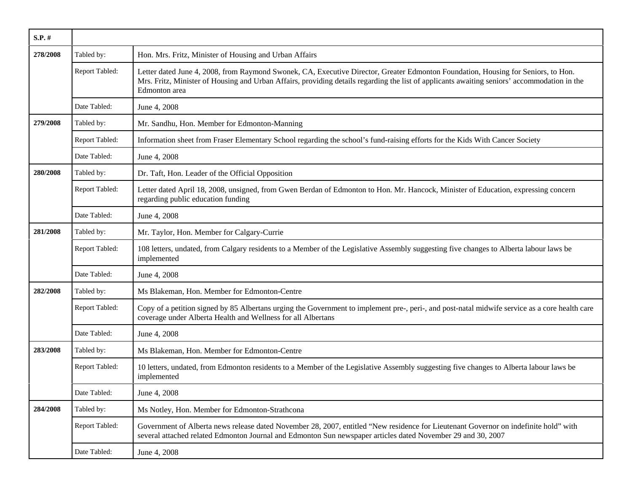| $S.P.$ # |                |                                                                                                                                                                                                                                                                                                    |
|----------|----------------|----------------------------------------------------------------------------------------------------------------------------------------------------------------------------------------------------------------------------------------------------------------------------------------------------|
| 278/2008 | Tabled by:     | Hon. Mrs. Fritz, Minister of Housing and Urban Affairs                                                                                                                                                                                                                                             |
|          | Report Tabled: | Letter dated June 4, 2008, from Raymond Swonek, CA, Executive Director, Greater Edmonton Foundation, Housing for Seniors, to Hon.<br>Mrs. Fritz, Minister of Housing and Urban Affairs, providing details regarding the list of applicants awaiting seniors' accommodation in the<br>Edmonton area |
|          | Date Tabled:   | June 4, 2008                                                                                                                                                                                                                                                                                       |
| 279/2008 | Tabled by:     | Mr. Sandhu, Hon. Member for Edmonton-Manning                                                                                                                                                                                                                                                       |
|          | Report Tabled: | Information sheet from Fraser Elementary School regarding the school's fund-raising efforts for the Kids With Cancer Society                                                                                                                                                                       |
|          | Date Tabled:   | June 4, 2008                                                                                                                                                                                                                                                                                       |
| 280/2008 | Tabled by:     | Dr. Taft, Hon. Leader of the Official Opposition                                                                                                                                                                                                                                                   |
|          | Report Tabled: | Letter dated April 18, 2008, unsigned, from Gwen Berdan of Edmonton to Hon. Mr. Hancock, Minister of Education, expressing concern<br>regarding public education funding                                                                                                                           |
|          | Date Tabled:   | June 4, 2008                                                                                                                                                                                                                                                                                       |
| 281/2008 | Tabled by:     | Mr. Taylor, Hon. Member for Calgary-Currie                                                                                                                                                                                                                                                         |
|          | Report Tabled: | 108 letters, undated, from Calgary residents to a Member of the Legislative Assembly suggesting five changes to Alberta labour laws be<br>implemented                                                                                                                                              |
|          | Date Tabled:   | June 4, 2008                                                                                                                                                                                                                                                                                       |
| 282/2008 | Tabled by:     | Ms Blakeman, Hon. Member for Edmonton-Centre                                                                                                                                                                                                                                                       |
|          | Report Tabled: | Copy of a petition signed by 85 Albertans urging the Government to implement pre-, peri-, and post-natal midwife service as a core health care<br>coverage under Alberta Health and Wellness for all Albertans                                                                                     |
|          | Date Tabled:   | June 4, 2008                                                                                                                                                                                                                                                                                       |
| 283/2008 | Tabled by:     | Ms Blakeman, Hon. Member for Edmonton-Centre                                                                                                                                                                                                                                                       |
|          | Report Tabled: | 10 letters, undated, from Edmonton residents to a Member of the Legislative Assembly suggesting five changes to Alberta labour laws be<br>implemented                                                                                                                                              |
|          | Date Tabled:   | June 4, 2008                                                                                                                                                                                                                                                                                       |
| 284/2008 | Tabled by:     | Ms Notley, Hon. Member for Edmonton-Strathcona                                                                                                                                                                                                                                                     |
|          | Report Tabled: | Government of Alberta news release dated November 28, 2007, entitled "New residence for Lieutenant Governor on indefinite hold" with<br>several attached related Edmonton Journal and Edmonton Sun newspaper articles dated November 29 and 30, 2007                                               |
|          | Date Tabled:   | June 4, 2008                                                                                                                                                                                                                                                                                       |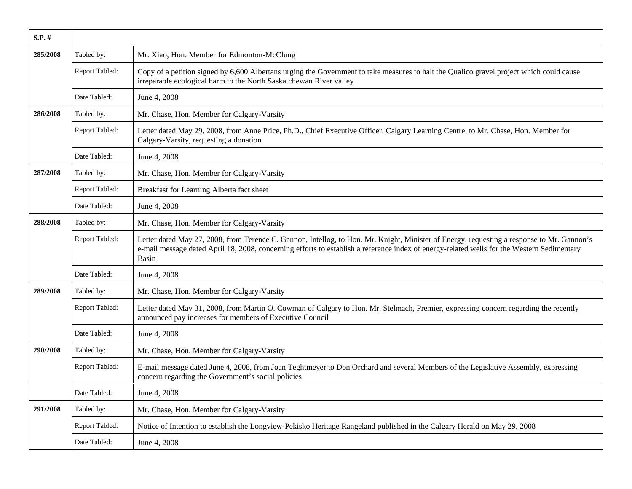| S.P.#    |                |                                                                                                                                                                                                                                                                                                   |
|----------|----------------|---------------------------------------------------------------------------------------------------------------------------------------------------------------------------------------------------------------------------------------------------------------------------------------------------|
| 285/2008 | Tabled by:     | Mr. Xiao, Hon. Member for Edmonton-McClung                                                                                                                                                                                                                                                        |
|          | Report Tabled: | Copy of a petition signed by 6,600 Albertans urging the Government to take measures to halt the Qualico gravel project which could cause<br>irreparable ecological harm to the North Saskatchewan River valley                                                                                    |
|          | Date Tabled:   | June 4, 2008                                                                                                                                                                                                                                                                                      |
| 286/2008 | Tabled by:     | Mr. Chase, Hon. Member for Calgary-Varsity                                                                                                                                                                                                                                                        |
|          | Report Tabled: | Letter dated May 29, 2008, from Anne Price, Ph.D., Chief Executive Officer, Calgary Learning Centre, to Mr. Chase, Hon. Member for<br>Calgary-Varsity, requesting a donation                                                                                                                      |
|          | Date Tabled:   | June 4, 2008                                                                                                                                                                                                                                                                                      |
| 287/2008 | Tabled by:     | Mr. Chase, Hon. Member for Calgary-Varsity                                                                                                                                                                                                                                                        |
|          | Report Tabled: | Breakfast for Learning Alberta fact sheet                                                                                                                                                                                                                                                         |
|          | Date Tabled:   | June 4, 2008                                                                                                                                                                                                                                                                                      |
| 288/2008 | Tabled by:     | Mr. Chase, Hon. Member for Calgary-Varsity                                                                                                                                                                                                                                                        |
|          | Report Tabled: | Letter dated May 27, 2008, from Terence C. Gannon, Intellog, to Hon. Mr. Knight, Minister of Energy, requesting a response to Mr. Gannon's<br>e-mail message dated April 18, 2008, concerning efforts to establish a reference index of energy-related wells for the Western Sedimentary<br>Basin |
|          | Date Tabled:   | June 4, 2008                                                                                                                                                                                                                                                                                      |
| 289/2008 | Tabled by:     | Mr. Chase, Hon. Member for Calgary-Varsity                                                                                                                                                                                                                                                        |
|          | Report Tabled: | Letter dated May 31, 2008, from Martin O. Cowman of Calgary to Hon. Mr. Stelmach, Premier, expressing concern regarding the recently<br>announced pay increases for members of Executive Council                                                                                                  |
|          | Date Tabled:   | June 4, 2008                                                                                                                                                                                                                                                                                      |
| 290/2008 | Tabled by:     | Mr. Chase, Hon. Member for Calgary-Varsity                                                                                                                                                                                                                                                        |
|          | Report Tabled: | E-mail message dated June 4, 2008, from Joan Teghtmeyer to Don Orchard and several Members of the Legislative Assembly, expressing<br>concern regarding the Government's social policies                                                                                                          |
|          | Date Tabled:   | June 4, 2008                                                                                                                                                                                                                                                                                      |
| 291/2008 | Tabled by:     | Mr. Chase, Hon. Member for Calgary-Varsity                                                                                                                                                                                                                                                        |
|          | Report Tabled: | Notice of Intention to establish the Longview-Pekisko Heritage Rangeland published in the Calgary Herald on May 29, 2008                                                                                                                                                                          |
|          | Date Tabled:   | June 4, 2008                                                                                                                                                                                                                                                                                      |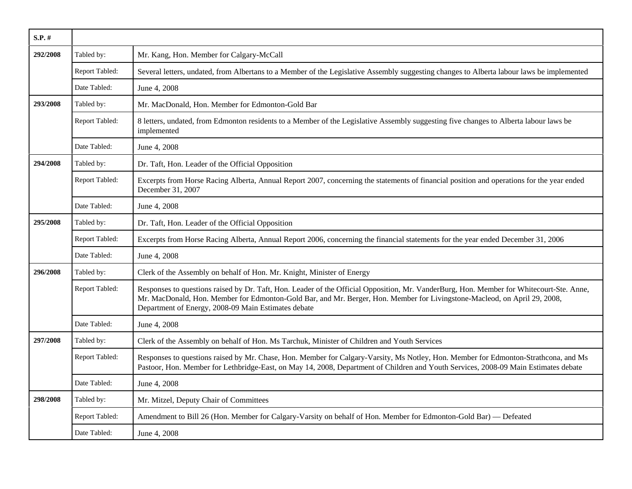| $S.P.$ # |                |                                                                                                                                                                                                                                                                                                                              |
|----------|----------------|------------------------------------------------------------------------------------------------------------------------------------------------------------------------------------------------------------------------------------------------------------------------------------------------------------------------------|
| 292/2008 | Tabled by:     | Mr. Kang, Hon. Member for Calgary-McCall                                                                                                                                                                                                                                                                                     |
|          | Report Tabled: | Several letters, undated, from Albertans to a Member of the Legislative Assembly suggesting changes to Alberta labour laws be implemented                                                                                                                                                                                    |
|          | Date Tabled:   | June 4, 2008                                                                                                                                                                                                                                                                                                                 |
| 293/2008 | Tabled by:     | Mr. MacDonald, Hon. Member for Edmonton-Gold Bar                                                                                                                                                                                                                                                                             |
|          | Report Tabled: | 8 letters, undated, from Edmonton residents to a Member of the Legislative Assembly suggesting five changes to Alberta labour laws be<br>implemented                                                                                                                                                                         |
|          | Date Tabled:   | June 4, 2008                                                                                                                                                                                                                                                                                                                 |
| 294/2008 | Tabled by:     | Dr. Taft, Hon. Leader of the Official Opposition                                                                                                                                                                                                                                                                             |
|          | Report Tabled: | Excerpts from Horse Racing Alberta, Annual Report 2007, concerning the statements of financial position and operations for the year ended<br>December 31, 2007                                                                                                                                                               |
|          | Date Tabled:   | June 4, 2008                                                                                                                                                                                                                                                                                                                 |
| 295/2008 | Tabled by:     | Dr. Taft, Hon. Leader of the Official Opposition                                                                                                                                                                                                                                                                             |
|          | Report Tabled: | Excerpts from Horse Racing Alberta, Annual Report 2006, concerning the financial statements for the year ended December 31, 2006                                                                                                                                                                                             |
|          | Date Tabled:   | June 4, 2008                                                                                                                                                                                                                                                                                                                 |
| 296/2008 | Tabled by:     | Clerk of the Assembly on behalf of Hon. Mr. Knight, Minister of Energy                                                                                                                                                                                                                                                       |
|          | Report Tabled: | Responses to questions raised by Dr. Taft, Hon. Leader of the Official Opposition, Mr. VanderBurg, Hon. Member for Whitecourt-Ste. Anne,<br>Mr. MacDonald, Hon. Member for Edmonton-Gold Bar, and Mr. Berger, Hon. Member for Livingstone-Macleod, on April 29, 2008,<br>Department of Energy, 2008-09 Main Estimates debate |
|          | Date Tabled:   | June 4, 2008                                                                                                                                                                                                                                                                                                                 |
| 297/2008 | Tabled by:     | Clerk of the Assembly on behalf of Hon. Ms Tarchuk, Minister of Children and Youth Services                                                                                                                                                                                                                                  |
|          | Report Tabled: | Responses to questions raised by Mr. Chase, Hon. Member for Calgary-Varsity, Ms Notley, Hon. Member for Edmonton-Strathcona, and Ms<br>Pastoor, Hon. Member for Lethbridge-East, on May 14, 2008, Department of Children and Youth Services, 2008-09 Main Estimates debate                                                   |
|          | Date Tabled:   | June 4, 2008                                                                                                                                                                                                                                                                                                                 |
| 298/2008 | Tabled by:     | Mr. Mitzel, Deputy Chair of Committees                                                                                                                                                                                                                                                                                       |
|          | Report Tabled: | Amendment to Bill 26 (Hon. Member for Calgary-Varsity on behalf of Hon. Member for Edmonton-Gold Bar) — Defeated                                                                                                                                                                                                             |
|          | Date Tabled:   | June 4, 2008                                                                                                                                                                                                                                                                                                                 |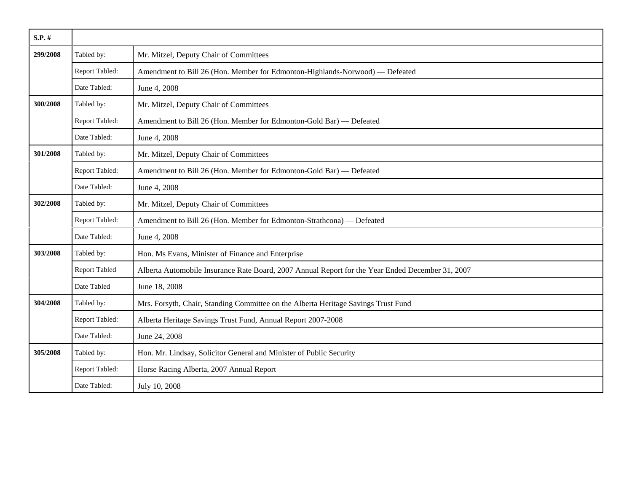| $S.P.$ # |                      |                                                                                                  |
|----------|----------------------|--------------------------------------------------------------------------------------------------|
| 299/2008 | Tabled by:           | Mr. Mitzel, Deputy Chair of Committees                                                           |
|          | Report Tabled:       | Amendment to Bill 26 (Hon. Member for Edmonton-Highlands-Norwood) — Defeated                     |
|          | Date Tabled:         | June 4, 2008                                                                                     |
| 300/2008 | Tabled by:           | Mr. Mitzel, Deputy Chair of Committees                                                           |
|          | Report Tabled:       | Amendment to Bill 26 (Hon. Member for Edmonton-Gold Bar) — Defeated                              |
|          | Date Tabled:         | June 4, 2008                                                                                     |
| 301/2008 | Tabled by:           | Mr. Mitzel, Deputy Chair of Committees                                                           |
|          | Report Tabled:       | Amendment to Bill 26 (Hon. Member for Edmonton-Gold Bar) — Defeated                              |
|          | Date Tabled:         | June 4, 2008                                                                                     |
| 302/2008 | Tabled by:           | Mr. Mitzel, Deputy Chair of Committees                                                           |
|          | Report Tabled:       | Amendment to Bill 26 (Hon. Member for Edmonton-Strathcona) — Defeated                            |
|          | Date Tabled:         | June 4, 2008                                                                                     |
| 303/2008 | Tabled by:           | Hon. Ms Evans, Minister of Finance and Enterprise                                                |
|          | <b>Report Tabled</b> | Alberta Automobile Insurance Rate Board, 2007 Annual Report for the Year Ended December 31, 2007 |
|          | Date Tabled          | June 18, 2008                                                                                    |
| 304/2008 | Tabled by:           | Mrs. Forsyth, Chair, Standing Committee on the Alberta Heritage Savings Trust Fund               |
|          | Report Tabled:       | Alberta Heritage Savings Trust Fund, Annual Report 2007-2008                                     |
|          | Date Tabled:         | June 24, 2008                                                                                    |
| 305/2008 | Tabled by:           | Hon. Mr. Lindsay, Solicitor General and Minister of Public Security                              |
|          | Report Tabled:       | Horse Racing Alberta, 2007 Annual Report                                                         |
|          | Date Tabled:         | July 10, 2008                                                                                    |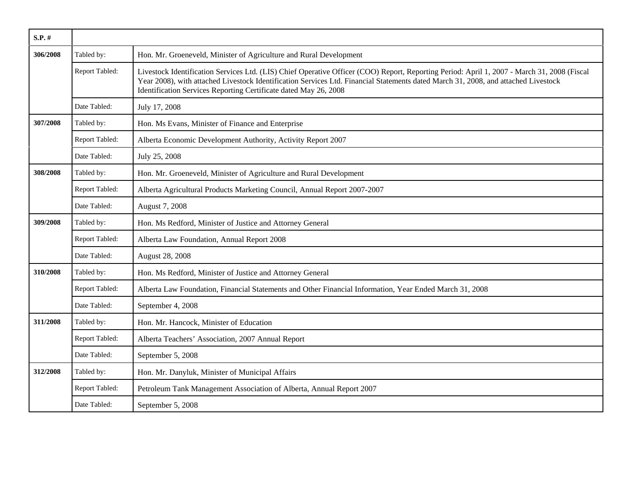| $S.P.$ # |                |                                                                                                                                                                                                                                                                                                                                                       |
|----------|----------------|-------------------------------------------------------------------------------------------------------------------------------------------------------------------------------------------------------------------------------------------------------------------------------------------------------------------------------------------------------|
| 306/2008 | Tabled by:     | Hon. Mr. Groeneveld, Minister of Agriculture and Rural Development                                                                                                                                                                                                                                                                                    |
|          | Report Tabled: | Livestock Identification Services Ltd. (LIS) Chief Operative Officer (COO) Report, Reporting Period: April 1, 2007 - March 31, 2008 (Fiscal<br>Year 2008), with attached Livestock Identification Services Ltd. Financial Statements dated March 31, 2008, and attached Livestock<br>Identification Services Reporting Certificate dated May 26, 2008 |
|          | Date Tabled:   | July 17, 2008                                                                                                                                                                                                                                                                                                                                         |
| 307/2008 | Tabled by:     | Hon. Ms Evans, Minister of Finance and Enterprise                                                                                                                                                                                                                                                                                                     |
|          | Report Tabled: | Alberta Economic Development Authority, Activity Report 2007                                                                                                                                                                                                                                                                                          |
|          | Date Tabled:   | July 25, 2008                                                                                                                                                                                                                                                                                                                                         |
| 308/2008 | Tabled by:     | Hon. Mr. Groeneveld, Minister of Agriculture and Rural Development                                                                                                                                                                                                                                                                                    |
|          | Report Tabled: | Alberta Agricultural Products Marketing Council, Annual Report 2007-2007                                                                                                                                                                                                                                                                              |
|          | Date Tabled:   | August 7, 2008                                                                                                                                                                                                                                                                                                                                        |
| 309/2008 | Tabled by:     | Hon. Ms Redford, Minister of Justice and Attorney General                                                                                                                                                                                                                                                                                             |
|          | Report Tabled: | Alberta Law Foundation, Annual Report 2008                                                                                                                                                                                                                                                                                                            |
|          | Date Tabled:   | August 28, 2008                                                                                                                                                                                                                                                                                                                                       |
| 310/2008 | Tabled by:     | Hon. Ms Redford, Minister of Justice and Attorney General                                                                                                                                                                                                                                                                                             |
|          | Report Tabled: | Alberta Law Foundation, Financial Statements and Other Financial Information, Year Ended March 31, 2008                                                                                                                                                                                                                                               |
|          | Date Tabled:   | September 4, 2008                                                                                                                                                                                                                                                                                                                                     |
| 311/2008 | Tabled by:     | Hon. Mr. Hancock, Minister of Education                                                                                                                                                                                                                                                                                                               |
|          | Report Tabled: | Alberta Teachers' Association, 2007 Annual Report                                                                                                                                                                                                                                                                                                     |
|          | Date Tabled:   | September 5, 2008                                                                                                                                                                                                                                                                                                                                     |
| 312/2008 | Tabled by:     | Hon. Mr. Danyluk, Minister of Municipal Affairs                                                                                                                                                                                                                                                                                                       |
|          | Report Tabled: | Petroleum Tank Management Association of Alberta, Annual Report 2007                                                                                                                                                                                                                                                                                  |
|          | Date Tabled:   | September 5, 2008                                                                                                                                                                                                                                                                                                                                     |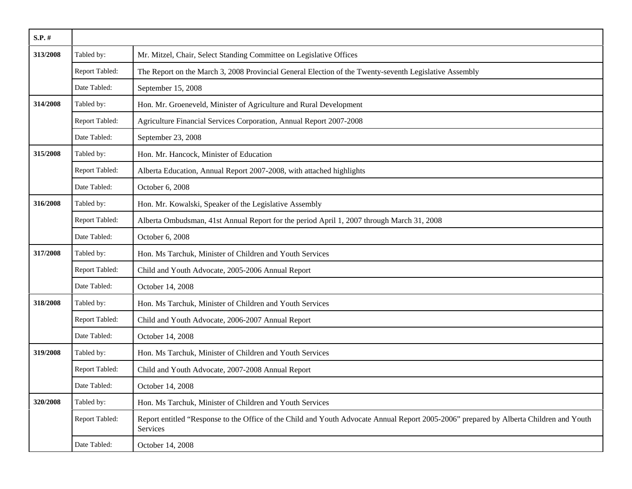| S.P. #   |                |                                                                                                                                                     |
|----------|----------------|-----------------------------------------------------------------------------------------------------------------------------------------------------|
| 313/2008 | Tabled by:     | Mr. Mitzel, Chair, Select Standing Committee on Legislative Offices                                                                                 |
|          | Report Tabled: | The Report on the March 3, 2008 Provincial General Election of the Twenty-seventh Legislative Assembly                                              |
|          | Date Tabled:   | September 15, 2008                                                                                                                                  |
| 314/2008 | Tabled by:     | Hon. Mr. Groeneveld, Minister of Agriculture and Rural Development                                                                                  |
|          | Report Tabled: | Agriculture Financial Services Corporation, Annual Report 2007-2008                                                                                 |
|          | Date Tabled:   | September 23, 2008                                                                                                                                  |
| 315/2008 | Tabled by:     | Hon. Mr. Hancock, Minister of Education                                                                                                             |
|          | Report Tabled: | Alberta Education, Annual Report 2007-2008, with attached highlights                                                                                |
|          | Date Tabled:   | October 6, 2008                                                                                                                                     |
| 316/2008 | Tabled by:     | Hon. Mr. Kowalski, Speaker of the Legislative Assembly                                                                                              |
|          | Report Tabled: | Alberta Ombudsman, 41st Annual Report for the period April 1, 2007 through March 31, 2008                                                           |
|          | Date Tabled:   | October 6, 2008                                                                                                                                     |
| 317/2008 | Tabled by:     | Hon. Ms Tarchuk, Minister of Children and Youth Services                                                                                            |
|          | Report Tabled: | Child and Youth Advocate, 2005-2006 Annual Report                                                                                                   |
|          | Date Tabled:   | October 14, 2008                                                                                                                                    |
| 318/2008 | Tabled by:     | Hon. Ms Tarchuk, Minister of Children and Youth Services                                                                                            |
|          | Report Tabled: | Child and Youth Advocate, 2006-2007 Annual Report                                                                                                   |
|          | Date Tabled:   | October 14, 2008                                                                                                                                    |
| 319/2008 | Tabled by:     | Hon. Ms Tarchuk, Minister of Children and Youth Services                                                                                            |
|          | Report Tabled: | Child and Youth Advocate, 2007-2008 Annual Report                                                                                                   |
|          | Date Tabled:   | October 14, 2008                                                                                                                                    |
| 320/2008 | Tabled by:     | Hon. Ms Tarchuk, Minister of Children and Youth Services                                                                                            |
|          | Report Tabled: | Report entitled "Response to the Office of the Child and Youth Advocate Annual Report 2005-2006" prepared by Alberta Children and Youth<br>Services |
|          | Date Tabled:   | October 14, 2008                                                                                                                                    |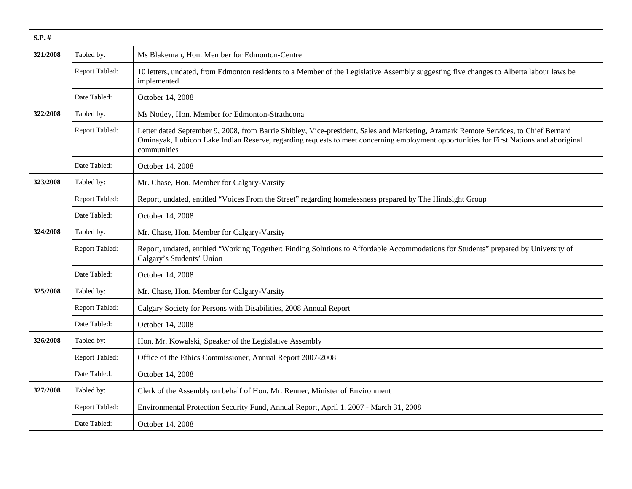| $S.P.$ # |                |                                                                                                                                                                                                                                                                                              |
|----------|----------------|----------------------------------------------------------------------------------------------------------------------------------------------------------------------------------------------------------------------------------------------------------------------------------------------|
| 321/2008 | Tabled by:     | Ms Blakeman, Hon. Member for Edmonton-Centre                                                                                                                                                                                                                                                 |
|          | Report Tabled: | 10 letters, undated, from Edmonton residents to a Member of the Legislative Assembly suggesting five changes to Alberta labour laws be<br>implemented                                                                                                                                        |
|          | Date Tabled:   | October 14, 2008                                                                                                                                                                                                                                                                             |
| 322/2008 | Tabled by:     | Ms Notley, Hon. Member for Edmonton-Strathcona                                                                                                                                                                                                                                               |
|          | Report Tabled: | Letter dated September 9, 2008, from Barrie Shibley, Vice-president, Sales and Marketing, Aramark Remote Services, to Chief Bernard<br>Ominayak, Lubicon Lake Indian Reserve, regarding requests to meet concerning employment opportunities for First Nations and aboriginal<br>communities |
|          | Date Tabled:   | October 14, 2008                                                                                                                                                                                                                                                                             |
| 323/2008 | Tabled by:     | Mr. Chase, Hon. Member for Calgary-Varsity                                                                                                                                                                                                                                                   |
|          | Report Tabled: | Report, undated, entitled "Voices From the Street" regarding homelessness prepared by The Hindsight Group                                                                                                                                                                                    |
|          | Date Tabled:   | October 14, 2008                                                                                                                                                                                                                                                                             |
| 324/2008 | Tabled by:     | Mr. Chase, Hon. Member for Calgary-Varsity                                                                                                                                                                                                                                                   |
|          | Report Tabled: | Report, undated, entitled "Working Together: Finding Solutions to Affordable Accommodations for Students" prepared by University of<br>Calgary's Students' Union                                                                                                                             |
|          | Date Tabled:   | October 14, 2008                                                                                                                                                                                                                                                                             |
| 325/2008 | Tabled by:     | Mr. Chase, Hon. Member for Calgary-Varsity                                                                                                                                                                                                                                                   |
|          | Report Tabled: | Calgary Society for Persons with Disabilities, 2008 Annual Report                                                                                                                                                                                                                            |
|          | Date Tabled:   | October 14, 2008                                                                                                                                                                                                                                                                             |
| 326/2008 | Tabled by:     | Hon. Mr. Kowalski, Speaker of the Legislative Assembly                                                                                                                                                                                                                                       |
|          | Report Tabled: | Office of the Ethics Commissioner, Annual Report 2007-2008                                                                                                                                                                                                                                   |
|          | Date Tabled:   | October 14, 2008                                                                                                                                                                                                                                                                             |
| 327/2008 | Tabled by:     | Clerk of the Assembly on behalf of Hon. Mr. Renner, Minister of Environment                                                                                                                                                                                                                  |
|          | Report Tabled: | Environmental Protection Security Fund, Annual Report, April 1, 2007 - March 31, 2008                                                                                                                                                                                                        |
|          | Date Tabled:   | October 14, 2008                                                                                                                                                                                                                                                                             |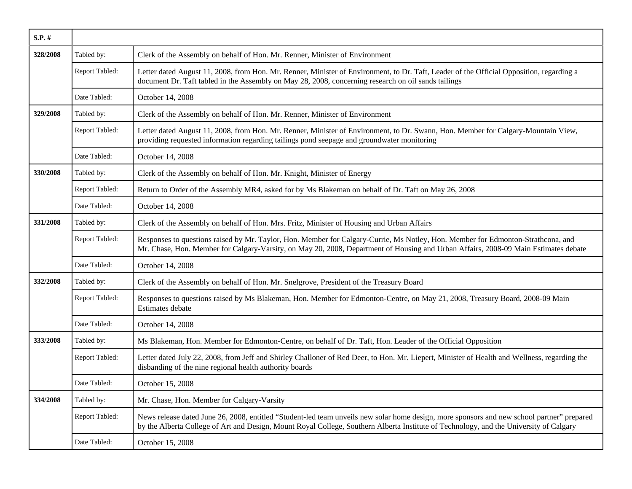| $S.P.$ # |                |                                                                                                                                                                                                                                                                                      |
|----------|----------------|--------------------------------------------------------------------------------------------------------------------------------------------------------------------------------------------------------------------------------------------------------------------------------------|
| 328/2008 | Tabled by:     | Clerk of the Assembly on behalf of Hon. Mr. Renner, Minister of Environment                                                                                                                                                                                                          |
|          | Report Tabled: | Letter dated August 11, 2008, from Hon. Mr. Renner, Minister of Environment, to Dr. Taft, Leader of the Official Opposition, regarding a<br>document Dr. Taft tabled in the Assembly on May 28, 2008, concerning research on oil sands tailings                                      |
|          | Date Tabled:   | October 14, 2008                                                                                                                                                                                                                                                                     |
| 329/2008 | Tabled by:     | Clerk of the Assembly on behalf of Hon. Mr. Renner, Minister of Environment                                                                                                                                                                                                          |
|          | Report Tabled: | Letter dated August 11, 2008, from Hon. Mr. Renner, Minister of Environment, to Dr. Swann, Hon. Member for Calgary-Mountain View,<br>providing requested information regarding tailings pond seepage and groundwater monitoring                                                      |
|          | Date Tabled:   | October 14, 2008                                                                                                                                                                                                                                                                     |
| 330/2008 | Tabled by:     | Clerk of the Assembly on behalf of Hon. Mr. Knight, Minister of Energy                                                                                                                                                                                                               |
|          | Report Tabled: | Return to Order of the Assembly MR4, asked for by Ms Blakeman on behalf of Dr. Taft on May 26, 2008                                                                                                                                                                                  |
|          | Date Tabled:   | October 14, 2008                                                                                                                                                                                                                                                                     |
| 331/2008 | Tabled by:     | Clerk of the Assembly on behalf of Hon. Mrs. Fritz, Minister of Housing and Urban Affairs                                                                                                                                                                                            |
|          | Report Tabled: | Responses to questions raised by Mr. Taylor, Hon. Member for Calgary-Currie, Ms Notley, Hon. Member for Edmonton-Strathcona, and<br>Mr. Chase, Hon. Member for Calgary-Varsity, on May 20, 2008, Department of Housing and Urban Affairs, 2008-09 Main Estimates debate              |
|          | Date Tabled:   | October 14, 2008                                                                                                                                                                                                                                                                     |
| 332/2008 | Tabled by:     | Clerk of the Assembly on behalf of Hon. Mr. Snelgrove, President of the Treasury Board                                                                                                                                                                                               |
|          | Report Tabled: | Responses to questions raised by Ms Blakeman, Hon. Member for Edmonton-Centre, on May 21, 2008, Treasury Board, 2008-09 Main<br>Estimates debate                                                                                                                                     |
|          | Date Tabled:   | October 14, 2008                                                                                                                                                                                                                                                                     |
| 333/2008 | Tabled by:     | Ms Blakeman, Hon. Member for Edmonton-Centre, on behalf of Dr. Taft, Hon. Leader of the Official Opposition                                                                                                                                                                          |
|          | Report Tabled: | Letter dated July 22, 2008, from Jeff and Shirley Challoner of Red Deer, to Hon. Mr. Liepert, Minister of Health and Wellness, regarding the<br>disbanding of the nine regional health authority boards                                                                              |
|          | Date Tabled:   | October 15, 2008                                                                                                                                                                                                                                                                     |
| 334/2008 | Tabled by:     | Mr. Chase, Hon. Member for Calgary-Varsity                                                                                                                                                                                                                                           |
|          | Report Tabled: | News release dated June 26, 2008, entitled "Student-led team unveils new solar home design, more sponsors and new school partner" prepared<br>by the Alberta College of Art and Design, Mount Royal College, Southern Alberta Institute of Technology, and the University of Calgary |
|          | Date Tabled:   | October 15, 2008                                                                                                                                                                                                                                                                     |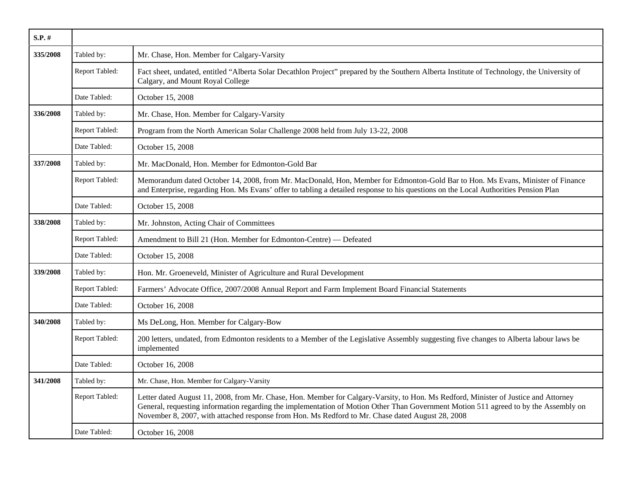| $S.P.$ # |                |                                                                                                                                                                                                                                                                                                                                                                                 |
|----------|----------------|---------------------------------------------------------------------------------------------------------------------------------------------------------------------------------------------------------------------------------------------------------------------------------------------------------------------------------------------------------------------------------|
| 335/2008 | Tabled by:     | Mr. Chase, Hon. Member for Calgary-Varsity                                                                                                                                                                                                                                                                                                                                      |
|          | Report Tabled: | Fact sheet, undated, entitled "Alberta Solar Decathlon Project" prepared by the Southern Alberta Institute of Technology, the University of<br>Calgary, and Mount Royal College                                                                                                                                                                                                 |
|          | Date Tabled:   | October 15, 2008                                                                                                                                                                                                                                                                                                                                                                |
| 336/2008 | Tabled by:     | Mr. Chase, Hon. Member for Calgary-Varsity                                                                                                                                                                                                                                                                                                                                      |
|          | Report Tabled: | Program from the North American Solar Challenge 2008 held from July 13-22, 2008                                                                                                                                                                                                                                                                                                 |
|          | Date Tabled:   | October 15, 2008                                                                                                                                                                                                                                                                                                                                                                |
| 337/2008 | Tabled by:     | Mr. MacDonald, Hon. Member for Edmonton-Gold Bar                                                                                                                                                                                                                                                                                                                                |
|          | Report Tabled: | Memorandum dated October 14, 2008, from Mr. MacDonald, Hon, Member for Edmonton-Gold Bar to Hon. Ms Evans, Minister of Finance<br>and Enterprise, regarding Hon. Ms Evans' offer to tabling a detailed response to his questions on the Local Authorities Pension Plan                                                                                                          |
|          | Date Tabled:   | October 15, 2008                                                                                                                                                                                                                                                                                                                                                                |
| 338/2008 | Tabled by:     | Mr. Johnston, Acting Chair of Committees                                                                                                                                                                                                                                                                                                                                        |
|          | Report Tabled: | Amendment to Bill 21 (Hon. Member for Edmonton-Centre) — Defeated                                                                                                                                                                                                                                                                                                               |
|          | Date Tabled:   | October 15, 2008                                                                                                                                                                                                                                                                                                                                                                |
| 339/2008 | Tabled by:     | Hon. Mr. Groeneveld, Minister of Agriculture and Rural Development                                                                                                                                                                                                                                                                                                              |
|          | Report Tabled: | Farmers' Advocate Office, 2007/2008 Annual Report and Farm Implement Board Financial Statements                                                                                                                                                                                                                                                                                 |
|          | Date Tabled:   | October 16, 2008                                                                                                                                                                                                                                                                                                                                                                |
| 340/2008 | Tabled by:     | Ms DeLong, Hon. Member for Calgary-Bow                                                                                                                                                                                                                                                                                                                                          |
|          | Report Tabled: | 200 letters, undated, from Edmonton residents to a Member of the Legislative Assembly suggesting five changes to Alberta labour laws be<br>implemented                                                                                                                                                                                                                          |
|          | Date Tabled:   | October 16, 2008                                                                                                                                                                                                                                                                                                                                                                |
| 341/2008 | Tabled by:     | Mr. Chase, Hon. Member for Calgary-Varsity                                                                                                                                                                                                                                                                                                                                      |
|          | Report Tabled: | Letter dated August 11, 2008, from Mr. Chase, Hon. Member for Calgary-Varsity, to Hon. Ms Redford, Minister of Justice and Attorney<br>General, requesting information regarding the implementation of Motion Other Than Government Motion 511 agreed to by the Assembly on<br>November 8, 2007, with attached response from Hon. Ms Redford to Mr. Chase dated August 28, 2008 |
|          | Date Tabled:   | October 16, 2008                                                                                                                                                                                                                                                                                                                                                                |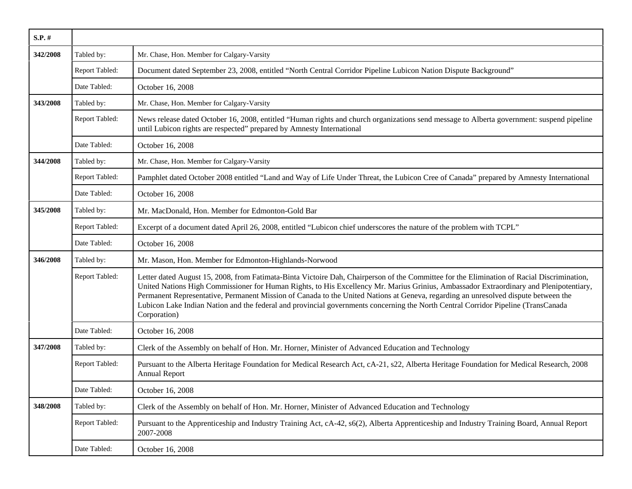| $S.P.$ #        |                |                                                                                                                                                                                                                                                                                                                                                                                                                                                                                                                                                                                 |
|-----------------|----------------|---------------------------------------------------------------------------------------------------------------------------------------------------------------------------------------------------------------------------------------------------------------------------------------------------------------------------------------------------------------------------------------------------------------------------------------------------------------------------------------------------------------------------------------------------------------------------------|
| 342/2008        | Tabled by:     | Mr. Chase, Hon. Member for Calgary-Varsity                                                                                                                                                                                                                                                                                                                                                                                                                                                                                                                                      |
|                 | Report Tabled: | Document dated September 23, 2008, entitled "North Central Corridor Pipeline Lubicon Nation Dispute Background"                                                                                                                                                                                                                                                                                                                                                                                                                                                                 |
|                 | Date Tabled:   | October 16, 2008                                                                                                                                                                                                                                                                                                                                                                                                                                                                                                                                                                |
| 343/2008        | Tabled by:     | Mr. Chase, Hon. Member for Calgary-Varsity                                                                                                                                                                                                                                                                                                                                                                                                                                                                                                                                      |
|                 | Report Tabled: | News release dated October 16, 2008, entitled "Human rights and church organizations send message to Alberta government: suspend pipeline<br>until Lubicon rights are respected" prepared by Amnesty International                                                                                                                                                                                                                                                                                                                                                              |
|                 | Date Tabled:   | October 16, 2008                                                                                                                                                                                                                                                                                                                                                                                                                                                                                                                                                                |
| 344/2008        | Tabled by:     | Mr. Chase, Hon. Member for Calgary-Varsity                                                                                                                                                                                                                                                                                                                                                                                                                                                                                                                                      |
|                 | Report Tabled: | Pamphlet dated October 2008 entitled "Land and Way of Life Under Threat, the Lubicon Cree of Canada" prepared by Amnesty International                                                                                                                                                                                                                                                                                                                                                                                                                                          |
|                 | Date Tabled:   | October 16, 2008                                                                                                                                                                                                                                                                                                                                                                                                                                                                                                                                                                |
| 345/2008        | Tabled by:     | Mr. MacDonald, Hon. Member for Edmonton-Gold Bar                                                                                                                                                                                                                                                                                                                                                                                                                                                                                                                                |
|                 | Report Tabled: | Excerpt of a document dated April 26, 2008, entitled "Lubicon chief underscores the nature of the problem with TCPL"                                                                                                                                                                                                                                                                                                                                                                                                                                                            |
|                 | Date Tabled:   | October 16, 2008                                                                                                                                                                                                                                                                                                                                                                                                                                                                                                                                                                |
| 346/2008        | Tabled by:     | Mr. Mason, Hon. Member for Edmonton-Highlands-Norwood                                                                                                                                                                                                                                                                                                                                                                                                                                                                                                                           |
|                 | Report Tabled: | Letter dated August 15, 2008, from Fatimata-Binta Victoire Dah, Chairperson of the Committee for the Elimination of Racial Discrimination,<br>United Nations High Commissioner for Human Rights, to His Excellency Mr. Marius Grinius, Ambassador Extraordinary and Plenipotentiary,<br>Permanent Representative, Permanent Mission of Canada to the United Nations at Geneva, regarding an unresolved dispute between the<br>Lubicon Lake Indian Nation and the federal and provincial governments concerning the North Central Corridor Pipeline (TransCanada<br>Corporation) |
|                 | Date Tabled:   | October 16, 2008                                                                                                                                                                                                                                                                                                                                                                                                                                                                                                                                                                |
| <b>347/2008</b> | Tabled by:     | Clerk of the Assembly on behalf of Hon. Mr. Horner, Minister of Advanced Education and Technology                                                                                                                                                                                                                                                                                                                                                                                                                                                                               |
|                 | Report Tabled: | Pursuant to the Alberta Heritage Foundation for Medical Research Act, cA-21, s22, Alberta Heritage Foundation for Medical Research, 2008<br><b>Annual Report</b>                                                                                                                                                                                                                                                                                                                                                                                                                |
|                 | Date Tabled:   | October 16, 2008                                                                                                                                                                                                                                                                                                                                                                                                                                                                                                                                                                |
| 348/2008        | Tabled by:     | Clerk of the Assembly on behalf of Hon. Mr. Horner, Minister of Advanced Education and Technology                                                                                                                                                                                                                                                                                                                                                                                                                                                                               |
|                 | Report Tabled: | Pursuant to the Apprenticeship and Industry Training Act, cA-42, s6(2), Alberta Apprenticeship and Industry Training Board, Annual Report<br>2007-2008                                                                                                                                                                                                                                                                                                                                                                                                                          |
|                 | Date Tabled:   | October 16, 2008                                                                                                                                                                                                                                                                                                                                                                                                                                                                                                                                                                |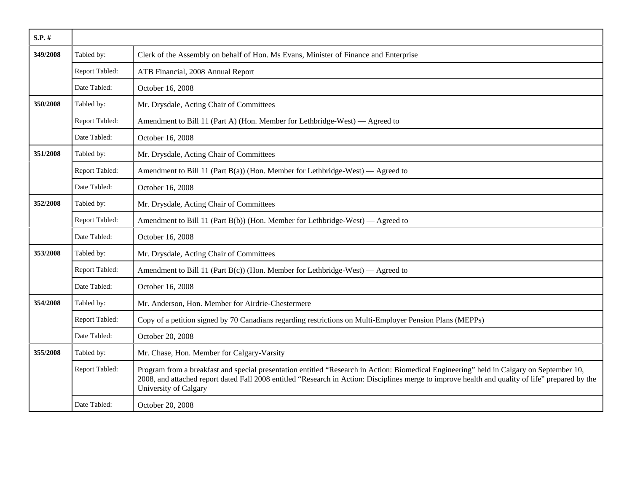| $S.P.$ # |                |                                                                                                                                                                                                                                                                                                                       |
|----------|----------------|-----------------------------------------------------------------------------------------------------------------------------------------------------------------------------------------------------------------------------------------------------------------------------------------------------------------------|
| 349/2008 | Tabled by:     | Clerk of the Assembly on behalf of Hon. Ms Evans, Minister of Finance and Enterprise                                                                                                                                                                                                                                  |
|          | Report Tabled: | ATB Financial, 2008 Annual Report                                                                                                                                                                                                                                                                                     |
|          | Date Tabled:   | October 16, 2008                                                                                                                                                                                                                                                                                                      |
| 350/2008 | Tabled by:     | Mr. Drysdale, Acting Chair of Committees                                                                                                                                                                                                                                                                              |
|          | Report Tabled: | Amendment to Bill 11 (Part A) (Hon. Member for Lethbridge-West) — Agreed to                                                                                                                                                                                                                                           |
|          | Date Tabled:   | October 16, 2008                                                                                                                                                                                                                                                                                                      |
| 351/2008 | Tabled by:     | Mr. Drysdale, Acting Chair of Committees                                                                                                                                                                                                                                                                              |
|          | Report Tabled: | Amendment to Bill 11 (Part B(a)) (Hon. Member for Lethbridge-West) — Agreed to                                                                                                                                                                                                                                        |
|          | Date Tabled:   | October 16, 2008                                                                                                                                                                                                                                                                                                      |
| 352/2008 | Tabled by:     | Mr. Drysdale, Acting Chair of Committees                                                                                                                                                                                                                                                                              |
|          | Report Tabled: | Amendment to Bill 11 (Part B(b)) (Hon. Member for Lethbridge-West) — Agreed to                                                                                                                                                                                                                                        |
|          | Date Tabled:   | October 16, 2008                                                                                                                                                                                                                                                                                                      |
| 353/2008 | Tabled by:     | Mr. Drysdale, Acting Chair of Committees                                                                                                                                                                                                                                                                              |
|          | Report Tabled: | Amendment to Bill 11 (Part B(c)) (Hon. Member for Lethbridge-West) — Agreed to                                                                                                                                                                                                                                        |
|          | Date Tabled:   | October 16, 2008                                                                                                                                                                                                                                                                                                      |
| 354/2008 | Tabled by:     | Mr. Anderson, Hon. Member for Airdrie-Chestermere                                                                                                                                                                                                                                                                     |
|          | Report Tabled: | Copy of a petition signed by 70 Canadians regarding restrictions on Multi-Employer Pension Plans (MEPPs)                                                                                                                                                                                                              |
|          | Date Tabled:   | October 20, 2008                                                                                                                                                                                                                                                                                                      |
| 355/2008 | Tabled by:     | Mr. Chase, Hon. Member for Calgary-Varsity                                                                                                                                                                                                                                                                            |
|          | Report Tabled: | Program from a breakfast and special presentation entitled "Research in Action: Biomedical Engineering" held in Calgary on September 10,<br>2008, and attached report dated Fall 2008 entitled "Research in Action: Disciplines merge to improve health and quality of life" prepared by the<br>University of Calgary |
|          | Date Tabled:   | October 20, 2008                                                                                                                                                                                                                                                                                                      |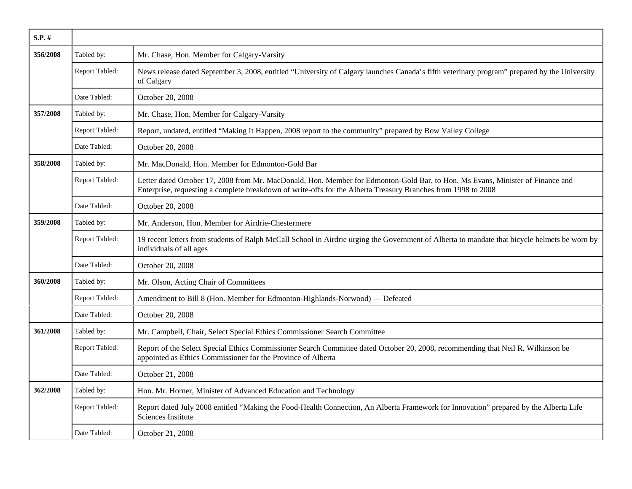| $S.P.$ # |                |                                                                                                                                                                                                                                                 |
|----------|----------------|-------------------------------------------------------------------------------------------------------------------------------------------------------------------------------------------------------------------------------------------------|
| 356/2008 | Tabled by:     | Mr. Chase, Hon. Member for Calgary-Varsity                                                                                                                                                                                                      |
|          | Report Tabled: | News release dated September 3, 2008, entitled "University of Calgary launches Canada's fifth veterinary program" prepared by the University<br>of Calgary                                                                                      |
|          | Date Tabled:   | October 20, 2008                                                                                                                                                                                                                                |
| 357/2008 | Tabled by:     | Mr. Chase, Hon. Member for Calgary-Varsity                                                                                                                                                                                                      |
|          | Report Tabled: | Report, undated, entitled "Making It Happen, 2008 report to the community" prepared by Bow Valley College                                                                                                                                       |
|          | Date Tabled:   | October 20, 2008                                                                                                                                                                                                                                |
| 358/2008 | Tabled by:     | Mr. MacDonald, Hon. Member for Edmonton-Gold Bar                                                                                                                                                                                                |
|          | Report Tabled: | Letter dated October 17, 2008 from Mr. MacDonald, Hon. Member for Edmonton-Gold Bar, to Hon. Ms Evans, Minister of Finance and<br>Enterprise, requesting a complete breakdown of write-offs for the Alberta Treasury Branches from 1998 to 2008 |
|          | Date Tabled:   | October 20, 2008                                                                                                                                                                                                                                |
| 359/2008 | Tabled by:     | Mr. Anderson, Hon. Member for Airdrie-Chestermere                                                                                                                                                                                               |
|          | Report Tabled: | 19 recent letters from students of Ralph McCall School in Airdrie urging the Government of Alberta to mandate that bicycle helmets be worn by<br>individuals of all ages                                                                        |
|          | Date Tabled:   | October 20, 2008                                                                                                                                                                                                                                |
| 360/2008 | Tabled by:     | Mr. Olson, Acting Chair of Committees                                                                                                                                                                                                           |
|          | Report Tabled: | Amendment to Bill 8 (Hon. Member for Edmonton-Highlands-Norwood) — Defeated                                                                                                                                                                     |
|          | Date Tabled:   | October 20, 2008                                                                                                                                                                                                                                |
| 361/2008 | Tabled by:     | Mr. Campbell, Chair, Select Special Ethics Commissioner Search Committee                                                                                                                                                                        |
|          | Report Tabled: | Report of the Select Special Ethics Commissioner Search Committee dated October 20, 2008, recommending that Neil R. Wilkinson be<br>appointed as Ethics Commissioner for the Province of Alberta                                                |
|          | Date Tabled:   | October 21, 2008                                                                                                                                                                                                                                |
| 362/2008 | Tabled by:     | Hon. Mr. Horner, Minister of Advanced Education and Technology                                                                                                                                                                                  |
|          | Report Tabled: | Report dated July 2008 entitled "Making the Food-Health Connection, An Alberta Framework for Innovation" prepared by the Alberta Life<br>Sciences Institute                                                                                     |
|          | Date Tabled:   | October 21, 2008                                                                                                                                                                                                                                |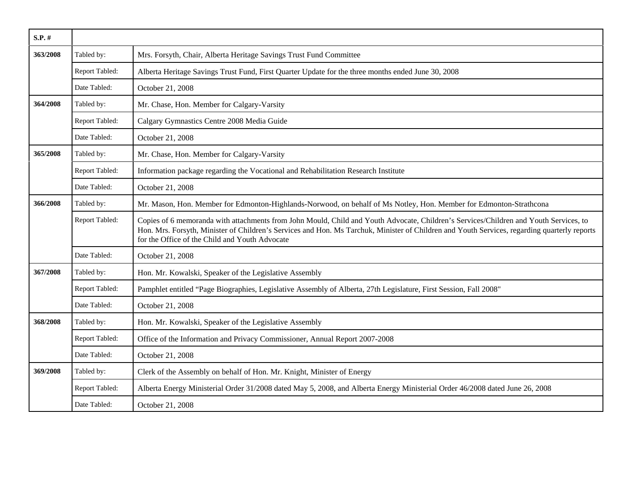| $S.P.$ # |                |                                                                                                                                                                                                                                                                                                                                         |
|----------|----------------|-----------------------------------------------------------------------------------------------------------------------------------------------------------------------------------------------------------------------------------------------------------------------------------------------------------------------------------------|
| 363/2008 | Tabled by:     | Mrs. Forsyth, Chair, Alberta Heritage Savings Trust Fund Committee                                                                                                                                                                                                                                                                      |
|          | Report Tabled: | Alberta Heritage Savings Trust Fund, First Quarter Update for the three months ended June 30, 2008                                                                                                                                                                                                                                      |
|          | Date Tabled:   | October 21, 2008                                                                                                                                                                                                                                                                                                                        |
| 364/2008 | Tabled by:     | Mr. Chase, Hon. Member for Calgary-Varsity                                                                                                                                                                                                                                                                                              |
|          | Report Tabled: | Calgary Gymnastics Centre 2008 Media Guide                                                                                                                                                                                                                                                                                              |
|          | Date Tabled:   | October 21, 2008                                                                                                                                                                                                                                                                                                                        |
| 365/2008 | Tabled by:     | Mr. Chase, Hon. Member for Calgary-Varsity                                                                                                                                                                                                                                                                                              |
|          | Report Tabled: | Information package regarding the Vocational and Rehabilitation Research Institute                                                                                                                                                                                                                                                      |
|          | Date Tabled:   | October 21, 2008                                                                                                                                                                                                                                                                                                                        |
| 366/2008 | Tabled by:     | Mr. Mason, Hon. Member for Edmonton-Highlands-Norwood, on behalf of Ms Notley, Hon. Member for Edmonton-Strathcona                                                                                                                                                                                                                      |
|          | Report Tabled: | Copies of 6 memoranda with attachments from John Mould, Child and Youth Advocate, Children's Services/Children and Youth Services, to<br>Hon. Mrs. Forsyth, Minister of Children's Services and Hon. Ms Tarchuk, Minister of Children and Youth Services, regarding quarterly reports<br>for the Office of the Child and Youth Advocate |
|          | Date Tabled:   | October 21, 2008                                                                                                                                                                                                                                                                                                                        |
| 367/2008 | Tabled by:     | Hon. Mr. Kowalski, Speaker of the Legislative Assembly                                                                                                                                                                                                                                                                                  |
|          | Report Tabled: | Pamphlet entitled "Page Biographies, Legislative Assembly of Alberta, 27th Legislature, First Session, Fall 2008"                                                                                                                                                                                                                       |
|          | Date Tabled:   | October 21, 2008                                                                                                                                                                                                                                                                                                                        |
| 368/2008 | Tabled by:     | Hon. Mr. Kowalski, Speaker of the Legislative Assembly                                                                                                                                                                                                                                                                                  |
|          | Report Tabled: | Office of the Information and Privacy Commissioner, Annual Report 2007-2008                                                                                                                                                                                                                                                             |
|          | Date Tabled:   | October 21, 2008                                                                                                                                                                                                                                                                                                                        |
| 369/2008 | Tabled by:     | Clerk of the Assembly on behalf of Hon. Mr. Knight, Minister of Energy                                                                                                                                                                                                                                                                  |
|          | Report Tabled: | Alberta Energy Ministerial Order 31/2008 dated May 5, 2008, and Alberta Energy Ministerial Order 46/2008 dated June 26, 2008                                                                                                                                                                                                            |
|          | Date Tabled:   | October 21, 2008                                                                                                                                                                                                                                                                                                                        |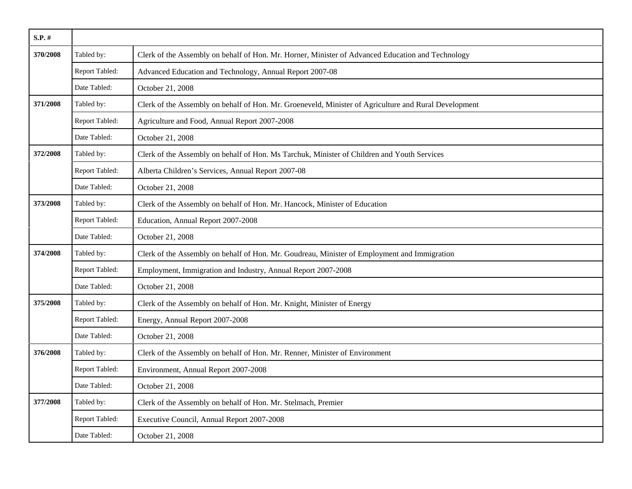| $S.P.$ # |                |                                                                                                       |
|----------|----------------|-------------------------------------------------------------------------------------------------------|
| 370/2008 | Tabled by:     | Clerk of the Assembly on behalf of Hon. Mr. Horner, Minister of Advanced Education and Technology     |
|          | Report Tabled: | Advanced Education and Technology, Annual Report 2007-08                                              |
|          | Date Tabled:   | October 21, 2008                                                                                      |
| 371/2008 | Tabled by:     | Clerk of the Assembly on behalf of Hon. Mr. Groeneveld, Minister of Agriculture and Rural Development |
|          | Report Tabled: | Agriculture and Food, Annual Report 2007-2008                                                         |
|          | Date Tabled:   | October 21, 2008                                                                                      |
| 372/2008 | Tabled by:     | Clerk of the Assembly on behalf of Hon. Ms Tarchuk, Minister of Children and Youth Services           |
|          | Report Tabled: | Alberta Children's Services, Annual Report 2007-08                                                    |
|          | Date Tabled:   | October 21, 2008                                                                                      |
| 373/2008 | Tabled by:     | Clerk of the Assembly on behalf of Hon. Mr. Hancock, Minister of Education                            |
|          | Report Tabled: | Education, Annual Report 2007-2008                                                                    |
|          | Date Tabled:   | October 21, 2008                                                                                      |
| 374/2008 | Tabled by:     | Clerk of the Assembly on behalf of Hon. Mr. Goudreau, Minister of Employment and Immigration          |
|          | Report Tabled: | Employment, Immigration and Industry, Annual Report 2007-2008                                         |
|          | Date Tabled:   | October 21, 2008                                                                                      |
| 375/2008 | Tabled by:     | Clerk of the Assembly on behalf of Hon. Mr. Knight, Minister of Energy                                |
|          | Report Tabled: | Energy, Annual Report 2007-2008                                                                       |
|          | Date Tabled:   | October 21, 2008                                                                                      |
| 376/2008 | Tabled by:     | Clerk of the Assembly on behalf of Hon. Mr. Renner, Minister of Environment                           |
|          | Report Tabled: | Environment, Annual Report 2007-2008                                                                  |
|          | Date Tabled:   | October 21, 2008                                                                                      |
| 377/2008 | Tabled by:     | Clerk of the Assembly on behalf of Hon. Mr. Stelmach, Premier                                         |
|          | Report Tabled: | Executive Council, Annual Report 2007-2008                                                            |
|          | Date Tabled:   | October 21, 2008                                                                                      |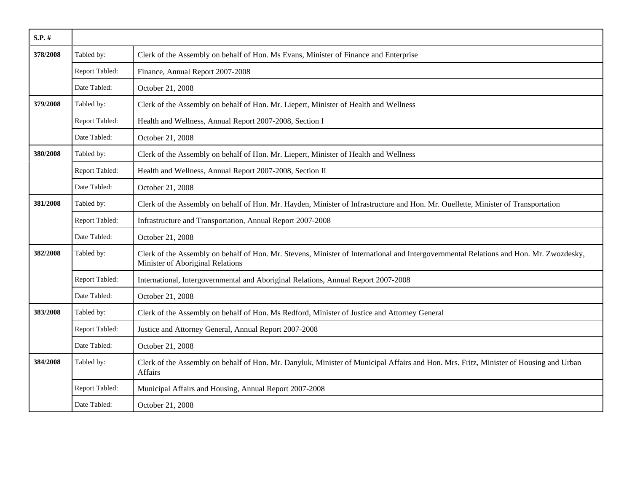| $S.P.$ # |                |                                                                                                                                                                            |
|----------|----------------|----------------------------------------------------------------------------------------------------------------------------------------------------------------------------|
| 378/2008 | Tabled by:     | Clerk of the Assembly on behalf of Hon. Ms Evans, Minister of Finance and Enterprise                                                                                       |
|          | Report Tabled: | Finance, Annual Report 2007-2008                                                                                                                                           |
|          | Date Tabled:   | October 21, 2008                                                                                                                                                           |
| 379/2008 | Tabled by:     | Clerk of the Assembly on behalf of Hon. Mr. Liepert, Minister of Health and Wellness                                                                                       |
|          | Report Tabled: | Health and Wellness, Annual Report 2007-2008, Section I                                                                                                                    |
|          | Date Tabled:   | October 21, 2008                                                                                                                                                           |
| 380/2008 | Tabled by:     | Clerk of the Assembly on behalf of Hon. Mr. Liepert, Minister of Health and Wellness                                                                                       |
|          | Report Tabled: | Health and Wellness, Annual Report 2007-2008, Section II                                                                                                                   |
|          | Date Tabled:   | October 21, 2008                                                                                                                                                           |
| 381/2008 | Tabled by:     | Clerk of the Assembly on behalf of Hon. Mr. Hayden, Minister of Infrastructure and Hon. Mr. Ouellette, Minister of Transportation                                          |
|          | Report Tabled: | Infrastructure and Transportation, Annual Report 2007-2008                                                                                                                 |
|          | Date Tabled:   | October 21, 2008                                                                                                                                                           |
| 382/2008 | Tabled by:     | Clerk of the Assembly on behalf of Hon. Mr. Stevens, Minister of International and Intergovernmental Relations and Hon. Mr. Zwozdesky,<br>Minister of Aboriginal Relations |
|          | Report Tabled: | International, Intergovernmental and Aboriginal Relations, Annual Report 2007-2008                                                                                         |
|          | Date Tabled:   | October 21, 2008                                                                                                                                                           |
| 383/2008 | Tabled by:     | Clerk of the Assembly on behalf of Hon. Ms Redford, Minister of Justice and Attorney General                                                                               |
|          | Report Tabled: | Justice and Attorney General, Annual Report 2007-2008                                                                                                                      |
|          | Date Tabled:   | October 21, 2008                                                                                                                                                           |
| 384/2008 | Tabled by:     | Clerk of the Assembly on behalf of Hon. Mr. Danyluk, Minister of Municipal Affairs and Hon. Mrs. Fritz, Minister of Housing and Urban<br><b>Affairs</b>                    |
|          | Report Tabled: | Municipal Affairs and Housing, Annual Report 2007-2008                                                                                                                     |
|          | Date Tabled:   | October 21, 2008                                                                                                                                                           |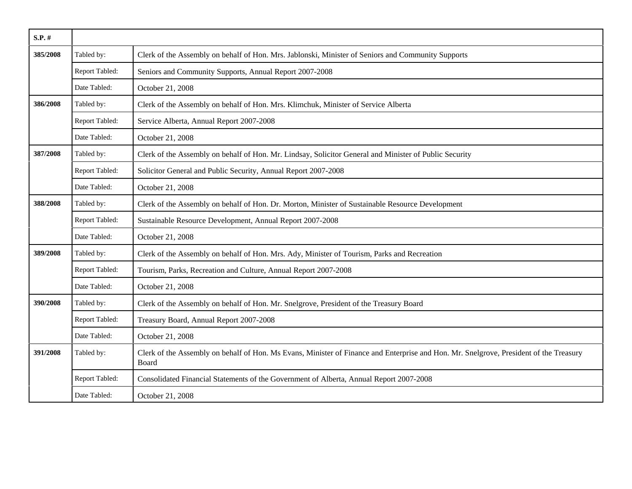| $S.P.$ # |                |                                                                                                                                                 |
|----------|----------------|-------------------------------------------------------------------------------------------------------------------------------------------------|
| 385/2008 | Tabled by:     | Clerk of the Assembly on behalf of Hon. Mrs. Jablonski, Minister of Seniors and Community Supports                                              |
|          | Report Tabled: | Seniors and Community Supports, Annual Report 2007-2008                                                                                         |
|          | Date Tabled:   | October 21, 2008                                                                                                                                |
| 386/2008 | Tabled by:     | Clerk of the Assembly on behalf of Hon. Mrs. Klimchuk, Minister of Service Alberta                                                              |
|          | Report Tabled: | Service Alberta, Annual Report 2007-2008                                                                                                        |
|          | Date Tabled:   | October 21, 2008                                                                                                                                |
| 387/2008 | Tabled by:     | Clerk of the Assembly on behalf of Hon. Mr. Lindsay, Solicitor General and Minister of Public Security                                          |
|          | Report Tabled: | Solicitor General and Public Security, Annual Report 2007-2008                                                                                  |
|          | Date Tabled:   | October 21, 2008                                                                                                                                |
| 388/2008 | Tabled by:     | Clerk of the Assembly on behalf of Hon. Dr. Morton, Minister of Sustainable Resource Development                                                |
|          | Report Tabled: | Sustainable Resource Development, Annual Report 2007-2008                                                                                       |
|          | Date Tabled:   | October 21, 2008                                                                                                                                |
| 389/2008 | Tabled by:     | Clerk of the Assembly on behalf of Hon. Mrs. Ady, Minister of Tourism, Parks and Recreation                                                     |
|          | Report Tabled: | Tourism, Parks, Recreation and Culture, Annual Report 2007-2008                                                                                 |
|          | Date Tabled:   | October 21, 2008                                                                                                                                |
| 390/2008 | Tabled by:     | Clerk of the Assembly on behalf of Hon. Mr. Snelgrove, President of the Treasury Board                                                          |
|          | Report Tabled: | Treasury Board, Annual Report 2007-2008                                                                                                         |
|          | Date Tabled:   | October 21, 2008                                                                                                                                |
| 391/2008 | Tabled by:     | Clerk of the Assembly on behalf of Hon. Ms Evans, Minister of Finance and Enterprise and Hon. Mr. Snelgrove, President of the Treasury<br>Board |
|          | Report Tabled: | Consolidated Financial Statements of the Government of Alberta, Annual Report 2007-2008                                                         |
|          | Date Tabled:   | October 21, 2008                                                                                                                                |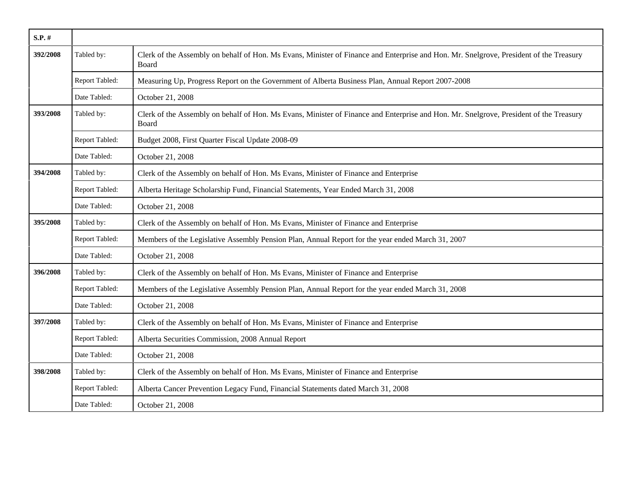| S.P. #   |                |                                                                                                                                                 |
|----------|----------------|-------------------------------------------------------------------------------------------------------------------------------------------------|
| 392/2008 | Tabled by:     | Clerk of the Assembly on behalf of Hon. Ms Evans, Minister of Finance and Enterprise and Hon. Mr. Snelgrove, President of the Treasury<br>Board |
|          | Report Tabled: | Measuring Up, Progress Report on the Government of Alberta Business Plan, Annual Report 2007-2008                                               |
|          | Date Tabled:   | October 21, 2008                                                                                                                                |
| 393/2008 | Tabled by:     | Clerk of the Assembly on behalf of Hon. Ms Evans, Minister of Finance and Enterprise and Hon. Mr. Snelgrove, President of the Treasury<br>Board |
|          | Report Tabled: | Budget 2008, First Quarter Fiscal Update 2008-09                                                                                                |
|          | Date Tabled:   | October 21, 2008                                                                                                                                |
| 394/2008 | Tabled by:     | Clerk of the Assembly on behalf of Hon. Ms Evans, Minister of Finance and Enterprise                                                            |
|          | Report Tabled: | Alberta Heritage Scholarship Fund, Financial Statements, Year Ended March 31, 2008                                                              |
|          | Date Tabled:   | October 21, 2008                                                                                                                                |
| 395/2008 | Tabled by:     | Clerk of the Assembly on behalf of Hon. Ms Evans, Minister of Finance and Enterprise                                                            |
|          | Report Tabled: | Members of the Legislative Assembly Pension Plan, Annual Report for the year ended March 31, 2007                                               |
|          | Date Tabled:   | October 21, 2008                                                                                                                                |
| 396/2008 | Tabled by:     | Clerk of the Assembly on behalf of Hon. Ms Evans, Minister of Finance and Enterprise                                                            |
|          | Report Tabled: | Members of the Legislative Assembly Pension Plan, Annual Report for the year ended March 31, 2008                                               |
|          | Date Tabled:   | October 21, 2008                                                                                                                                |
| 397/2008 | Tabled by:     | Clerk of the Assembly on behalf of Hon. Ms Evans, Minister of Finance and Enterprise                                                            |
|          | Report Tabled: | Alberta Securities Commission, 2008 Annual Report                                                                                               |
|          | Date Tabled:   | October 21, 2008                                                                                                                                |
| 398/2008 | Tabled by:     | Clerk of the Assembly on behalf of Hon. Ms Evans, Minister of Finance and Enterprise                                                            |
|          | Report Tabled: | Alberta Cancer Prevention Legacy Fund, Financial Statements dated March 31, 2008                                                                |
|          | Date Tabled:   | October 21, 2008                                                                                                                                |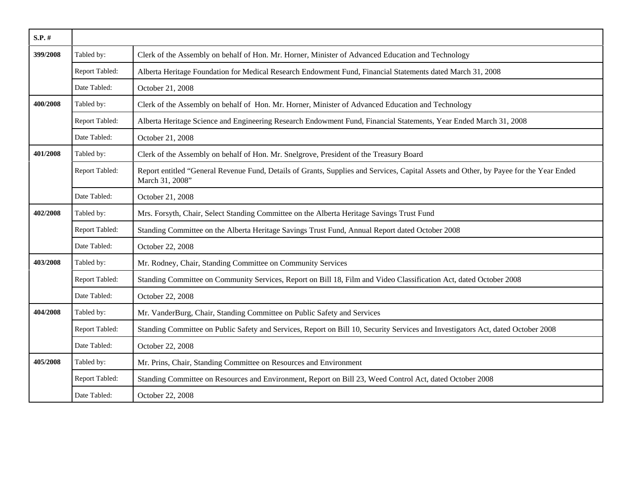| $S.P.$ # |                |                                                                                                                                                           |
|----------|----------------|-----------------------------------------------------------------------------------------------------------------------------------------------------------|
| 399/2008 | Tabled by:     | Clerk of the Assembly on behalf of Hon. Mr. Horner, Minister of Advanced Education and Technology                                                         |
|          | Report Tabled: | Alberta Heritage Foundation for Medical Research Endowment Fund, Financial Statements dated March 31, 2008                                                |
|          | Date Tabled:   | October 21, 2008                                                                                                                                          |
| 400/2008 | Tabled by:     | Clerk of the Assembly on behalf of Hon. Mr. Horner, Minister of Advanced Education and Technology                                                         |
|          | Report Tabled: | Alberta Heritage Science and Engineering Research Endowment Fund, Financial Statements, Year Ended March 31, 2008                                         |
|          | Date Tabled:   | October 21, 2008                                                                                                                                          |
| 401/2008 | Tabled by:     | Clerk of the Assembly on behalf of Hon. Mr. Snelgrove, President of the Treasury Board                                                                    |
|          | Report Tabled: | Report entitled "General Revenue Fund, Details of Grants, Supplies and Services, Capital Assets and Other, by Payee for the Year Ended<br>March 31, 2008" |
|          | Date Tabled:   | October 21, 2008                                                                                                                                          |
| 402/2008 | Tabled by:     | Mrs. Forsyth, Chair, Select Standing Committee on the Alberta Heritage Savings Trust Fund                                                                 |
|          | Report Tabled: | Standing Committee on the Alberta Heritage Savings Trust Fund, Annual Report dated October 2008                                                           |
|          | Date Tabled:   | October 22, 2008                                                                                                                                          |
| 403/2008 | Tabled by:     | Mr. Rodney, Chair, Standing Committee on Community Services                                                                                               |
|          | Report Tabled: | Standing Committee on Community Services, Report on Bill 18, Film and Video Classification Act, dated October 2008                                        |
|          | Date Tabled:   | October 22, 2008                                                                                                                                          |
| 404/2008 | Tabled by:     | Mr. VanderBurg, Chair, Standing Committee on Public Safety and Services                                                                                   |
|          | Report Tabled: | Standing Committee on Public Safety and Services, Report on Bill 10, Security Services and Investigators Act, dated October 2008                          |
|          | Date Tabled:   | October 22, 2008                                                                                                                                          |
| 405/2008 | Tabled by:     | Mr. Prins, Chair, Standing Committee on Resources and Environment                                                                                         |
|          | Report Tabled: | Standing Committee on Resources and Environment, Report on Bill 23, Weed Control Act, dated October 2008                                                  |
|          | Date Tabled:   | October 22, 2008                                                                                                                                          |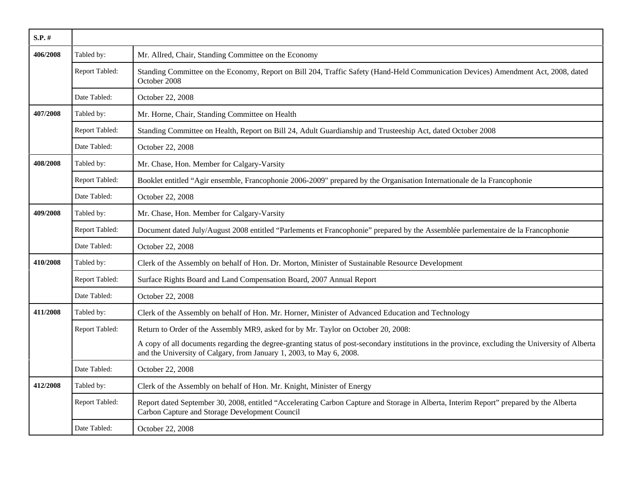| $S.P.$ # |                |                                                                                                                                                                                                                          |
|----------|----------------|--------------------------------------------------------------------------------------------------------------------------------------------------------------------------------------------------------------------------|
| 406/2008 | Tabled by:     | Mr. Allred, Chair, Standing Committee on the Economy                                                                                                                                                                     |
|          | Report Tabled: | Standing Committee on the Economy, Report on Bill 204, Traffic Safety (Hand-Held Communication Devices) Amendment Act, 2008, dated<br>October 2008                                                                       |
|          | Date Tabled:   | October 22, 2008                                                                                                                                                                                                         |
| 407/2008 | Tabled by:     | Mr. Horne, Chair, Standing Committee on Health                                                                                                                                                                           |
|          | Report Tabled: | Standing Committee on Health, Report on Bill 24, Adult Guardianship and Trusteeship Act, dated October 2008                                                                                                              |
|          | Date Tabled:   | October 22, 2008                                                                                                                                                                                                         |
| 408/2008 | Tabled by:     | Mr. Chase, Hon. Member for Calgary-Varsity                                                                                                                                                                               |
|          | Report Tabled: | Booklet entitled "Agir ensemble, Francophonie 2006-2009" prepared by the Organisation Internationale de la Francophonie                                                                                                  |
|          | Date Tabled:   | October 22, 2008                                                                                                                                                                                                         |
| 409/2008 | Tabled by:     | Mr. Chase, Hon. Member for Calgary-Varsity                                                                                                                                                                               |
|          | Report Tabled: | Document dated July/August 2008 entitled "Parlements et Francophonie" prepared by the Assemblée parlementaire de la Francophonie                                                                                         |
|          | Date Tabled:   | October 22, 2008                                                                                                                                                                                                         |
| 410/2008 | Tabled by:     | Clerk of the Assembly on behalf of Hon. Dr. Morton, Minister of Sustainable Resource Development                                                                                                                         |
|          | Report Tabled: | Surface Rights Board and Land Compensation Board, 2007 Annual Report                                                                                                                                                     |
|          | Date Tabled:   | October 22, 2008                                                                                                                                                                                                         |
| 411/2008 | Tabled by:     | Clerk of the Assembly on behalf of Hon. Mr. Horner, Minister of Advanced Education and Technology                                                                                                                        |
|          | Report Tabled: | Return to Order of the Assembly MR9, asked for by Mr. Taylor on October 20, 2008:                                                                                                                                        |
|          |                | A copy of all documents regarding the degree-granting status of post-secondary institutions in the province, excluding the University of Alberta<br>and the University of Calgary, from January 1, 2003, to May 6, 2008. |
|          | Date Tabled:   | October 22, 2008                                                                                                                                                                                                         |
| 412/2008 | Tabled by:     | Clerk of the Assembly on behalf of Hon. Mr. Knight, Minister of Energy                                                                                                                                                   |
|          | Report Tabled: | Report dated September 30, 2008, entitled "Accelerating Carbon Capture and Storage in Alberta, Interim Report" prepared by the Alberta<br>Carbon Capture and Storage Development Council                                 |
|          | Date Tabled:   | October 22, 2008                                                                                                                                                                                                         |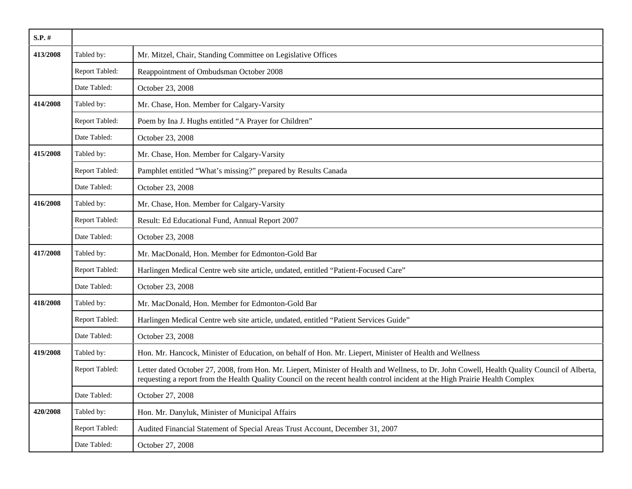| $S.P.$ # |                |                                                                                                                                                                                                                                                                               |
|----------|----------------|-------------------------------------------------------------------------------------------------------------------------------------------------------------------------------------------------------------------------------------------------------------------------------|
| 413/2008 | Tabled by:     | Mr. Mitzel, Chair, Standing Committee on Legislative Offices                                                                                                                                                                                                                  |
|          | Report Tabled: | Reappointment of Ombudsman October 2008                                                                                                                                                                                                                                       |
|          | Date Tabled:   | October 23, 2008                                                                                                                                                                                                                                                              |
| 414/2008 | Tabled by:     | Mr. Chase, Hon. Member for Calgary-Varsity                                                                                                                                                                                                                                    |
|          | Report Tabled: | Poem by Ina J. Hughs entitled "A Prayer for Children"                                                                                                                                                                                                                         |
|          | Date Tabled:   | October 23, 2008                                                                                                                                                                                                                                                              |
| 415/2008 | Tabled by:     | Mr. Chase, Hon. Member for Calgary-Varsity                                                                                                                                                                                                                                    |
|          | Report Tabled: | Pamphlet entitled "What's missing?" prepared by Results Canada                                                                                                                                                                                                                |
|          | Date Tabled:   | October 23, 2008                                                                                                                                                                                                                                                              |
| 416/2008 | Tabled by:     | Mr. Chase, Hon. Member for Calgary-Varsity                                                                                                                                                                                                                                    |
|          | Report Tabled: | Result: Ed Educational Fund, Annual Report 2007                                                                                                                                                                                                                               |
|          | Date Tabled:   | October 23, 2008                                                                                                                                                                                                                                                              |
| 417/2008 | Tabled by:     | Mr. MacDonald, Hon. Member for Edmonton-Gold Bar                                                                                                                                                                                                                              |
|          | Report Tabled: | Harlingen Medical Centre web site article, undated, entitled "Patient-Focused Care"                                                                                                                                                                                           |
|          | Date Tabled:   | October 23, 2008                                                                                                                                                                                                                                                              |
| 418/2008 | Tabled by:     | Mr. MacDonald, Hon. Member for Edmonton-Gold Bar                                                                                                                                                                                                                              |
|          | Report Tabled: | Harlingen Medical Centre web site article, undated, entitled "Patient Services Guide"                                                                                                                                                                                         |
|          | Date Tabled:   | October 23, 2008                                                                                                                                                                                                                                                              |
| 419/2008 | Tabled by:     | Hon. Mr. Hancock, Minister of Education, on behalf of Hon. Mr. Liepert, Minister of Health and Wellness                                                                                                                                                                       |
|          | Report Tabled: | Letter dated October 27, 2008, from Hon. Mr. Liepert, Minister of Health and Wellness, to Dr. John Cowell, Health Quality Council of Alberta,<br>requesting a report from the Health Quality Council on the recent health control incident at the High Prairie Health Complex |
|          | Date Tabled:   | October 27, 2008                                                                                                                                                                                                                                                              |
| 420/2008 | Tabled by:     | Hon. Mr. Danyluk, Minister of Municipal Affairs                                                                                                                                                                                                                               |
|          | Report Tabled: | Audited Financial Statement of Special Areas Trust Account, December 31, 2007                                                                                                                                                                                                 |
|          | Date Tabled:   | October 27, 2008                                                                                                                                                                                                                                                              |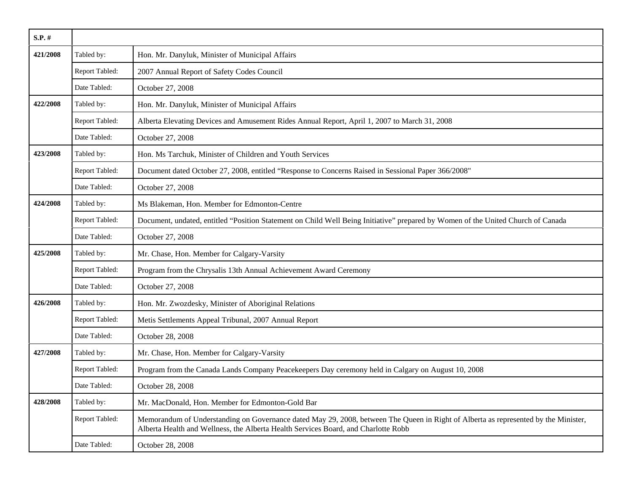| $S.P.$ # |                |                                                                                                                                                                                                                           |
|----------|----------------|---------------------------------------------------------------------------------------------------------------------------------------------------------------------------------------------------------------------------|
| 421/2008 | Tabled by:     | Hon. Mr. Danyluk, Minister of Municipal Affairs                                                                                                                                                                           |
|          | Report Tabled: | 2007 Annual Report of Safety Codes Council                                                                                                                                                                                |
|          | Date Tabled:   | October 27, 2008                                                                                                                                                                                                          |
| 422/2008 | Tabled by:     | Hon. Mr. Danyluk, Minister of Municipal Affairs                                                                                                                                                                           |
|          | Report Tabled: | Alberta Elevating Devices and Amusement Rides Annual Report, April 1, 2007 to March 31, 2008                                                                                                                              |
|          | Date Tabled:   | October 27, 2008                                                                                                                                                                                                          |
| 423/2008 | Tabled by:     | Hon. Ms Tarchuk, Minister of Children and Youth Services                                                                                                                                                                  |
|          | Report Tabled: | Document dated October 27, 2008, entitled "Response to Concerns Raised in Sessional Paper 366/2008"                                                                                                                       |
|          | Date Tabled:   | October 27, 2008                                                                                                                                                                                                          |
| 424/2008 | Tabled by:     | Ms Blakeman, Hon. Member for Edmonton-Centre                                                                                                                                                                              |
|          | Report Tabled: | Document, undated, entitled "Position Statement on Child Well Being Initiative" prepared by Women of the United Church of Canada                                                                                          |
|          | Date Tabled:   | October 27, 2008                                                                                                                                                                                                          |
| 425/2008 | Tabled by:     | Mr. Chase, Hon. Member for Calgary-Varsity                                                                                                                                                                                |
|          | Report Tabled: | Program from the Chrysalis 13th Annual Achievement Award Ceremony                                                                                                                                                         |
|          | Date Tabled:   | October 27, 2008                                                                                                                                                                                                          |
| 426/2008 | Tabled by:     | Hon. Mr. Zwozdesky, Minister of Aboriginal Relations                                                                                                                                                                      |
|          | Report Tabled: | Metis Settlements Appeal Tribunal, 2007 Annual Report                                                                                                                                                                     |
|          | Date Tabled:   | October 28, 2008                                                                                                                                                                                                          |
| 427/2008 | Tabled by:     | Mr. Chase, Hon. Member for Calgary-Varsity                                                                                                                                                                                |
|          | Report Tabled: | Program from the Canada Lands Company Peacekeepers Day ceremony held in Calgary on August 10, 2008                                                                                                                        |
|          | Date Tabled:   | October 28, 2008                                                                                                                                                                                                          |
| 428/2008 | Tabled by:     | Mr. MacDonald, Hon. Member for Edmonton-Gold Bar                                                                                                                                                                          |
|          | Report Tabled: | Memorandum of Understanding on Governance dated May 29, 2008, between The Queen in Right of Alberta as represented by the Minister,<br>Alberta Health and Wellness, the Alberta Health Services Board, and Charlotte Robb |
|          | Date Tabled:   | October 28, 2008                                                                                                                                                                                                          |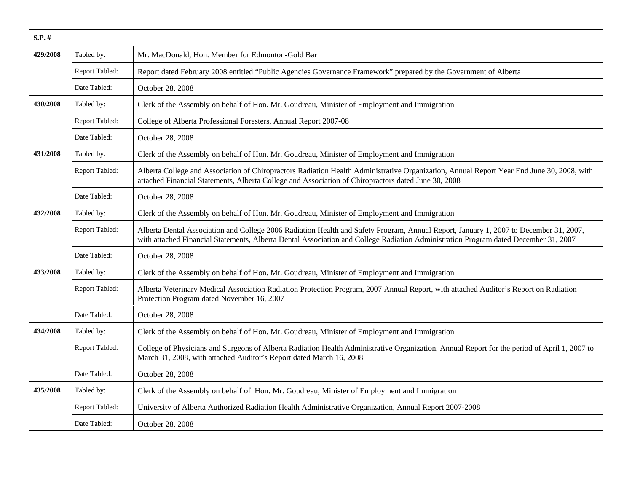| $S.P.$ # |                |                                                                                                                                                                                                                                                                              |
|----------|----------------|------------------------------------------------------------------------------------------------------------------------------------------------------------------------------------------------------------------------------------------------------------------------------|
| 429/2008 | Tabled by:     | Mr. MacDonald, Hon. Member for Edmonton-Gold Bar                                                                                                                                                                                                                             |
|          | Report Tabled: | Report dated February 2008 entitled "Public Agencies Governance Framework" prepared by the Government of Alberta                                                                                                                                                             |
|          | Date Tabled:   | October 28, 2008                                                                                                                                                                                                                                                             |
| 430/2008 | Tabled by:     | Clerk of the Assembly on behalf of Hon. Mr. Goudreau, Minister of Employment and Immigration                                                                                                                                                                                 |
|          | Report Tabled: | College of Alberta Professional Foresters, Annual Report 2007-08                                                                                                                                                                                                             |
|          | Date Tabled:   | October 28, 2008                                                                                                                                                                                                                                                             |
| 431/2008 | Tabled by:     | Clerk of the Assembly on behalf of Hon. Mr. Goudreau, Minister of Employment and Immigration                                                                                                                                                                                 |
|          | Report Tabled: | Alberta College and Association of Chiropractors Radiation Health Administrative Organization, Annual Report Year End June 30, 2008, with<br>attached Financial Statements, Alberta College and Association of Chiropractors dated June 30, 2008                             |
|          | Date Tabled:   | October 28, 2008                                                                                                                                                                                                                                                             |
| 432/2008 | Tabled by:     | Clerk of the Assembly on behalf of Hon. Mr. Goudreau, Minister of Employment and Immigration                                                                                                                                                                                 |
|          | Report Tabled: | Alberta Dental Association and College 2006 Radiation Health and Safety Program, Annual Report, January 1, 2007 to December 31, 2007,<br>with attached Financial Statements, Alberta Dental Association and College Radiation Administration Program dated December 31, 2007 |
|          | Date Tabled:   | October 28, 2008                                                                                                                                                                                                                                                             |
| 433/2008 | Tabled by:     | Clerk of the Assembly on behalf of Hon. Mr. Goudreau, Minister of Employment and Immigration                                                                                                                                                                                 |
|          | Report Tabled: | Alberta Veterinary Medical Association Radiation Protection Program, 2007 Annual Report, with attached Auditor's Report on Radiation<br>Protection Program dated November 16, 2007                                                                                           |
|          | Date Tabled:   | October 28, 2008                                                                                                                                                                                                                                                             |
| 434/2008 | Tabled by:     | Clerk of the Assembly on behalf of Hon. Mr. Goudreau, Minister of Employment and Immigration                                                                                                                                                                                 |
|          | Report Tabled: | College of Physicians and Surgeons of Alberta Radiation Health Administrative Organization, Annual Report for the period of April 1, 2007 to<br>March 31, 2008, with attached Auditor's Report dated March 16, 2008                                                          |
|          | Date Tabled:   | October 28, 2008                                                                                                                                                                                                                                                             |
| 435/2008 | Tabled by:     | Clerk of the Assembly on behalf of Hon. Mr. Goudreau, Minister of Employment and Immigration                                                                                                                                                                                 |
|          | Report Tabled: | University of Alberta Authorized Radiation Health Administrative Organization, Annual Report 2007-2008                                                                                                                                                                       |
|          | Date Tabled:   | October 28, 2008                                                                                                                                                                                                                                                             |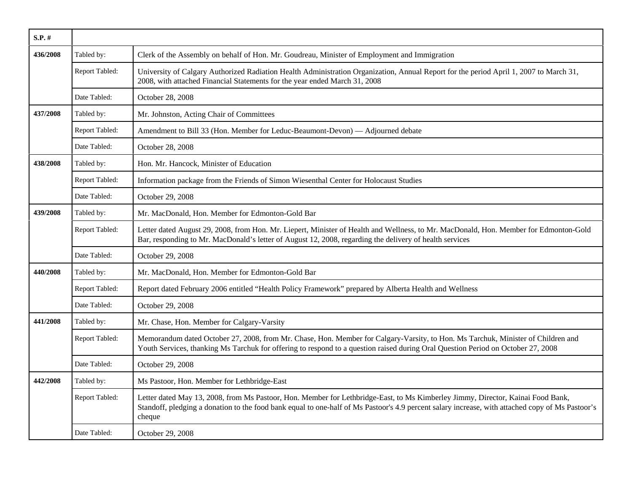| $S.P.$ # |                |                                                                                                                                                                                                                                                                                               |
|----------|----------------|-----------------------------------------------------------------------------------------------------------------------------------------------------------------------------------------------------------------------------------------------------------------------------------------------|
| 436/2008 | Tabled by:     | Clerk of the Assembly on behalf of Hon. Mr. Goudreau, Minister of Employment and Immigration                                                                                                                                                                                                  |
|          | Report Tabled: | University of Calgary Authorized Radiation Health Administration Organization, Annual Report for the period April 1, 2007 to March 31,<br>2008, with attached Financial Statements for the year ended March 31, 2008                                                                          |
|          | Date Tabled:   | October 28, 2008                                                                                                                                                                                                                                                                              |
| 437/2008 | Tabled by:     | Mr. Johnston, Acting Chair of Committees                                                                                                                                                                                                                                                      |
|          | Report Tabled: | Amendment to Bill 33 (Hon. Member for Leduc-Beaumont-Devon) — Adjourned debate                                                                                                                                                                                                                |
|          | Date Tabled:   | October 28, 2008                                                                                                                                                                                                                                                                              |
| 438/2008 | Tabled by:     | Hon. Mr. Hancock, Minister of Education                                                                                                                                                                                                                                                       |
|          | Report Tabled: | Information package from the Friends of Simon Wiesenthal Center for Holocaust Studies                                                                                                                                                                                                         |
|          | Date Tabled:   | October 29, 2008                                                                                                                                                                                                                                                                              |
| 439/2008 | Tabled by:     | Mr. MacDonald, Hon. Member for Edmonton-Gold Bar                                                                                                                                                                                                                                              |
|          | Report Tabled: | Letter dated August 29, 2008, from Hon. Mr. Liepert, Minister of Health and Wellness, to Mr. MacDonald, Hon. Member for Edmonton-Gold<br>Bar, responding to Mr. MacDonald's letter of August 12, 2008, regarding the delivery of health services                                              |
|          | Date Tabled:   | October 29, 2008                                                                                                                                                                                                                                                                              |
| 440/2008 | Tabled by:     | Mr. MacDonald, Hon. Member for Edmonton-Gold Bar                                                                                                                                                                                                                                              |
|          | Report Tabled: | Report dated February 2006 entitled "Health Policy Framework" prepared by Alberta Health and Wellness                                                                                                                                                                                         |
|          | Date Tabled:   | October 29, 2008                                                                                                                                                                                                                                                                              |
| 441/2008 | Tabled by:     | Mr. Chase, Hon. Member for Calgary-Varsity                                                                                                                                                                                                                                                    |
|          | Report Tabled: | Memorandum dated October 27, 2008, from Mr. Chase, Hon. Member for Calgary-Varsity, to Hon. Ms Tarchuk, Minister of Children and<br>Youth Services, thanking Ms Tarchuk for offering to respond to a question raised during Oral Question Period on October 27, 2008                          |
|          | Date Tabled:   | October 29, 2008                                                                                                                                                                                                                                                                              |
| 442/2008 | Tabled by:     | Ms Pastoor, Hon. Member for Lethbridge-East                                                                                                                                                                                                                                                   |
|          | Report Tabled: | Letter dated May 13, 2008, from Ms Pastoor, Hon. Member for Lethbridge-East, to Ms Kimberley Jimmy, Director, Kainai Food Bank,<br>Standoff, pledging a donation to the food bank equal to one-half of Ms Pastoor's 4.9 percent salary increase, with attached copy of Ms Pastoor's<br>cheque |
|          | Date Tabled:   | October 29, 2008                                                                                                                                                                                                                                                                              |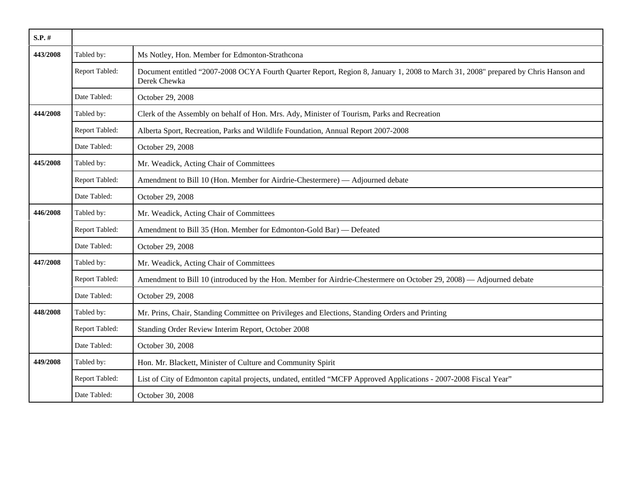| $S.P.$ # |                |                                                                                                                                                    |
|----------|----------------|----------------------------------------------------------------------------------------------------------------------------------------------------|
| 443/2008 | Tabled by:     | Ms Notley, Hon. Member for Edmonton-Strathcona                                                                                                     |
|          | Report Tabled: | Document entitled "2007-2008 OCYA Fourth Quarter Report, Region 8, January 1, 2008 to March 31, 2008" prepared by Chris Hanson and<br>Derek Chewka |
|          | Date Tabled:   | October 29, 2008                                                                                                                                   |
| 444/2008 | Tabled by:     | Clerk of the Assembly on behalf of Hon. Mrs. Ady, Minister of Tourism, Parks and Recreation                                                        |
|          | Report Tabled: | Alberta Sport, Recreation, Parks and Wildlife Foundation, Annual Report 2007-2008                                                                  |
|          | Date Tabled:   | October 29, 2008                                                                                                                                   |
| 445/2008 | Tabled by:     | Mr. Weadick, Acting Chair of Committees                                                                                                            |
|          | Report Tabled: | Amendment to Bill 10 (Hon. Member for Airdrie-Chestermere) — Adjourned debate                                                                      |
|          | Date Tabled:   | October 29, 2008                                                                                                                                   |
| 446/2008 | Tabled by:     | Mr. Weadick, Acting Chair of Committees                                                                                                            |
|          | Report Tabled: | Amendment to Bill 35 (Hon. Member for Edmonton-Gold Bar) — Defeated                                                                                |
|          | Date Tabled:   | October 29, 2008                                                                                                                                   |
| 447/2008 | Tabled by:     | Mr. Weadick, Acting Chair of Committees                                                                                                            |
|          | Report Tabled: | Amendment to Bill 10 (introduced by the Hon. Member for Airdrie-Chestermere on October 29, 2008) — Adjourned debate                                |
|          | Date Tabled:   | October 29, 2008                                                                                                                                   |
| 448/2008 | Tabled by:     | Mr. Prins, Chair, Standing Committee on Privileges and Elections, Standing Orders and Printing                                                     |
|          | Report Tabled: | Standing Order Review Interim Report, October 2008                                                                                                 |
|          | Date Tabled:   | October 30, 2008                                                                                                                                   |
| 449/2008 | Tabled by:     | Hon. Mr. Blackett, Minister of Culture and Community Spirit                                                                                        |
|          | Report Tabled: | List of City of Edmonton capital projects, undated, entitled "MCFP Approved Applications - 2007-2008 Fiscal Year"                                  |
|          | Date Tabled:   | October 30, 2008                                                                                                                                   |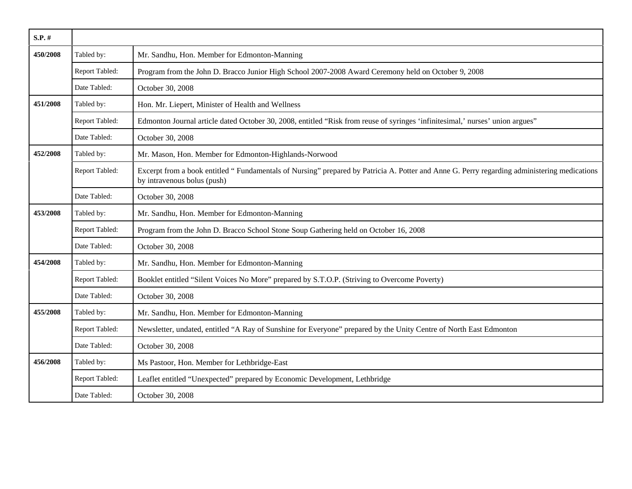| $S.P.$ # |                |                                                                                                                                                                            |
|----------|----------------|----------------------------------------------------------------------------------------------------------------------------------------------------------------------------|
| 450/2008 | Tabled by:     | Mr. Sandhu, Hon. Member for Edmonton-Manning                                                                                                                               |
|          | Report Tabled: | Program from the John D. Bracco Junior High School 2007-2008 Award Ceremony held on October 9, 2008                                                                        |
|          | Date Tabled:   | October 30, 2008                                                                                                                                                           |
| 451/2008 | Tabled by:     | Hon. Mr. Liepert, Minister of Health and Wellness                                                                                                                          |
|          | Report Tabled: | Edmonton Journal article dated October 30, 2008, entitled "Risk from reuse of syringes 'infinitesimal,' nurses' union argues"                                              |
|          | Date Tabled:   | October 30, 2008                                                                                                                                                           |
| 452/2008 | Tabled by:     | Mr. Mason, Hon. Member for Edmonton-Highlands-Norwood                                                                                                                      |
|          | Report Tabled: | Excerpt from a book entitled "Fundamentals of Nursing" prepared by Patricia A. Potter and Anne G. Perry regarding administering medications<br>by intravenous bolus (push) |
|          | Date Tabled:   | October 30, 2008                                                                                                                                                           |
| 453/2008 | Tabled by:     | Mr. Sandhu, Hon. Member for Edmonton-Manning                                                                                                                               |
|          | Report Tabled: | Program from the John D. Bracco School Stone Soup Gathering held on October 16, 2008                                                                                       |
|          | Date Tabled:   | October 30, 2008                                                                                                                                                           |
| 454/2008 | Tabled by:     | Mr. Sandhu, Hon. Member for Edmonton-Manning                                                                                                                               |
|          | Report Tabled: | Booklet entitled "Silent Voices No More" prepared by S.T.O.P. (Striving to Overcome Poverty)                                                                               |
|          | Date Tabled:   | October 30, 2008                                                                                                                                                           |
| 455/2008 | Tabled by:     | Mr. Sandhu, Hon. Member for Edmonton-Manning                                                                                                                               |
|          | Report Tabled: | Newsletter, undated, entitled "A Ray of Sunshine for Everyone" prepared by the Unity Centre of North East Edmonton                                                         |
|          | Date Tabled:   | October 30, 2008                                                                                                                                                           |
| 456/2008 | Tabled by:     | Ms Pastoor, Hon. Member for Lethbridge-East                                                                                                                                |
|          | Report Tabled: | Leaflet entitled "Unexpected" prepared by Economic Development, Lethbridge                                                                                                 |
|          | Date Tabled:   | October 30, 2008                                                                                                                                                           |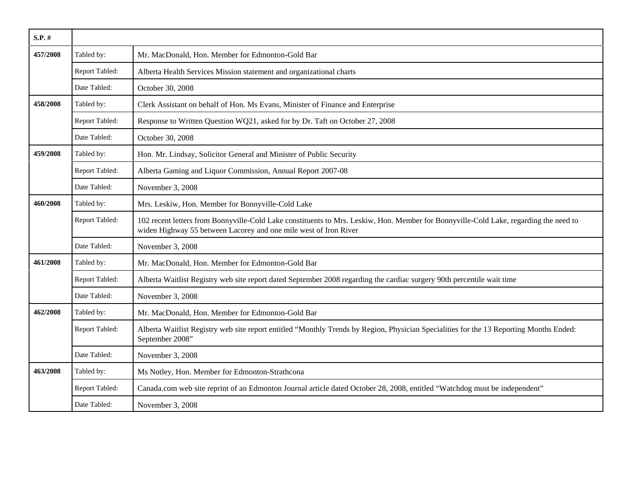| $S.P.$ # |                |                                                                                                                                                                                                           |
|----------|----------------|-----------------------------------------------------------------------------------------------------------------------------------------------------------------------------------------------------------|
| 457/2008 | Tabled by:     | Mr. MacDonald, Hon. Member for Edmonton-Gold Bar                                                                                                                                                          |
|          | Report Tabled: | Alberta Health Services Mission statement and organizational charts                                                                                                                                       |
|          | Date Tabled:   | October 30, 2008                                                                                                                                                                                          |
| 458/2008 | Tabled by:     | Clerk Assistant on behalf of Hon. Ms Evans, Minister of Finance and Enterprise                                                                                                                            |
|          | Report Tabled: | Response to Written Question WQ21, asked for by Dr. Taft on October 27, 2008                                                                                                                              |
|          | Date Tabled:   | October 30, 2008                                                                                                                                                                                          |
| 459/2008 | Tabled by:     | Hon. Mr. Lindsay, Solicitor General and Minister of Public Security                                                                                                                                       |
|          | Report Tabled: | Alberta Gaming and Liquor Commission, Annual Report 2007-08                                                                                                                                               |
|          | Date Tabled:   | November 3, 2008                                                                                                                                                                                          |
| 460/2008 | Tabled by:     | Mrs. Leskiw, Hon. Member for Bonnyville-Cold Lake                                                                                                                                                         |
|          | Report Tabled: | 102 recent letters from Bonnyville-Cold Lake constituents to Mrs. Leskiw, Hon. Member for Bonnyville-Cold Lake, regarding the need to<br>widen Highway 55 between Lacorey and one mile west of Iron River |
|          | Date Tabled:   | November 3, 2008                                                                                                                                                                                          |
| 461/2008 | Tabled by:     | Mr. MacDonald, Hon. Member for Edmonton-Gold Bar                                                                                                                                                          |
|          | Report Tabled: | Alberta Waitlist Registry web site report dated September 2008 regarding the cardiac surgery 90th percentile wait time                                                                                    |
|          | Date Tabled:   | November 3, 2008                                                                                                                                                                                          |
| 462/2008 | Tabled by:     | Mr. MacDonald, Hon. Member for Edmonton-Gold Bar                                                                                                                                                          |
|          | Report Tabled: | Alberta Waitlist Registry web site report entitled "Monthly Trends by Region, Physician Specialities for the 13 Reporting Months Ended:<br>September 2008"                                                |
|          | Date Tabled:   | November 3, 2008                                                                                                                                                                                          |
| 463/2008 | Tabled by:     | Ms Notley, Hon. Member for Edmonton-Strathcona                                                                                                                                                            |
|          | Report Tabled: | Canada.com web site reprint of an Edmonton Journal article dated October 28, 2008, entitled "Watchdog must be independent"                                                                                |
|          | Date Tabled:   | November 3, 2008                                                                                                                                                                                          |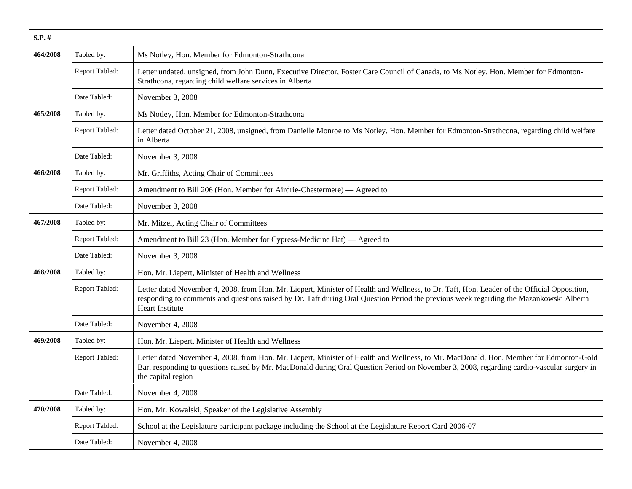| $S.P.$ # |                |                                                                                                                                                                                                                                                                                                                  |
|----------|----------------|------------------------------------------------------------------------------------------------------------------------------------------------------------------------------------------------------------------------------------------------------------------------------------------------------------------|
| 464/2008 | Tabled by:     | Ms Notley, Hon. Member for Edmonton-Strathcona                                                                                                                                                                                                                                                                   |
|          | Report Tabled: | Letter undated, unsigned, from John Dunn, Executive Director, Foster Care Council of Canada, to Ms Notley, Hon. Member for Edmonton-<br>Strathcona, regarding child welfare services in Alberta                                                                                                                  |
|          | Date Tabled:   | November 3, 2008                                                                                                                                                                                                                                                                                                 |
| 465/2008 | Tabled by:     | Ms Notley, Hon. Member for Edmonton-Strathcona                                                                                                                                                                                                                                                                   |
|          | Report Tabled: | Letter dated October 21, 2008, unsigned, from Danielle Monroe to Ms Notley, Hon. Member for Edmonton-Strathcona, regarding child welfare<br>in Alberta                                                                                                                                                           |
|          | Date Tabled:   | November 3, 2008                                                                                                                                                                                                                                                                                                 |
| 466/2008 | Tabled by:     | Mr. Griffiths, Acting Chair of Committees                                                                                                                                                                                                                                                                        |
|          | Report Tabled: | Amendment to Bill 206 (Hon. Member for Airdrie-Chestermere) — Agreed to                                                                                                                                                                                                                                          |
|          | Date Tabled:   | November 3, 2008                                                                                                                                                                                                                                                                                                 |
| 467/2008 | Tabled by:     | Mr. Mitzel, Acting Chair of Committees                                                                                                                                                                                                                                                                           |
|          | Report Tabled: | Amendment to Bill 23 (Hon. Member for Cypress-Medicine Hat) — Agreed to                                                                                                                                                                                                                                          |
|          | Date Tabled:   | November 3, 2008                                                                                                                                                                                                                                                                                                 |
| 468/2008 | Tabled by:     | Hon. Mr. Liepert, Minister of Health and Wellness                                                                                                                                                                                                                                                                |
|          | Report Tabled: | Letter dated November 4, 2008, from Hon. Mr. Liepert, Minister of Health and Wellness, to Dr. Taft, Hon. Leader of the Official Opposition,<br>responding to comments and questions raised by Dr. Taft during Oral Question Period the previous week regarding the Mazankowski Alberta<br><b>Heart Institute</b> |
|          | Date Tabled:   | November 4, 2008                                                                                                                                                                                                                                                                                                 |
| 469/2008 | Tabled by:     | Hon. Mr. Liepert, Minister of Health and Wellness                                                                                                                                                                                                                                                                |
|          | Report Tabled: | Letter dated November 4, 2008, from Hon. Mr. Liepert, Minister of Health and Wellness, to Mr. MacDonald, Hon. Member for Edmonton-Gold<br>Bar, responding to questions raised by Mr. MacDonald during Oral Question Period on November 3, 2008, regarding cardio-vascular surgery in<br>the capital region       |
|          | Date Tabled:   | November 4, 2008                                                                                                                                                                                                                                                                                                 |
| 470/2008 | Tabled by:     | Hon. Mr. Kowalski, Speaker of the Legislative Assembly                                                                                                                                                                                                                                                           |
|          | Report Tabled: | School at the Legislature participant package including the School at the Legislature Report Card 2006-07                                                                                                                                                                                                        |
|          | Date Tabled:   | November 4, 2008                                                                                                                                                                                                                                                                                                 |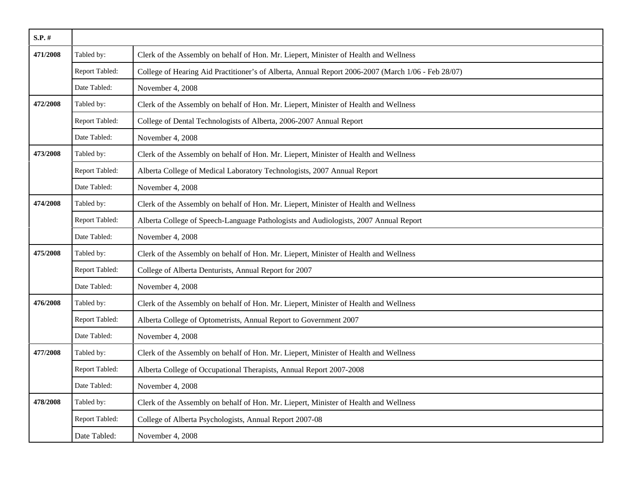| $S.P.$ # |                |                                                                                                    |
|----------|----------------|----------------------------------------------------------------------------------------------------|
| 471/2008 | Tabled by:     | Clerk of the Assembly on behalf of Hon. Mr. Liepert, Minister of Health and Wellness               |
|          | Report Tabled: | College of Hearing Aid Practitioner's of Alberta, Annual Report 2006-2007 (March 1/06 - Feb 28/07) |
|          | Date Tabled:   | November 4, 2008                                                                                   |
| 472/2008 | Tabled by:     | Clerk of the Assembly on behalf of Hon. Mr. Liepert, Minister of Health and Wellness               |
|          | Report Tabled: | College of Dental Technologists of Alberta, 2006-2007 Annual Report                                |
|          | Date Tabled:   | November 4, 2008                                                                                   |
| 473/2008 | Tabled by:     | Clerk of the Assembly on behalf of Hon. Mr. Liepert, Minister of Health and Wellness               |
|          | Report Tabled: | Alberta College of Medical Laboratory Technologists, 2007 Annual Report                            |
|          | Date Tabled:   | November 4, 2008                                                                                   |
| 474/2008 | Tabled by:     | Clerk of the Assembly on behalf of Hon. Mr. Liepert, Minister of Health and Wellness               |
|          | Report Tabled: | Alberta College of Speech-Language Pathologists and Audiologists, 2007 Annual Report               |
|          | Date Tabled:   | November 4, 2008                                                                                   |
| 475/2008 | Tabled by:     | Clerk of the Assembly on behalf of Hon. Mr. Liepert, Minister of Health and Wellness               |
|          | Report Tabled: | College of Alberta Denturists, Annual Report for 2007                                              |
|          | Date Tabled:   | November 4, 2008                                                                                   |
| 476/2008 | Tabled by:     | Clerk of the Assembly on behalf of Hon. Mr. Liepert, Minister of Health and Wellness               |
|          | Report Tabled: | Alberta College of Optometrists, Annual Report to Government 2007                                  |
|          | Date Tabled:   | November 4, 2008                                                                                   |
| 477/2008 | Tabled by:     | Clerk of the Assembly on behalf of Hon. Mr. Liepert, Minister of Health and Wellness               |
|          | Report Tabled: | Alberta College of Occupational Therapists, Annual Report 2007-2008                                |
|          | Date Tabled:   | November 4, 2008                                                                                   |
| 478/2008 | Tabled by:     | Clerk of the Assembly on behalf of Hon. Mr. Liepert, Minister of Health and Wellness               |
|          | Report Tabled: | College of Alberta Psychologists, Annual Report 2007-08                                            |
|          | Date Tabled:   | November 4, 2008                                                                                   |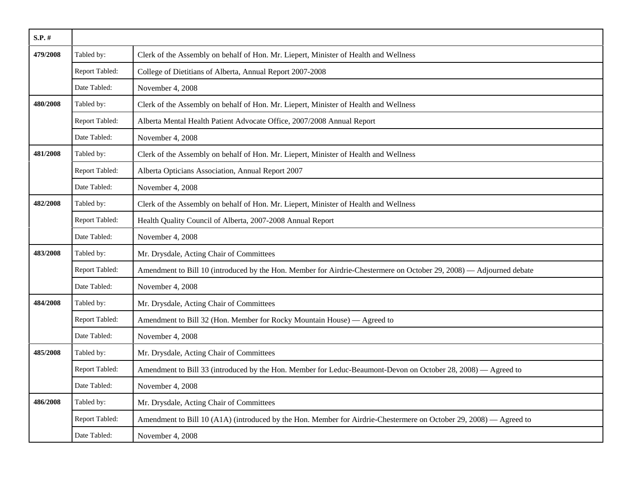| $S.P.$ # |                |                                                                                                                     |
|----------|----------------|---------------------------------------------------------------------------------------------------------------------|
| 479/2008 | Tabled by:     | Clerk of the Assembly on behalf of Hon. Mr. Liepert, Minister of Health and Wellness                                |
|          | Report Tabled: | College of Dietitians of Alberta, Annual Report 2007-2008                                                           |
|          | Date Tabled:   | November 4, 2008                                                                                                    |
| 480/2008 | Tabled by:     | Clerk of the Assembly on behalf of Hon. Mr. Liepert, Minister of Health and Wellness                                |
|          | Report Tabled: | Alberta Mental Health Patient Advocate Office, 2007/2008 Annual Report                                              |
|          | Date Tabled:   | November 4, 2008                                                                                                    |
| 481/2008 | Tabled by:     | Clerk of the Assembly on behalf of Hon. Mr. Liepert, Minister of Health and Wellness                                |
|          | Report Tabled: | Alberta Opticians Association, Annual Report 2007                                                                   |
|          | Date Tabled:   | November 4, 2008                                                                                                    |
| 482/2008 | Tabled by:     | Clerk of the Assembly on behalf of Hon. Mr. Liepert, Minister of Health and Wellness                                |
|          | Report Tabled: | Health Quality Council of Alberta, 2007-2008 Annual Report                                                          |
|          | Date Tabled:   | November 4, 2008                                                                                                    |
| 483/2008 | Tabled by:     | Mr. Drysdale, Acting Chair of Committees                                                                            |
|          | Report Tabled: | Amendment to Bill 10 (introduced by the Hon. Member for Airdrie-Chestermere on October 29, 2008) — Adjourned debate |
|          | Date Tabled:   | November 4, 2008                                                                                                    |
| 484/2008 | Tabled by:     | Mr. Drysdale, Acting Chair of Committees                                                                            |
|          | Report Tabled: | Amendment to Bill 32 (Hon. Member for Rocky Mountain House) — Agreed to                                             |
|          | Date Tabled:   | November 4, 2008                                                                                                    |
| 485/2008 | Tabled by:     | Mr. Drysdale, Acting Chair of Committees                                                                            |
|          | Report Tabled: | Amendment to Bill 33 (introduced by the Hon. Member for Leduc-Beaumont-Devon on October 28, 2008) - Agreed to       |
|          | Date Tabled:   | November 4, 2008                                                                                                    |
| 486/2008 | Tabled by:     | Mr. Drysdale, Acting Chair of Committees                                                                            |
|          | Report Tabled: | Amendment to Bill 10 (A1A) (introduced by the Hon. Member for Airdrie-Chestermere on October 29, 2008) — Agreed to  |
|          | Date Tabled:   | November 4, 2008                                                                                                    |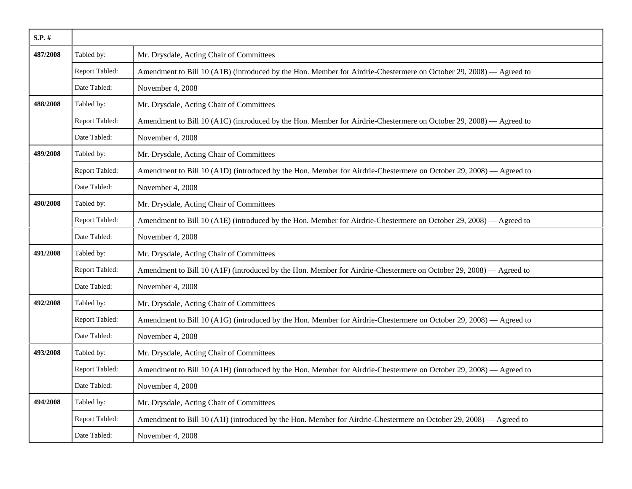| $S.P.$ # |                |                                                                                                                    |
|----------|----------------|--------------------------------------------------------------------------------------------------------------------|
| 487/2008 | Tabled by:     | Mr. Drysdale, Acting Chair of Committees                                                                           |
|          | Report Tabled: | Amendment to Bill 10 (A1B) (introduced by the Hon. Member for Airdrie-Chestermere on October 29, 2008) — Agreed to |
|          | Date Tabled:   | November 4, 2008                                                                                                   |
| 488/2008 | Tabled by:     | Mr. Drysdale, Acting Chair of Committees                                                                           |
|          | Report Tabled: | Amendment to Bill 10 (A1C) (introduced by the Hon. Member for Airdrie-Chestermere on October 29, 2008) — Agreed to |
|          | Date Tabled:   | November 4, 2008                                                                                                   |
| 489/2008 | Tabled by:     | Mr. Drysdale, Acting Chair of Committees                                                                           |
|          | Report Tabled: | Amendment to Bill 10 (A1D) (introduced by the Hon. Member for Airdrie-Chestermere on October 29, 2008) — Agreed to |
|          | Date Tabled:   | November 4, 2008                                                                                                   |
| 490/2008 | Tabled by:     | Mr. Drysdale, Acting Chair of Committees                                                                           |
|          | Report Tabled: | Amendment to Bill 10 (A1E) (introduced by the Hon. Member for Airdrie-Chestermere on October 29, 2008) — Agreed to |
|          | Date Tabled:   | November 4, 2008                                                                                                   |
| 491/2008 | Tabled by:     | Mr. Drysdale, Acting Chair of Committees                                                                           |
|          | Report Tabled: | Amendment to Bill 10 (A1F) (introduced by the Hon. Member for Airdrie-Chestermere on October 29, 2008) - Agreed to |
|          | Date Tabled:   | November 4, 2008                                                                                                   |
| 492/2008 | Tabled by:     | Mr. Drysdale, Acting Chair of Committees                                                                           |
|          | Report Tabled: | Amendment to Bill 10 (A1G) (introduced by the Hon. Member for Airdrie-Chestermere on October 29, 2008) — Agreed to |
|          | Date Tabled:   | November 4, 2008                                                                                                   |
| 493/2008 | Tabled by:     | Mr. Drysdale, Acting Chair of Committees                                                                           |
|          | Report Tabled: | Amendment to Bill 10 (A1H) (introduced by the Hon. Member for Airdrie-Chestermere on October 29, 2008) — Agreed to |
|          | Date Tabled:   | November 4, 2008                                                                                                   |
| 494/2008 | Tabled by:     | Mr. Drysdale, Acting Chair of Committees                                                                           |
|          | Report Tabled: | Amendment to Bill 10 (A1I) (introduced by the Hon. Member for Airdrie-Chestermere on October 29, 2008) — Agreed to |
|          | Date Tabled:   | November 4, 2008                                                                                                   |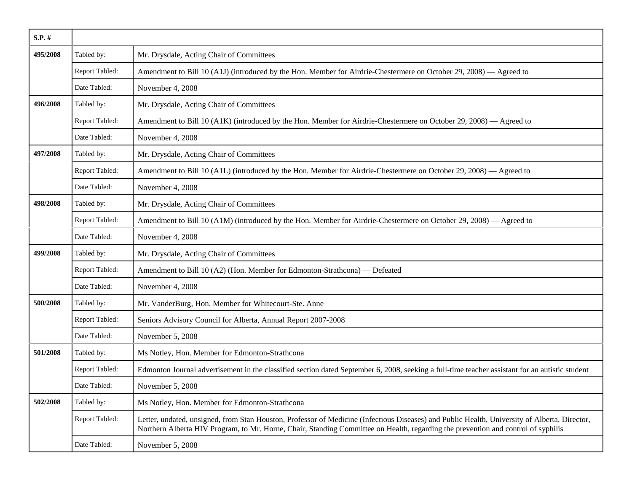| $S.P.$ # |                |                                                                                                                                                                                                                                                                                    |
|----------|----------------|------------------------------------------------------------------------------------------------------------------------------------------------------------------------------------------------------------------------------------------------------------------------------------|
| 495/2008 | Tabled by:     | Mr. Drysdale, Acting Chair of Committees                                                                                                                                                                                                                                           |
|          | Report Tabled: | Amendment to Bill 10 (A1J) (introduced by the Hon. Member for Airdrie-Chestermere on October 29, 2008) - Agreed to                                                                                                                                                                 |
|          | Date Tabled:   | November 4, 2008                                                                                                                                                                                                                                                                   |
| 496/2008 | Tabled by:     | Mr. Drysdale, Acting Chair of Committees                                                                                                                                                                                                                                           |
|          | Report Tabled: | Amendment to Bill 10 (A1K) (introduced by the Hon. Member for Airdrie-Chestermere on October 29, 2008) — Agreed to                                                                                                                                                                 |
|          | Date Tabled:   | November 4, 2008                                                                                                                                                                                                                                                                   |
| 497/2008 | Tabled by:     | Mr. Drysdale, Acting Chair of Committees                                                                                                                                                                                                                                           |
|          | Report Tabled: | Amendment to Bill 10 (A1L) (introduced by the Hon. Member for Airdrie-Chestermere on October 29, 2008) — Agreed to                                                                                                                                                                 |
|          | Date Tabled:   | November 4, 2008                                                                                                                                                                                                                                                                   |
| 498/2008 | Tabled by:     | Mr. Drysdale, Acting Chair of Committees                                                                                                                                                                                                                                           |
|          | Report Tabled: | Amendment to Bill 10 (A1M) (introduced by the Hon. Member for Airdrie-Chestermere on October 29, 2008) — Agreed to                                                                                                                                                                 |
|          | Date Tabled:   | November 4, 2008                                                                                                                                                                                                                                                                   |
| 499/2008 | Tabled by:     | Mr. Drysdale, Acting Chair of Committees                                                                                                                                                                                                                                           |
|          | Report Tabled: | Amendment to Bill 10 (A2) (Hon. Member for Edmonton-Strathcona) — Defeated                                                                                                                                                                                                         |
|          | Date Tabled:   | November 4, 2008                                                                                                                                                                                                                                                                   |
| 500/2008 | Tabled by:     | Mr. VanderBurg, Hon. Member for Whitecourt-Ste. Anne                                                                                                                                                                                                                               |
|          | Report Tabled: | Seniors Advisory Council for Alberta, Annual Report 2007-2008                                                                                                                                                                                                                      |
|          | Date Tabled:   | November 5, 2008                                                                                                                                                                                                                                                                   |
| 501/2008 | Tabled by:     | Ms Notley, Hon. Member for Edmonton-Strathcona                                                                                                                                                                                                                                     |
|          | Report Tabled: | Edmonton Journal advertisement in the classified section dated September 6, 2008, seeking a full-time teacher assistant for an autistic student                                                                                                                                    |
|          | Date Tabled:   | November 5, 2008                                                                                                                                                                                                                                                                   |
| 502/2008 | Tabled by:     | Ms Notley, Hon. Member for Edmonton-Strathcona                                                                                                                                                                                                                                     |
|          | Report Tabled: | Letter, undated, unsigned, from Stan Houston, Professor of Medicine (Infectious Diseases) and Public Health, University of Alberta, Director,<br>Northern Alberta HIV Program, to Mr. Horne, Chair, Standing Committee on Health, regarding the prevention and control of syphilis |
|          | Date Tabled:   | November 5, 2008                                                                                                                                                                                                                                                                   |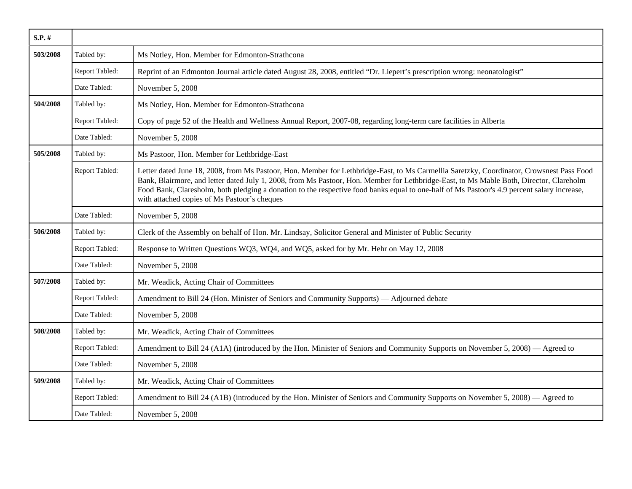| $S.P.$ # |                |                                                                                                                                                                                                                                                                                                                                                                                                                                                                                    |
|----------|----------------|------------------------------------------------------------------------------------------------------------------------------------------------------------------------------------------------------------------------------------------------------------------------------------------------------------------------------------------------------------------------------------------------------------------------------------------------------------------------------------|
| 503/2008 | Tabled by:     | Ms Notley, Hon. Member for Edmonton-Strathcona                                                                                                                                                                                                                                                                                                                                                                                                                                     |
|          | Report Tabled: | Reprint of an Edmonton Journal article dated August 28, 2008, entitled "Dr. Liepert's prescription wrong: neonatologist"                                                                                                                                                                                                                                                                                                                                                           |
|          | Date Tabled:   | November 5, 2008                                                                                                                                                                                                                                                                                                                                                                                                                                                                   |
| 504/2008 | Tabled by:     | Ms Notley, Hon. Member for Edmonton-Strathcona                                                                                                                                                                                                                                                                                                                                                                                                                                     |
|          | Report Tabled: | Copy of page 52 of the Health and Wellness Annual Report, 2007-08, regarding long-term care facilities in Alberta                                                                                                                                                                                                                                                                                                                                                                  |
|          | Date Tabled:   | November 5, 2008                                                                                                                                                                                                                                                                                                                                                                                                                                                                   |
| 505/2008 | Tabled by:     | Ms Pastoor, Hon. Member for Lethbridge-East                                                                                                                                                                                                                                                                                                                                                                                                                                        |
|          | Report Tabled: | Letter dated June 18, 2008, from Ms Pastoor, Hon. Member for Lethbridge-East, to Ms Carmellia Saretzky, Coordinator, Crowsnest Pass Food<br>Bank, Blairmore, and letter dated July 1, 2008, from Ms Pastoor, Hon. Member for Lethbridge-East, to Ms Mable Both, Director, Clareholm<br>Food Bank, Claresholm, both pledging a donation to the respective food banks equal to one-half of Ms Pastoor's 4.9 percent salary increase,<br>with attached copies of Ms Pastoor's cheques |
|          | Date Tabled:   | November 5, 2008                                                                                                                                                                                                                                                                                                                                                                                                                                                                   |
| 506/2008 | Tabled by:     | Clerk of the Assembly on behalf of Hon. Mr. Lindsay, Solicitor General and Minister of Public Security                                                                                                                                                                                                                                                                                                                                                                             |
|          | Report Tabled: | Response to Written Questions WQ3, WQ4, and WQ5, asked for by Mr. Hehr on May 12, 2008                                                                                                                                                                                                                                                                                                                                                                                             |
|          | Date Tabled:   | November 5, 2008                                                                                                                                                                                                                                                                                                                                                                                                                                                                   |
| 507/2008 | Tabled by:     | Mr. Weadick, Acting Chair of Committees                                                                                                                                                                                                                                                                                                                                                                                                                                            |
|          | Report Tabled: | Amendment to Bill 24 (Hon. Minister of Seniors and Community Supports) — Adjourned debate                                                                                                                                                                                                                                                                                                                                                                                          |
|          | Date Tabled:   | November 5, 2008                                                                                                                                                                                                                                                                                                                                                                                                                                                                   |
| 508/2008 | Tabled by:     | Mr. Weadick, Acting Chair of Committees                                                                                                                                                                                                                                                                                                                                                                                                                                            |
|          | Report Tabled: | Amendment to Bill 24 (A1A) (introduced by the Hon. Minister of Seniors and Community Supports on November 5, 2008) — Agreed to                                                                                                                                                                                                                                                                                                                                                     |
|          | Date Tabled:   | November 5, 2008                                                                                                                                                                                                                                                                                                                                                                                                                                                                   |
| 509/2008 | Tabled by:     | Mr. Weadick, Acting Chair of Committees                                                                                                                                                                                                                                                                                                                                                                                                                                            |
|          | Report Tabled: | Amendment to Bill 24 (A1B) (introduced by the Hon. Minister of Seniors and Community Supports on November 5, 2008) — Agreed to                                                                                                                                                                                                                                                                                                                                                     |
|          | Date Tabled:   | November 5, 2008                                                                                                                                                                                                                                                                                                                                                                                                                                                                   |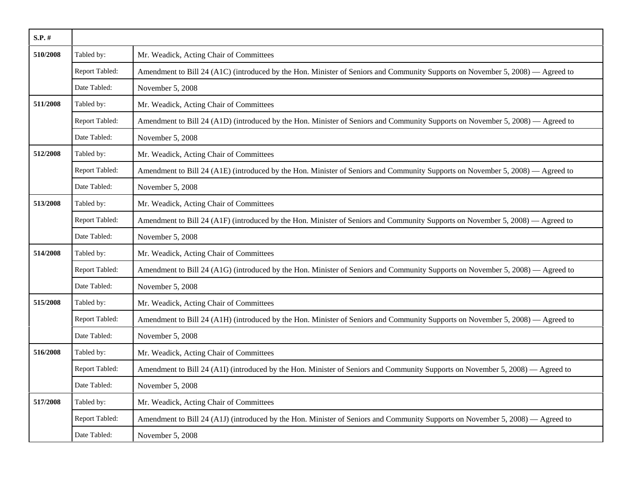| $S.P.$ # |                |                                                                                                                                |
|----------|----------------|--------------------------------------------------------------------------------------------------------------------------------|
| 510/2008 | Tabled by:     | Mr. Weadick, Acting Chair of Committees                                                                                        |
|          | Report Tabled: | Amendment to Bill 24 (A1C) (introduced by the Hon. Minister of Seniors and Community Supports on November 5, 2008) — Agreed to |
|          | Date Tabled:   | November 5, 2008                                                                                                               |
| 511/2008 | Tabled by:     | Mr. Weadick, Acting Chair of Committees                                                                                        |
|          | Report Tabled: | Amendment to Bill 24 (A1D) (introduced by the Hon. Minister of Seniors and Community Supports on November 5, 2008) — Agreed to |
|          | Date Tabled:   | November 5, 2008                                                                                                               |
| 512/2008 | Tabled by:     | Mr. Weadick, Acting Chair of Committees                                                                                        |
|          | Report Tabled: | Amendment to Bill 24 (A1E) (introduced by the Hon. Minister of Seniors and Community Supports on November 5, 2008) — Agreed to |
|          | Date Tabled:   | November 5, 2008                                                                                                               |
| 513/2008 | Tabled by:     | Mr. Weadick, Acting Chair of Committees                                                                                        |
|          | Report Tabled: | Amendment to Bill 24 (A1F) (introduced by the Hon. Minister of Seniors and Community Supports on November 5, 2008) — Agreed to |
|          | Date Tabled:   | November 5, 2008                                                                                                               |
| 514/2008 | Tabled by:     | Mr. Weadick, Acting Chair of Committees                                                                                        |
|          | Report Tabled: | Amendment to Bill 24 (A1G) (introduced by the Hon. Minister of Seniors and Community Supports on November 5, 2008) — Agreed to |
|          | Date Tabled:   | November 5, 2008                                                                                                               |
| 515/2008 | Tabled by:     | Mr. Weadick, Acting Chair of Committees                                                                                        |
|          | Report Tabled: | Amendment to Bill 24 (A1H) (introduced by the Hon. Minister of Seniors and Community Supports on November 5, 2008) — Agreed to |
|          | Date Tabled:   | November 5, 2008                                                                                                               |
| 516/2008 | Tabled by:     | Mr. Weadick, Acting Chair of Committees                                                                                        |
|          | Report Tabled: | Amendment to Bill 24 (A1I) (introduced by the Hon. Minister of Seniors and Community Supports on November 5, 2008) — Agreed to |
|          | Date Tabled:   | November 5, 2008                                                                                                               |
| 517/2008 | Tabled by:     | Mr. Weadick, Acting Chair of Committees                                                                                        |
|          | Report Tabled: | Amendment to Bill 24 (A1J) (introduced by the Hon. Minister of Seniors and Community Supports on November 5, 2008) — Agreed to |
|          | Date Tabled:   | November 5, 2008                                                                                                               |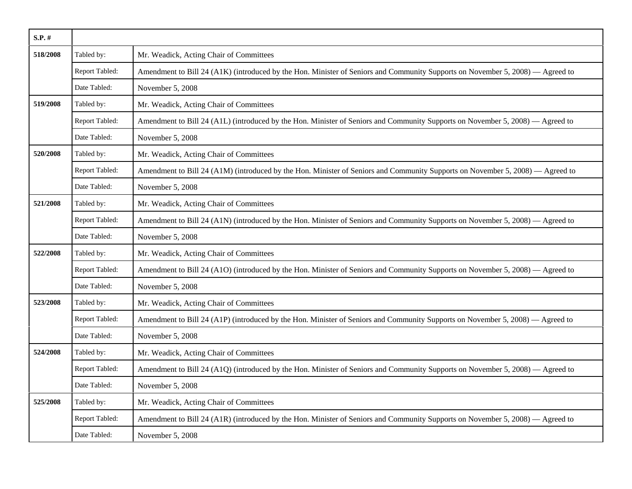| $S.P.$ # |                |                                                                                                                                |
|----------|----------------|--------------------------------------------------------------------------------------------------------------------------------|
| 518/2008 | Tabled by:     | Mr. Weadick, Acting Chair of Committees                                                                                        |
|          | Report Tabled: | Amendment to Bill 24 (A1K) (introduced by the Hon. Minister of Seniors and Community Supports on November 5, 2008) — Agreed to |
|          | Date Tabled:   | November 5, 2008                                                                                                               |
| 519/2008 | Tabled by:     | Mr. Weadick, Acting Chair of Committees                                                                                        |
|          | Report Tabled: | Amendment to Bill 24 (A1L) (introduced by the Hon. Minister of Seniors and Community Supports on November 5, 2008) — Agreed to |
|          | Date Tabled:   | November 5, 2008                                                                                                               |
| 520/2008 | Tabled by:     | Mr. Weadick, Acting Chair of Committees                                                                                        |
|          | Report Tabled: | Amendment to Bill 24 (A1M) (introduced by the Hon. Minister of Seniors and Community Supports on November 5, 2008) — Agreed to |
|          | Date Tabled:   | November 5, 2008                                                                                                               |
| 521/2008 | Tabled by:     | Mr. Weadick, Acting Chair of Committees                                                                                        |
|          | Report Tabled: | Amendment to Bill 24 (A1N) (introduced by the Hon. Minister of Seniors and Community Supports on November 5, 2008) - Agreed to |
|          | Date Tabled:   | November 5, 2008                                                                                                               |
| 522/2008 | Tabled by:     | Mr. Weadick, Acting Chair of Committees                                                                                        |
|          | Report Tabled: | Amendment to Bill 24 (A1O) (introduced by the Hon. Minister of Seniors and Community Supports on November 5, 2008) — Agreed to |
|          | Date Tabled:   | November 5, 2008                                                                                                               |
| 523/2008 | Tabled by:     | Mr. Weadick, Acting Chair of Committees                                                                                        |
|          | Report Tabled: | Amendment to Bill 24 (A1P) (introduced by the Hon. Minister of Seniors and Community Supports on November 5, 2008) — Agreed to |
|          | Date Tabled:   | November 5, 2008                                                                                                               |
| 524/2008 | Tabled by:     | Mr. Weadick, Acting Chair of Committees                                                                                        |
|          | Report Tabled: | Amendment to Bill 24 (A1Q) (introduced by the Hon. Minister of Seniors and Community Supports on November 5, 2008) — Agreed to |
|          | Date Tabled:   | November 5, 2008                                                                                                               |
| 525/2008 | Tabled by:     | Mr. Weadick, Acting Chair of Committees                                                                                        |
|          | Report Tabled: | Amendment to Bill 24 (A1R) (introduced by the Hon. Minister of Seniors and Community Supports on November 5, 2008) — Agreed to |
|          | Date Tabled:   | November 5, 2008                                                                                                               |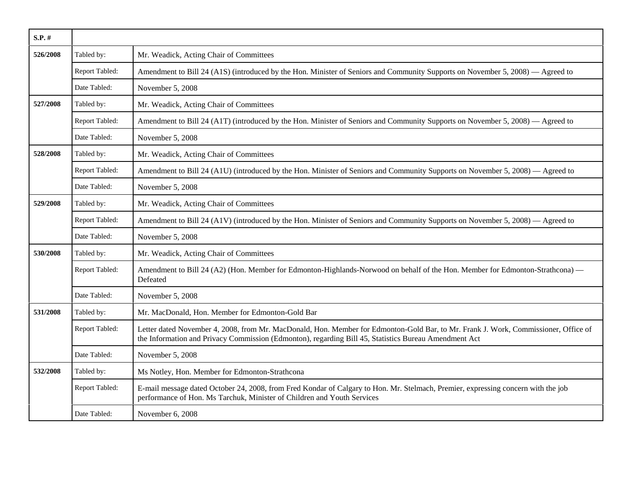| $S.P.$ # |                |                                                                                                                                                                                                                                              |
|----------|----------------|----------------------------------------------------------------------------------------------------------------------------------------------------------------------------------------------------------------------------------------------|
| 526/2008 | Tabled by:     | Mr. Weadick, Acting Chair of Committees                                                                                                                                                                                                      |
|          | Report Tabled: | Amendment to Bill 24 (A1S) (introduced by the Hon. Minister of Seniors and Community Supports on November 5, 2008) — Agreed to                                                                                                               |
|          | Date Tabled:   | November 5, 2008                                                                                                                                                                                                                             |
| 527/2008 | Tabled by:     | Mr. Weadick, Acting Chair of Committees                                                                                                                                                                                                      |
|          | Report Tabled: | Amendment to Bill 24 (A1T) (introduced by the Hon. Minister of Seniors and Community Supports on November 5, 2008) — Agreed to                                                                                                               |
|          | Date Tabled:   | November 5, 2008                                                                                                                                                                                                                             |
| 528/2008 | Tabled by:     | Mr. Weadick, Acting Chair of Committees                                                                                                                                                                                                      |
|          | Report Tabled: | Amendment to Bill 24 (A1U) (introduced by the Hon. Minister of Seniors and Community Supports on November 5, 2008) — Agreed to                                                                                                               |
|          | Date Tabled:   | November 5, 2008                                                                                                                                                                                                                             |
| 529/2008 | Tabled by:     | Mr. Weadick, Acting Chair of Committees                                                                                                                                                                                                      |
|          | Report Tabled: | Amendment to Bill 24 (A1V) (introduced by the Hon. Minister of Seniors and Community Supports on November 5, 2008) — Agreed to                                                                                                               |
|          | Date Tabled:   | November 5, 2008                                                                                                                                                                                                                             |
| 530/2008 | Tabled by:     | Mr. Weadick, Acting Chair of Committees                                                                                                                                                                                                      |
|          | Report Tabled: | Amendment to Bill 24 (A2) (Hon. Member for Edmonton-Highlands-Norwood on behalf of the Hon. Member for Edmonton-Strathcona) -<br>Defeated                                                                                                    |
|          | Date Tabled:   | November 5, 2008                                                                                                                                                                                                                             |
| 531/2008 | Tabled by:     | Mr. MacDonald, Hon. Member for Edmonton-Gold Bar                                                                                                                                                                                             |
|          | Report Tabled: | Letter dated November 4, 2008, from Mr. MacDonald, Hon. Member for Edmonton-Gold Bar, to Mr. Frank J. Work, Commissioner, Office of<br>the Information and Privacy Commission (Edmonton), regarding Bill 45, Statistics Bureau Amendment Act |
|          | Date Tabled:   | November 5, 2008                                                                                                                                                                                                                             |
| 532/2008 | Tabled by:     | Ms Notley, Hon. Member for Edmonton-Strathcona                                                                                                                                                                                               |
|          | Report Tabled: | E-mail message dated October 24, 2008, from Fred Kondar of Calgary to Hon. Mr. Stelmach, Premier, expressing concern with the job<br>performance of Hon. Ms Tarchuk, Minister of Children and Youth Services                                 |
|          | Date Tabled:   | November 6, 2008                                                                                                                                                                                                                             |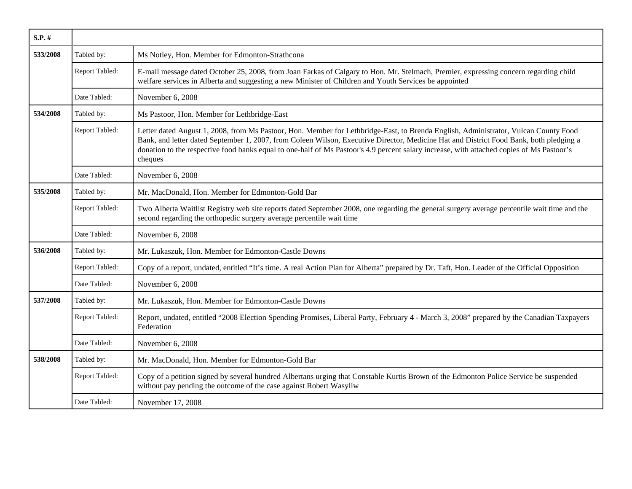| $S.P.$ # |                |                                                                                                                                                                                                                                                                                                                                                                                                                                       |
|----------|----------------|---------------------------------------------------------------------------------------------------------------------------------------------------------------------------------------------------------------------------------------------------------------------------------------------------------------------------------------------------------------------------------------------------------------------------------------|
| 533/2008 | Tabled by:     | Ms Notley, Hon. Member for Edmonton-Strathcona                                                                                                                                                                                                                                                                                                                                                                                        |
|          | Report Tabled: | E-mail message dated October 25, 2008, from Joan Farkas of Calgary to Hon. Mr. Stelmach, Premier, expressing concern regarding child<br>welfare services in Alberta and suggesting a new Minister of Children and Youth Services be appointed                                                                                                                                                                                         |
|          | Date Tabled:   | November 6, 2008                                                                                                                                                                                                                                                                                                                                                                                                                      |
| 534/2008 | Tabled by:     | Ms Pastoor, Hon. Member for Lethbridge-East                                                                                                                                                                                                                                                                                                                                                                                           |
|          | Report Tabled: | Letter dated August 1, 2008, from Ms Pastoor, Hon. Member for Lethbridge-East, to Brenda English, Administrator, Vulcan County Food<br>Bank, and letter dated September 1, 2007, from Coleen Wilson, Executive Director, Medicine Hat and District Food Bank, both pledging a<br>donation to the respective food banks equal to one-half of Ms Pastoor's 4.9 percent salary increase, with attached copies of Ms Pastoor's<br>cheques |
|          | Date Tabled:   | November 6, 2008                                                                                                                                                                                                                                                                                                                                                                                                                      |
| 535/2008 | Tabled by:     | Mr. MacDonald, Hon. Member for Edmonton-Gold Bar                                                                                                                                                                                                                                                                                                                                                                                      |
|          | Report Tabled: | Two Alberta Waitlist Registry web site reports dated September 2008, one regarding the general surgery average percentile wait time and the<br>second regarding the orthopedic surgery average percentile wait time                                                                                                                                                                                                                   |
|          | Date Tabled:   | November 6, 2008                                                                                                                                                                                                                                                                                                                                                                                                                      |
| 536/2008 | Tabled by:     | Mr. Lukaszuk, Hon. Member for Edmonton-Castle Downs                                                                                                                                                                                                                                                                                                                                                                                   |
|          | Report Tabled: | Copy of a report, undated, entitled "It's time. A real Action Plan for Alberta" prepared by Dr. Taft, Hon. Leader of the Official Opposition                                                                                                                                                                                                                                                                                          |
|          | Date Tabled:   | November 6, 2008                                                                                                                                                                                                                                                                                                                                                                                                                      |
| 537/2008 | Tabled by:     | Mr. Lukaszuk, Hon. Member for Edmonton-Castle Downs                                                                                                                                                                                                                                                                                                                                                                                   |
|          | Report Tabled: | Report, undated, entitled "2008 Election Spending Promises, Liberal Party, February 4 - March 3, 2008" prepared by the Canadian Taxpayers<br>Federation                                                                                                                                                                                                                                                                               |
|          | Date Tabled:   | November 6, 2008                                                                                                                                                                                                                                                                                                                                                                                                                      |
| 538/2008 | Tabled by:     | Mr. MacDonald, Hon. Member for Edmonton-Gold Bar                                                                                                                                                                                                                                                                                                                                                                                      |
|          | Report Tabled: | Copy of a petition signed by several hundred Albertans urging that Constable Kurtis Brown of the Edmonton Police Service be suspended<br>without pay pending the outcome of the case against Robert Wasyliw                                                                                                                                                                                                                           |
|          | Date Tabled:   | November 17, 2008                                                                                                                                                                                                                                                                                                                                                                                                                     |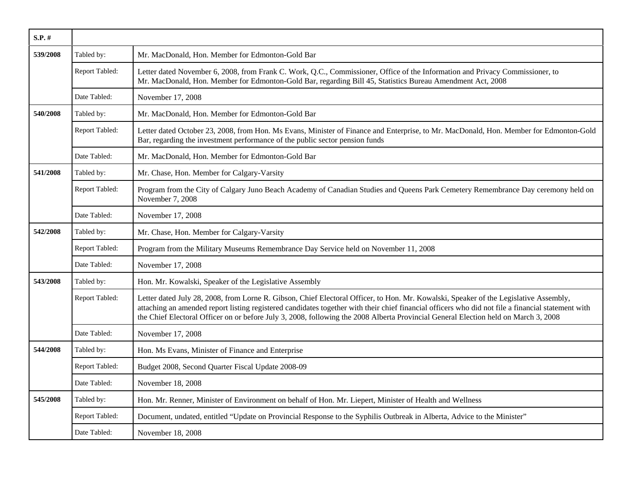| $S.P.$ # |                |                                                                                                                                                                                                                                                                                                                                                                                                                                    |
|----------|----------------|------------------------------------------------------------------------------------------------------------------------------------------------------------------------------------------------------------------------------------------------------------------------------------------------------------------------------------------------------------------------------------------------------------------------------------|
| 539/2008 | Tabled by:     | Mr. MacDonald, Hon. Member for Edmonton-Gold Bar                                                                                                                                                                                                                                                                                                                                                                                   |
|          | Report Tabled: | Letter dated November 6, 2008, from Frank C. Work, Q.C., Commissioner, Office of the Information and Privacy Commissioner, to<br>Mr. MacDonald, Hon. Member for Edmonton-Gold Bar, regarding Bill 45, Statistics Bureau Amendment Act, 2008                                                                                                                                                                                        |
|          | Date Tabled:   | November 17, 2008                                                                                                                                                                                                                                                                                                                                                                                                                  |
| 540/2008 | Tabled by:     | Mr. MacDonald, Hon. Member for Edmonton-Gold Bar                                                                                                                                                                                                                                                                                                                                                                                   |
|          | Report Tabled: | Letter dated October 23, 2008, from Hon. Ms Evans, Minister of Finance and Enterprise, to Mr. MacDonald, Hon. Member for Edmonton-Gold<br>Bar, regarding the investment performance of the public sector pension funds                                                                                                                                                                                                             |
|          | Date Tabled:   | Mr. MacDonald, Hon. Member for Edmonton-Gold Bar                                                                                                                                                                                                                                                                                                                                                                                   |
| 541/2008 | Tabled by:     | Mr. Chase, Hon. Member for Calgary-Varsity                                                                                                                                                                                                                                                                                                                                                                                         |
|          | Report Tabled: | Program from the City of Calgary Juno Beach Academy of Canadian Studies and Queens Park Cemetery Remembrance Day ceremony held on<br>November 7, 2008                                                                                                                                                                                                                                                                              |
|          | Date Tabled:   | November 17, 2008                                                                                                                                                                                                                                                                                                                                                                                                                  |
| 542/2008 | Tabled by:     | Mr. Chase, Hon. Member for Calgary-Varsity                                                                                                                                                                                                                                                                                                                                                                                         |
|          | Report Tabled: | Program from the Military Museums Remembrance Day Service held on November 11, 2008                                                                                                                                                                                                                                                                                                                                                |
|          | Date Tabled:   | November 17, 2008                                                                                                                                                                                                                                                                                                                                                                                                                  |
| 543/2008 | Tabled by:     | Hon. Mr. Kowalski, Speaker of the Legislative Assembly                                                                                                                                                                                                                                                                                                                                                                             |
|          | Report Tabled: | Letter dated July 28, 2008, from Lorne R. Gibson, Chief Electoral Officer, to Hon. Mr. Kowalski, Speaker of the Legislative Assembly,<br>attaching an amended report listing registered candidates together with their chief financial officers who did not file a financial statement with<br>the Chief Electoral Officer on or before July 3, 2008, following the 2008 Alberta Provincial General Election held on March 3, 2008 |
|          | Date Tabled:   | November 17, 2008                                                                                                                                                                                                                                                                                                                                                                                                                  |
| 544/2008 | Tabled by:     | Hon. Ms Evans, Minister of Finance and Enterprise                                                                                                                                                                                                                                                                                                                                                                                  |
|          | Report Tabled: | Budget 2008, Second Quarter Fiscal Update 2008-09                                                                                                                                                                                                                                                                                                                                                                                  |
|          | Date Tabled:   | November 18, 2008                                                                                                                                                                                                                                                                                                                                                                                                                  |
| 545/2008 | Tabled by:     | Hon. Mr. Renner, Minister of Environment on behalf of Hon. Mr. Liepert, Minister of Health and Wellness                                                                                                                                                                                                                                                                                                                            |
|          | Report Tabled: | Document, undated, entitled "Update on Provincial Response to the Syphilis Outbreak in Alberta, Advice to the Minister"                                                                                                                                                                                                                                                                                                            |
|          | Date Tabled:   | November 18, 2008                                                                                                                                                                                                                                                                                                                                                                                                                  |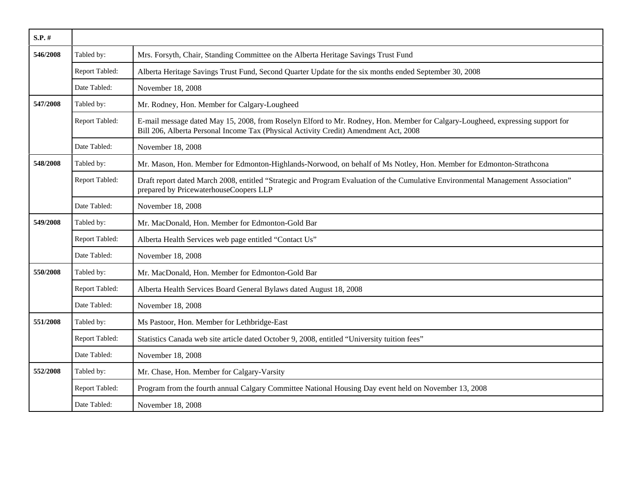| $S.P.$ # |                |                                                                                                                                                                                                                        |
|----------|----------------|------------------------------------------------------------------------------------------------------------------------------------------------------------------------------------------------------------------------|
| 546/2008 | Tabled by:     | Mrs. Forsyth, Chair, Standing Committee on the Alberta Heritage Savings Trust Fund                                                                                                                                     |
|          | Report Tabled: | Alberta Heritage Savings Trust Fund, Second Quarter Update for the six months ended September 30, 2008                                                                                                                 |
|          | Date Tabled:   | November 18, 2008                                                                                                                                                                                                      |
| 547/2008 | Tabled by:     | Mr. Rodney, Hon. Member for Calgary-Lougheed                                                                                                                                                                           |
|          | Report Tabled: | E-mail message dated May 15, 2008, from Roselyn Elford to Mr. Rodney, Hon. Member for Calgary-Lougheed, expressing support for<br>Bill 206, Alberta Personal Income Tax (Physical Activity Credit) Amendment Act, 2008 |
|          | Date Tabled:   | November 18, 2008                                                                                                                                                                                                      |
| 548/2008 | Tabled by:     | Mr. Mason, Hon. Member for Edmonton-Highlands-Norwood, on behalf of Ms Notley, Hon. Member for Edmonton-Strathcona                                                                                                     |
|          | Report Tabled: | Draft report dated March 2008, entitled "Strategic and Program Evaluation of the Cumulative Environmental Management Association"<br>prepared by PricewaterhouseCoopers LLP                                            |
|          | Date Tabled:   | November 18, 2008                                                                                                                                                                                                      |
| 549/2008 | Tabled by:     | Mr. MacDonald, Hon. Member for Edmonton-Gold Bar                                                                                                                                                                       |
|          | Report Tabled: | Alberta Health Services web page entitled "Contact Us"                                                                                                                                                                 |
|          | Date Tabled:   | November 18, 2008                                                                                                                                                                                                      |
| 550/2008 | Tabled by:     | Mr. MacDonald, Hon. Member for Edmonton-Gold Bar                                                                                                                                                                       |
|          | Report Tabled: | Alberta Health Services Board General Bylaws dated August 18, 2008                                                                                                                                                     |
|          | Date Tabled:   | November 18, 2008                                                                                                                                                                                                      |
| 551/2008 | Tabled by:     | Ms Pastoor, Hon. Member for Lethbridge-East                                                                                                                                                                            |
|          | Report Tabled: | Statistics Canada web site article dated October 9, 2008, entitled "University tuition fees"                                                                                                                           |
|          | Date Tabled:   | November 18, 2008                                                                                                                                                                                                      |
| 552/2008 | Tabled by:     | Mr. Chase, Hon. Member for Calgary-Varsity                                                                                                                                                                             |
|          | Report Tabled: | Program from the fourth annual Calgary Committee National Housing Day event held on November 13, 2008                                                                                                                  |
|          | Date Tabled:   | November 18, 2008                                                                                                                                                                                                      |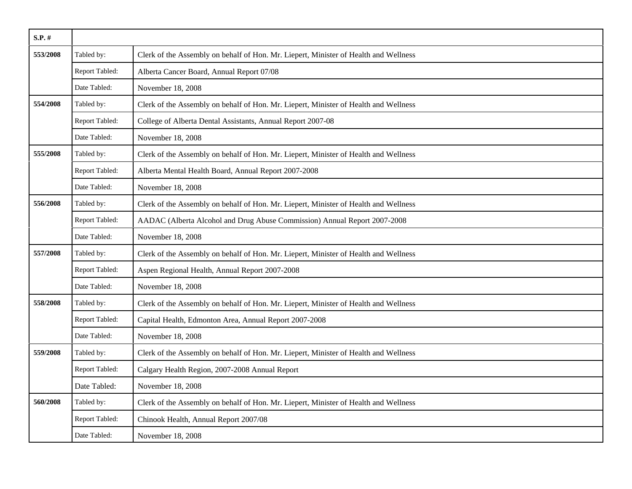| $S.P.$ # |                |                                                                                      |
|----------|----------------|--------------------------------------------------------------------------------------|
| 553/2008 | Tabled by:     | Clerk of the Assembly on behalf of Hon. Mr. Liepert, Minister of Health and Wellness |
|          | Report Tabled: | Alberta Cancer Board, Annual Report 07/08                                            |
|          | Date Tabled:   | November 18, 2008                                                                    |
| 554/2008 | Tabled by:     | Clerk of the Assembly on behalf of Hon. Mr. Liepert, Minister of Health and Wellness |
|          | Report Tabled: | College of Alberta Dental Assistants, Annual Report 2007-08                          |
|          | Date Tabled:   | November 18, 2008                                                                    |
| 555/2008 | Tabled by:     | Clerk of the Assembly on behalf of Hon. Mr. Liepert, Minister of Health and Wellness |
|          | Report Tabled: | Alberta Mental Health Board, Annual Report 2007-2008                                 |
|          | Date Tabled:   | November 18, 2008                                                                    |
| 556/2008 | Tabled by:     | Clerk of the Assembly on behalf of Hon. Mr. Liepert, Minister of Health and Wellness |
|          | Report Tabled: | AADAC (Alberta Alcohol and Drug Abuse Commission) Annual Report 2007-2008            |
|          | Date Tabled:   | November 18, 2008                                                                    |
| 557/2008 | Tabled by:     | Clerk of the Assembly on behalf of Hon. Mr. Liepert, Minister of Health and Wellness |
|          | Report Tabled: | Aspen Regional Health, Annual Report 2007-2008                                       |
|          | Date Tabled:   | November 18, 2008                                                                    |
| 558/2008 | Tabled by:     | Clerk of the Assembly on behalf of Hon. Mr. Liepert, Minister of Health and Wellness |
|          | Report Tabled: | Capital Health, Edmonton Area, Annual Report 2007-2008                               |
|          | Date Tabled:   | November 18, 2008                                                                    |
| 559/2008 | Tabled by:     | Clerk of the Assembly on behalf of Hon. Mr. Liepert, Minister of Health and Wellness |
|          | Report Tabled: | Calgary Health Region, 2007-2008 Annual Report                                       |
|          | Date Tabled:   | November 18, 2008                                                                    |
| 560/2008 | Tabled by:     | Clerk of the Assembly on behalf of Hon. Mr. Liepert, Minister of Health and Wellness |
|          | Report Tabled: | Chinook Health, Annual Report 2007/08                                                |
|          | Date Tabled:   | November 18, 2008                                                                    |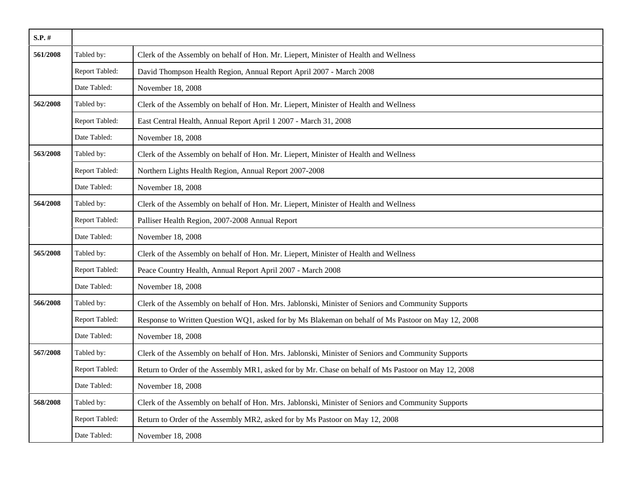| $S.P.$ # |                |                                                                                                     |
|----------|----------------|-----------------------------------------------------------------------------------------------------|
| 561/2008 | Tabled by:     | Clerk of the Assembly on behalf of Hon. Mr. Liepert, Minister of Health and Wellness                |
|          | Report Tabled: | David Thompson Health Region, Annual Report April 2007 - March 2008                                 |
|          | Date Tabled:   | November 18, 2008                                                                                   |
| 562/2008 | Tabled by:     | Clerk of the Assembly on behalf of Hon. Mr. Liepert, Minister of Health and Wellness                |
|          | Report Tabled: | East Central Health, Annual Report April 1 2007 - March 31, 2008                                    |
|          | Date Tabled:   | November 18, 2008                                                                                   |
| 563/2008 | Tabled by:     | Clerk of the Assembly on behalf of Hon. Mr. Liepert, Minister of Health and Wellness                |
|          | Report Tabled: | Northern Lights Health Region, Annual Report 2007-2008                                              |
|          | Date Tabled:   | November 18, 2008                                                                                   |
| 564/2008 | Tabled by:     | Clerk of the Assembly on behalf of Hon. Mr. Liepert, Minister of Health and Wellness                |
|          | Report Tabled: | Palliser Health Region, 2007-2008 Annual Report                                                     |
|          | Date Tabled:   | November 18, 2008                                                                                   |
| 565/2008 | Tabled by:     | Clerk of the Assembly on behalf of Hon. Mr. Liepert, Minister of Health and Wellness                |
|          | Report Tabled: | Peace Country Health, Annual Report April 2007 - March 2008                                         |
|          | Date Tabled:   | November 18, 2008                                                                                   |
| 566/2008 | Tabled by:     | Clerk of the Assembly on behalf of Hon. Mrs. Jablonski, Minister of Seniors and Community Supports  |
|          | Report Tabled: | Response to Written Question WQ1, asked for by Ms Blakeman on behalf of Ms Pastoor on May 12, 2008  |
|          | Date Tabled:   | November 18, 2008                                                                                   |
| 567/2008 | Tabled by:     | Clerk of the Assembly on behalf of Hon. Mrs. Jablonski, Minister of Seniors and Community Supports  |
|          | Report Tabled: | Return to Order of the Assembly MR1, asked for by Mr. Chase on behalf of Ms Pastoor on May 12, 2008 |
|          | Date Tabled:   | November 18, 2008                                                                                   |
| 568/2008 | Tabled by:     | Clerk of the Assembly on behalf of Hon. Mrs. Jablonski, Minister of Seniors and Community Supports  |
|          | Report Tabled: | Return to Order of the Assembly MR2, asked for by Ms Pastoor on May 12, 2008                        |
|          | Date Tabled:   | November 18, 2008                                                                                   |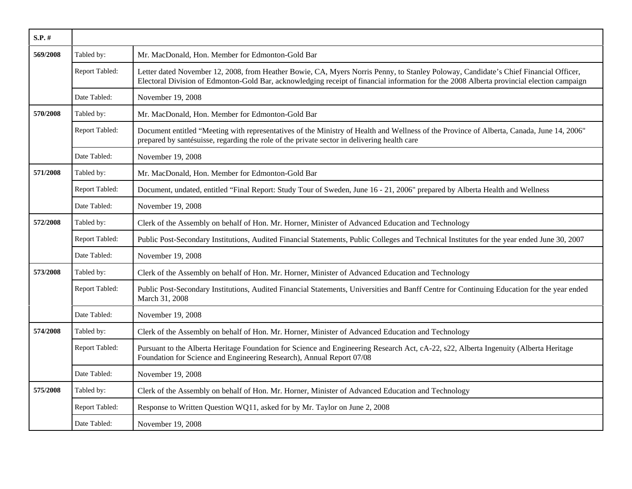| $S.P.$ # |                |                                                                                                                                                                                                                                                                                   |
|----------|----------------|-----------------------------------------------------------------------------------------------------------------------------------------------------------------------------------------------------------------------------------------------------------------------------------|
| 569/2008 | Tabled by:     | Mr. MacDonald, Hon. Member for Edmonton-Gold Bar                                                                                                                                                                                                                                  |
|          | Report Tabled: | Letter dated November 12, 2008, from Heather Bowie, CA, Myers Norris Penny, to Stanley Poloway, Candidate's Chief Financial Officer,<br>Electoral Division of Edmonton-Gold Bar, acknowledging receipt of financial information for the 2008 Alberta provincial election campaign |
|          | Date Tabled:   | November 19, 2008                                                                                                                                                                                                                                                                 |
| 570/2008 | Tabled by:     | Mr. MacDonald, Hon. Member for Edmonton-Gold Bar                                                                                                                                                                                                                                  |
|          | Report Tabled: | Document entitled "Meeting with representatives of the Ministry of Health and Wellness of the Province of Alberta, Canada, June 14, 2006"<br>prepared by santésuisse, regarding the role of the private sector in delivering health care                                          |
|          | Date Tabled:   | November 19, 2008                                                                                                                                                                                                                                                                 |
| 571/2008 | Tabled by:     | Mr. MacDonald, Hon. Member for Edmonton-Gold Bar                                                                                                                                                                                                                                  |
|          | Report Tabled: | Document, undated, entitled "Final Report: Study Tour of Sweden, June 16 - 21, 2006" prepared by Alberta Health and Wellness                                                                                                                                                      |
|          | Date Tabled:   | November 19, 2008                                                                                                                                                                                                                                                                 |
| 572/2008 | Tabled by:     | Clerk of the Assembly on behalf of Hon. Mr. Horner, Minister of Advanced Education and Technology                                                                                                                                                                                 |
|          | Report Tabled: | Public Post-Secondary Institutions, Audited Financial Statements, Public Colleges and Technical Institutes for the year ended June 30, 2007                                                                                                                                       |
|          | Date Tabled:   | November 19, 2008                                                                                                                                                                                                                                                                 |
| 573/2008 | Tabled by:     | Clerk of the Assembly on behalf of Hon. Mr. Horner, Minister of Advanced Education and Technology                                                                                                                                                                                 |
|          | Report Tabled: | Public Post-Secondary Institutions, Audited Financial Statements, Universities and Banff Centre for Continuing Education for the year ended<br>March 31, 2008                                                                                                                     |
|          | Date Tabled:   | November 19, 2008                                                                                                                                                                                                                                                                 |
| 574/2008 | Tabled by:     | Clerk of the Assembly on behalf of Hon. Mr. Horner, Minister of Advanced Education and Technology                                                                                                                                                                                 |
|          | Report Tabled: | Pursuant to the Alberta Heritage Foundation for Science and Engineering Research Act, cA-22, s22, Alberta Ingenuity (Alberta Heritage<br>Foundation for Science and Engineering Research), Annual Report 07/08                                                                    |
|          | Date Tabled:   | November 19, 2008                                                                                                                                                                                                                                                                 |
| 575/2008 | Tabled by:     | Clerk of the Assembly on behalf of Hon. Mr. Horner, Minister of Advanced Education and Technology                                                                                                                                                                                 |
|          | Report Tabled: | Response to Written Question WQ11, asked for by Mr. Taylor on June 2, 2008                                                                                                                                                                                                        |
|          | Date Tabled:   | November 19, 2008                                                                                                                                                                                                                                                                 |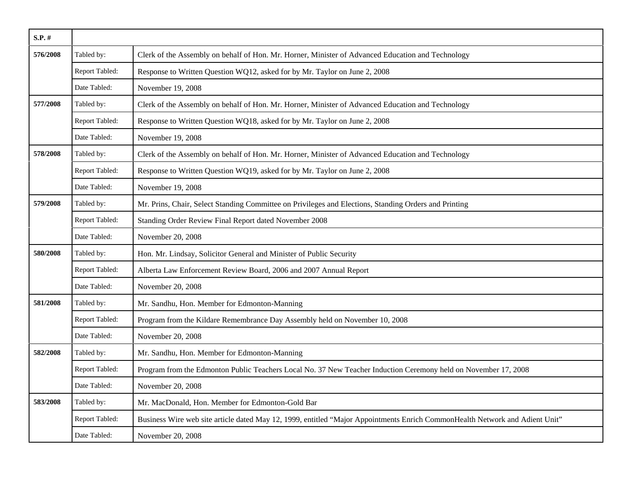| $S.P.$ # |                |                                                                                                                              |
|----------|----------------|------------------------------------------------------------------------------------------------------------------------------|
| 576/2008 | Tabled by:     | Clerk of the Assembly on behalf of Hon. Mr. Horner, Minister of Advanced Education and Technology                            |
|          | Report Tabled: | Response to Written Question WQ12, asked for by Mr. Taylor on June 2, 2008                                                   |
|          | Date Tabled:   | November 19, 2008                                                                                                            |
| 577/2008 | Tabled by:     | Clerk of the Assembly on behalf of Hon. Mr. Horner, Minister of Advanced Education and Technology                            |
|          | Report Tabled: | Response to Written Question WQ18, asked for by Mr. Taylor on June 2, 2008                                                   |
|          | Date Tabled:   | November 19, 2008                                                                                                            |
| 578/2008 | Tabled by:     | Clerk of the Assembly on behalf of Hon. Mr. Horner, Minister of Advanced Education and Technology                            |
|          | Report Tabled: | Response to Written Question WQ19, asked for by Mr. Taylor on June 2, 2008                                                   |
|          | Date Tabled:   | November 19, 2008                                                                                                            |
| 579/2008 | Tabled by:     | Mr. Prins, Chair, Select Standing Committee on Privileges and Elections, Standing Orders and Printing                        |
|          | Report Tabled: | Standing Order Review Final Report dated November 2008                                                                       |
|          | Date Tabled:   | November 20, 2008                                                                                                            |
| 580/2008 | Tabled by:     | Hon. Mr. Lindsay, Solicitor General and Minister of Public Security                                                          |
|          | Report Tabled: | Alberta Law Enforcement Review Board, 2006 and 2007 Annual Report                                                            |
|          | Date Tabled:   | November 20, 2008                                                                                                            |
| 581/2008 | Tabled by:     | Mr. Sandhu, Hon. Member for Edmonton-Manning                                                                                 |
|          | Report Tabled: | Program from the Kildare Remembrance Day Assembly held on November 10, 2008                                                  |
|          | Date Tabled:   | November 20, 2008                                                                                                            |
| 582/2008 | Tabled by:     | Mr. Sandhu, Hon. Member for Edmonton-Manning                                                                                 |
|          | Report Tabled: | Program from the Edmonton Public Teachers Local No. 37 New Teacher Induction Ceremony held on November 17, 2008              |
|          | Date Tabled:   | November 20, 2008                                                                                                            |
| 583/2008 | Tabled by:     | Mr. MacDonald, Hon. Member for Edmonton-Gold Bar                                                                             |
|          | Report Tabled: | Business Wire web site article dated May 12, 1999, entitled "Major Appointments Enrich CommonHealth Network and Adient Unit" |
|          | Date Tabled:   | November 20, 2008                                                                                                            |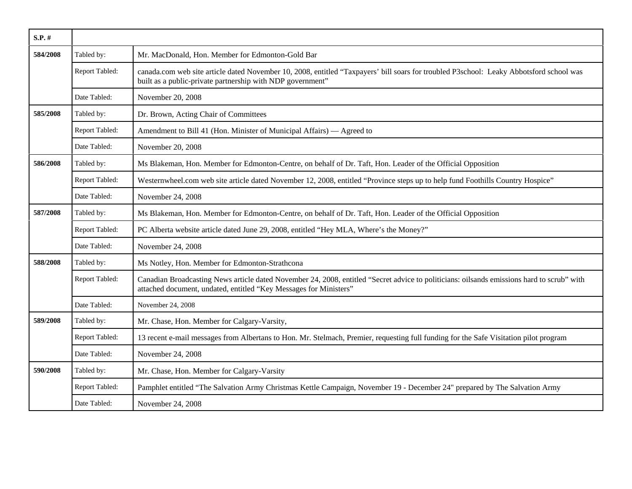| $S.P.$ # |                |                                                                                                                                                                                                                 |
|----------|----------------|-----------------------------------------------------------------------------------------------------------------------------------------------------------------------------------------------------------------|
| 584/2008 | Tabled by:     | Mr. MacDonald, Hon. Member for Edmonton-Gold Bar                                                                                                                                                                |
|          | Report Tabled: | canada.com web site article dated November 10, 2008, entitled "Taxpayers' bill soars for troubled P3school: Leaky Abbotsford school was<br>built as a public-private partnership with NDP government"           |
|          | Date Tabled:   | November 20, 2008                                                                                                                                                                                               |
| 585/2008 | Tabled by:     | Dr. Brown, Acting Chair of Committees                                                                                                                                                                           |
|          | Report Tabled: | Amendment to Bill 41 (Hon. Minister of Municipal Affairs) — Agreed to                                                                                                                                           |
|          | Date Tabled:   | November 20, 2008                                                                                                                                                                                               |
| 586/2008 | Tabled by:     | Ms Blakeman, Hon. Member for Edmonton-Centre, on behalf of Dr. Taft, Hon. Leader of the Official Opposition                                                                                                     |
|          | Report Tabled: | Westernwheel.com web site article dated November 12, 2008, entitled "Province steps up to help fund Foothills Country Hospice"                                                                                  |
|          | Date Tabled:   | November 24, 2008                                                                                                                                                                                               |
| 587/2008 | Tabled by:     | Ms Blakeman, Hon. Member for Edmonton-Centre, on behalf of Dr. Taft, Hon. Leader of the Official Opposition                                                                                                     |
|          | Report Tabled: | PC Alberta website article dated June 29, 2008, entitled "Hey MLA, Where's the Money?"                                                                                                                          |
|          | Date Tabled:   | November 24, 2008                                                                                                                                                                                               |
| 588/2008 | Tabled by:     | Ms Notley, Hon. Member for Edmonton-Strathcona                                                                                                                                                                  |
|          | Report Tabled: | Canadian Broadcasting News article dated November 24, 2008, entitled "Secret advice to politicians: oilsands emissions hard to scrub" with<br>attached document, undated, entitled "Key Messages for Ministers" |
|          | Date Tabled:   | November 24, 2008                                                                                                                                                                                               |
| 589/2008 | Tabled by:     | Mr. Chase, Hon. Member for Calgary-Varsity,                                                                                                                                                                     |
|          | Report Tabled: | 13 recent e-mail messages from Albertans to Hon. Mr. Stelmach, Premier, requesting full funding for the Safe Visitation pilot program                                                                           |
|          | Date Tabled:   | November 24, 2008                                                                                                                                                                                               |
| 590/2008 | Tabled by:     | Mr. Chase, Hon. Member for Calgary-Varsity                                                                                                                                                                      |
|          | Report Tabled: | Pamphlet entitled "The Salvation Army Christmas Kettle Campaign, November 19 - December 24" prepared by The Salvation Army                                                                                      |
|          | Date Tabled:   | November 24, 2008                                                                                                                                                                                               |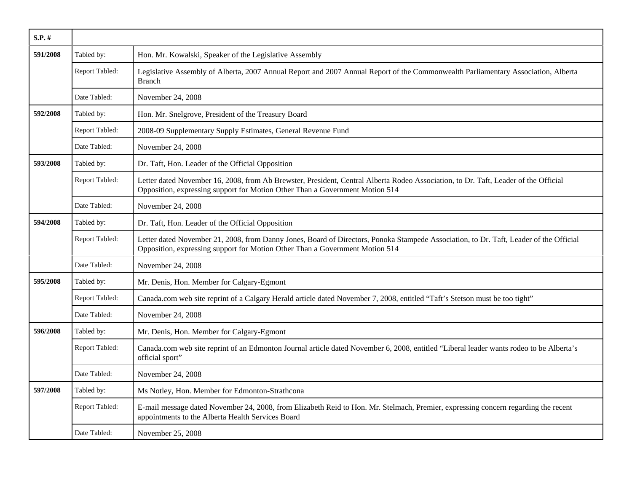| $S.P.$ # |                |                                                                                                                                                                                                                        |
|----------|----------------|------------------------------------------------------------------------------------------------------------------------------------------------------------------------------------------------------------------------|
| 591/2008 | Tabled by:     | Hon. Mr. Kowalski, Speaker of the Legislative Assembly                                                                                                                                                                 |
|          | Report Tabled: | Legislative Assembly of Alberta, 2007 Annual Report and 2007 Annual Report of the Commonwealth Parliamentary Association, Alberta<br><b>Branch</b>                                                                     |
|          | Date Tabled:   | November 24, 2008                                                                                                                                                                                                      |
| 592/2008 | Tabled by:     | Hon. Mr. Snelgrove, President of the Treasury Board                                                                                                                                                                    |
|          | Report Tabled: | 2008-09 Supplementary Supply Estimates, General Revenue Fund                                                                                                                                                           |
|          | Date Tabled:   | November 24, 2008                                                                                                                                                                                                      |
| 593/2008 | Tabled by:     | Dr. Taft, Hon. Leader of the Official Opposition                                                                                                                                                                       |
|          | Report Tabled: | Letter dated November 16, 2008, from Ab Brewster, President, Central Alberta Rodeo Association, to Dr. Taft, Leader of the Official<br>Opposition, expressing support for Motion Other Than a Government Motion 514    |
|          | Date Tabled:   | November 24, 2008                                                                                                                                                                                                      |
| 594/2008 | Tabled by:     | Dr. Taft, Hon. Leader of the Official Opposition                                                                                                                                                                       |
|          | Report Tabled: | Letter dated November 21, 2008, from Danny Jones, Board of Directors, Ponoka Stampede Association, to Dr. Taft, Leader of the Official<br>Opposition, expressing support for Motion Other Than a Government Motion 514 |
|          | Date Tabled:   | November 24, 2008                                                                                                                                                                                                      |
| 595/2008 | Tabled by:     | Mr. Denis, Hon. Member for Calgary-Egmont                                                                                                                                                                              |
|          | Report Tabled: | Canada.com web site reprint of a Calgary Herald article dated November 7, 2008, entitled "Taft's Stetson must be too tight"                                                                                            |
|          | Date Tabled:   | November 24, 2008                                                                                                                                                                                                      |
| 596/2008 | Tabled by:     | Mr. Denis, Hon. Member for Calgary-Egmont                                                                                                                                                                              |
|          | Report Tabled: | Canada.com web site reprint of an Edmonton Journal article dated November 6, 2008, entitled "Liberal leader wants rodeo to be Alberta's<br>official sport"                                                             |
|          | Date Tabled:   | November 24, 2008                                                                                                                                                                                                      |
| 597/2008 | Tabled by:     | Ms Notley, Hon. Member for Edmonton-Strathcona                                                                                                                                                                         |
|          | Report Tabled: | E-mail message dated November 24, 2008, from Elizabeth Reid to Hon. Mr. Stelmach, Premier, expressing concern regarding the recent<br>appointments to the Alberta Health Services Board                                |
|          | Date Tabled:   | November 25, 2008                                                                                                                                                                                                      |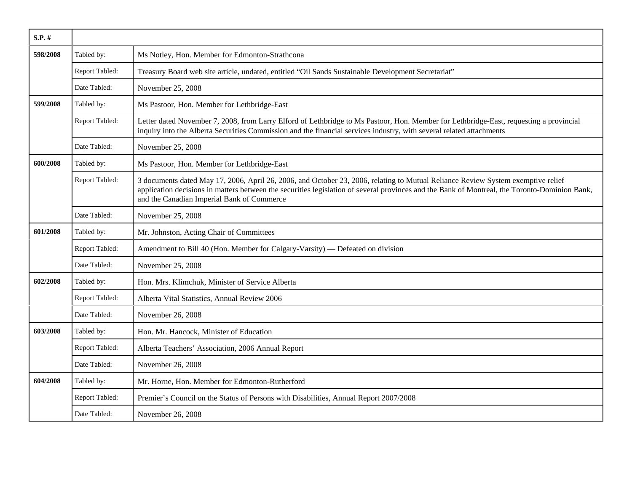| $S.P.$ # |                |                                                                                                                                                                                                                                                                                                                                 |
|----------|----------------|---------------------------------------------------------------------------------------------------------------------------------------------------------------------------------------------------------------------------------------------------------------------------------------------------------------------------------|
| 598/2008 | Tabled by:     | Ms Notley, Hon. Member for Edmonton-Strathcona                                                                                                                                                                                                                                                                                  |
|          | Report Tabled: | Treasury Board web site article, undated, entitled "Oil Sands Sustainable Development Secretariat"                                                                                                                                                                                                                              |
|          | Date Tabled:   | November 25, 2008                                                                                                                                                                                                                                                                                                               |
| 599/2008 | Tabled by:     | Ms Pastoor, Hon. Member for Lethbridge-East                                                                                                                                                                                                                                                                                     |
|          | Report Tabled: | Letter dated November 7, 2008, from Larry Elford of Lethbridge to Ms Pastoor, Hon. Member for Lethbridge-East, requesting a provincial<br>inquiry into the Alberta Securities Commission and the financial services industry, with several related attachments                                                                  |
|          | Date Tabled:   | November 25, 2008                                                                                                                                                                                                                                                                                                               |
| 600/2008 | Tabled by:     | Ms Pastoor, Hon. Member for Lethbridge-East                                                                                                                                                                                                                                                                                     |
|          | Report Tabled: | 3 documents dated May 17, 2006, April 26, 2006, and October 23, 2006, relating to Mutual Reliance Review System exemptive relief<br>application decisions in matters between the securities legislation of several provinces and the Bank of Montreal, the Toronto-Dominion Bank,<br>and the Canadian Imperial Bank of Commerce |
|          | Date Tabled:   | November 25, 2008                                                                                                                                                                                                                                                                                                               |
| 601/2008 | Tabled by:     | Mr. Johnston, Acting Chair of Committees                                                                                                                                                                                                                                                                                        |
|          | Report Tabled: | Amendment to Bill 40 (Hon. Member for Calgary-Varsity) — Defeated on division                                                                                                                                                                                                                                                   |
|          | Date Tabled:   | November 25, 2008                                                                                                                                                                                                                                                                                                               |
| 602/2008 | Tabled by:     | Hon. Mrs. Klimchuk, Minister of Service Alberta                                                                                                                                                                                                                                                                                 |
|          | Report Tabled: | Alberta Vital Statistics, Annual Review 2006                                                                                                                                                                                                                                                                                    |
|          | Date Tabled:   | November 26, 2008                                                                                                                                                                                                                                                                                                               |
| 603/2008 | Tabled by:     | Hon. Mr. Hancock, Minister of Education                                                                                                                                                                                                                                                                                         |
|          | Report Tabled: | Alberta Teachers' Association, 2006 Annual Report                                                                                                                                                                                                                                                                               |
|          | Date Tabled:   | November 26, 2008                                                                                                                                                                                                                                                                                                               |
| 604/2008 | Tabled by:     | Mr. Horne, Hon. Member for Edmonton-Rutherford                                                                                                                                                                                                                                                                                  |
|          | Report Tabled: | Premier's Council on the Status of Persons with Disabilities, Annual Report 2007/2008                                                                                                                                                                                                                                           |
|          | Date Tabled:   | November 26, 2008                                                                                                                                                                                                                                                                                                               |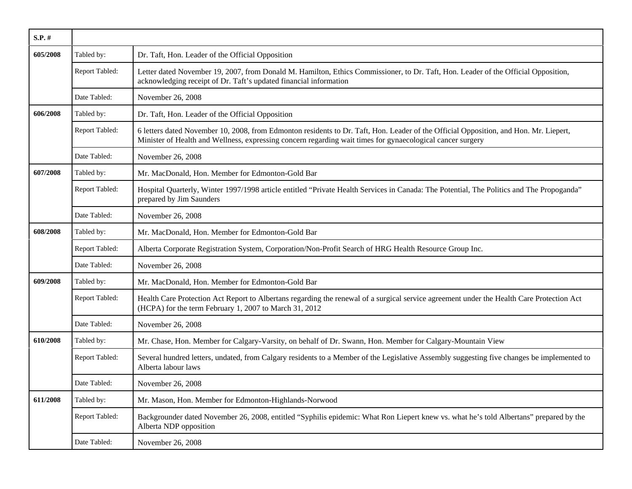| $S.P.$ # |                |                                                                                                                                                                                                                                                     |
|----------|----------------|-----------------------------------------------------------------------------------------------------------------------------------------------------------------------------------------------------------------------------------------------------|
| 605/2008 | Tabled by:     | Dr. Taft, Hon. Leader of the Official Opposition                                                                                                                                                                                                    |
|          | Report Tabled: | Letter dated November 19, 2007, from Donald M. Hamilton, Ethics Commissioner, to Dr. Taft, Hon. Leader of the Official Opposition,<br>acknowledging receipt of Dr. Taft's updated financial information                                             |
|          | Date Tabled:   | November 26, 2008                                                                                                                                                                                                                                   |
| 606/2008 | Tabled by:     | Dr. Taft, Hon. Leader of the Official Opposition                                                                                                                                                                                                    |
|          | Report Tabled: | 6 letters dated November 10, 2008, from Edmonton residents to Dr. Taft, Hon. Leader of the Official Opposition, and Hon. Mr. Liepert,<br>Minister of Health and Wellness, expressing concern regarding wait times for gynaecological cancer surgery |
|          | Date Tabled:   | November 26, 2008                                                                                                                                                                                                                                   |
| 607/2008 | Tabled by:     | Mr. MacDonald, Hon. Member for Edmonton-Gold Bar                                                                                                                                                                                                    |
|          | Report Tabled: | Hospital Quarterly, Winter 1997/1998 article entitled "Private Health Services in Canada: The Potential, The Politics and The Propoganda"<br>prepared by Jim Saunders                                                                               |
|          | Date Tabled:   | November 26, 2008                                                                                                                                                                                                                                   |
| 608/2008 | Tabled by:     | Mr. MacDonald, Hon. Member for Edmonton-Gold Bar                                                                                                                                                                                                    |
|          | Report Tabled: | Alberta Corporate Registration System, Corporation/Non-Profit Search of HRG Health Resource Group Inc.                                                                                                                                              |
|          | Date Tabled:   | November 26, 2008                                                                                                                                                                                                                                   |
| 609/2008 | Tabled by:     | Mr. MacDonald, Hon. Member for Edmonton-Gold Bar                                                                                                                                                                                                    |
|          | Report Tabled: | Health Care Protection Act Report to Albertans regarding the renewal of a surgical service agreement under the Health Care Protection Act<br>(HCPA) for the term February 1, 2007 to March 31, 2012                                                 |
|          | Date Tabled:   | November 26, 2008                                                                                                                                                                                                                                   |
| 610/2008 | Tabled by:     | Mr. Chase, Hon. Member for Calgary-Varsity, on behalf of Dr. Swann, Hon. Member for Calgary-Mountain View                                                                                                                                           |
|          | Report Tabled: | Several hundred letters, undated, from Calgary residents to a Member of the Legislative Assembly suggesting five changes be implemented to<br>Alberta labour laws                                                                                   |
|          | Date Tabled:   | November 26, 2008                                                                                                                                                                                                                                   |
| 611/2008 | Tabled by:     | Mr. Mason, Hon. Member for Edmonton-Highlands-Norwood                                                                                                                                                                                               |
|          | Report Tabled: | Backgrounder dated November 26, 2008, entitled "Syphilis epidemic: What Ron Liepert knew vs. what he's told Albertans" prepared by the<br>Alberta NDP opposition                                                                                    |
|          | Date Tabled:   | November 26, 2008                                                                                                                                                                                                                                   |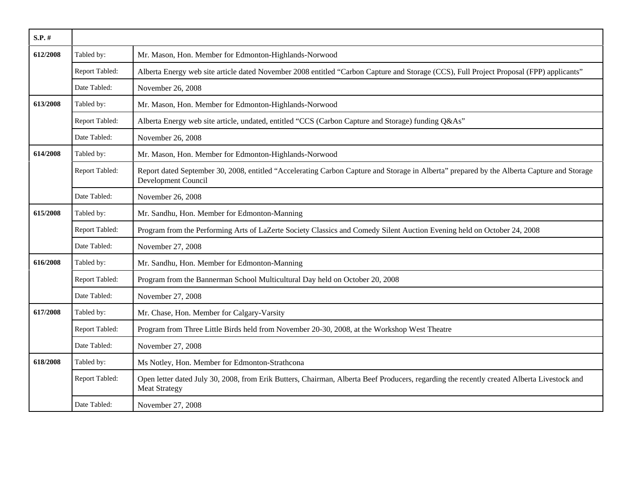| $S.P.$ # |                |                                                                                                                                                                    |
|----------|----------------|--------------------------------------------------------------------------------------------------------------------------------------------------------------------|
| 612/2008 | Tabled by:     | Mr. Mason, Hon. Member for Edmonton-Highlands-Norwood                                                                                                              |
|          | Report Tabled: | Alberta Energy web site article dated November 2008 entitled "Carbon Capture and Storage (CCS), Full Project Proposal (FPP) applicants"                            |
|          | Date Tabled:   | November 26, 2008                                                                                                                                                  |
| 613/2008 | Tabled by:     | Mr. Mason, Hon. Member for Edmonton-Highlands-Norwood                                                                                                              |
|          | Report Tabled: | Alberta Energy web site article, undated, entitled "CCS (Carbon Capture and Storage) funding Q&As"                                                                 |
|          | Date Tabled:   | November 26, 2008                                                                                                                                                  |
| 614/2008 | Tabled by:     | Mr. Mason, Hon. Member for Edmonton-Highlands-Norwood                                                                                                              |
|          | Report Tabled: | Report dated September 30, 2008, entitled "Accelerating Carbon Capture and Storage in Alberta" prepared by the Alberta Capture and Storage<br>Development Council  |
|          | Date Tabled:   | November 26, 2008                                                                                                                                                  |
| 615/2008 | Tabled by:     | Mr. Sandhu, Hon. Member for Edmonton-Manning                                                                                                                       |
|          | Report Tabled: | Program from the Performing Arts of LaZerte Society Classics and Comedy Silent Auction Evening held on October 24, 2008                                            |
|          | Date Tabled:   | November 27, 2008                                                                                                                                                  |
| 616/2008 | Tabled by:     | Mr. Sandhu, Hon. Member for Edmonton-Manning                                                                                                                       |
|          | Report Tabled: | Program from the Bannerman School Multicultural Day held on October 20, 2008                                                                                       |
|          | Date Tabled:   | November 27, 2008                                                                                                                                                  |
| 617/2008 | Tabled by:     | Mr. Chase, Hon. Member for Calgary-Varsity                                                                                                                         |
|          | Report Tabled: | Program from Three Little Birds held from November 20-30, 2008, at the Workshop West Theatre                                                                       |
|          | Date Tabled:   | November 27, 2008                                                                                                                                                  |
| 618/2008 | Tabled by:     | Ms Notley, Hon. Member for Edmonton-Strathcona                                                                                                                     |
|          | Report Tabled: | Open letter dated July 30, 2008, from Erik Butters, Chairman, Alberta Beef Producers, regarding the recently created Alberta Livestock and<br><b>Meat Strategy</b> |
|          | Date Tabled:   | November 27, 2008                                                                                                                                                  |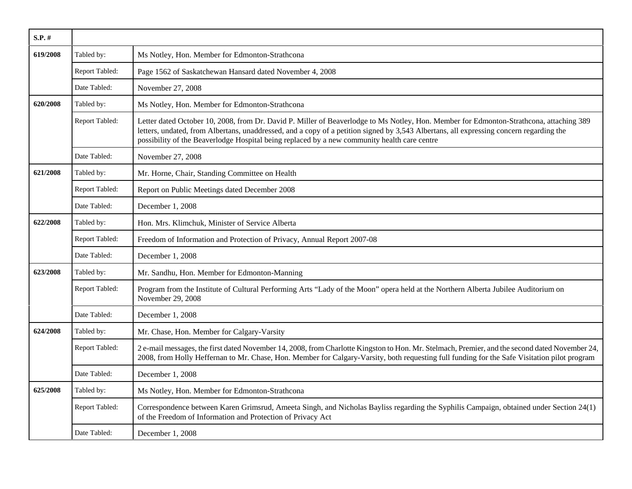| $S.P.$ # |                |                                                                                                                                                                                                                                                                                                                                                                                    |
|----------|----------------|------------------------------------------------------------------------------------------------------------------------------------------------------------------------------------------------------------------------------------------------------------------------------------------------------------------------------------------------------------------------------------|
| 619/2008 | Tabled by:     | Ms Notley, Hon. Member for Edmonton-Strathcona                                                                                                                                                                                                                                                                                                                                     |
|          | Report Tabled: | Page 1562 of Saskatchewan Hansard dated November 4, 2008                                                                                                                                                                                                                                                                                                                           |
|          | Date Tabled:   | November 27, 2008                                                                                                                                                                                                                                                                                                                                                                  |
| 620/2008 | Tabled by:     | Ms Notley, Hon. Member for Edmonton-Strathcona                                                                                                                                                                                                                                                                                                                                     |
|          | Report Tabled: | Letter dated October 10, 2008, from Dr. David P. Miller of Beaverlodge to Ms Notley, Hon. Member for Edmonton-Strathcona, attaching 389<br>letters, undated, from Albertans, unaddressed, and a copy of a petition signed by 3,543 Albertans, all expressing concern regarding the<br>possibility of the Beaverlodge Hospital being replaced by a new community health care centre |
|          | Date Tabled:   | November 27, 2008                                                                                                                                                                                                                                                                                                                                                                  |
| 621/2008 | Tabled by:     | Mr. Horne, Chair, Standing Committee on Health                                                                                                                                                                                                                                                                                                                                     |
|          | Report Tabled: | Report on Public Meetings dated December 2008                                                                                                                                                                                                                                                                                                                                      |
|          | Date Tabled:   | December 1, 2008                                                                                                                                                                                                                                                                                                                                                                   |
| 622/2008 | Tabled by:     | Hon. Mrs. Klimchuk, Minister of Service Alberta                                                                                                                                                                                                                                                                                                                                    |
|          | Report Tabled: | Freedom of Information and Protection of Privacy, Annual Report 2007-08                                                                                                                                                                                                                                                                                                            |
|          | Date Tabled:   | December 1, 2008                                                                                                                                                                                                                                                                                                                                                                   |
| 623/2008 | Tabled by:     | Mr. Sandhu, Hon. Member for Edmonton-Manning                                                                                                                                                                                                                                                                                                                                       |
|          | Report Tabled: | Program from the Institute of Cultural Performing Arts "Lady of the Moon" opera held at the Northern Alberta Jubilee Auditorium on<br>November 29, 2008                                                                                                                                                                                                                            |
|          | Date Tabled:   | December 1, 2008                                                                                                                                                                                                                                                                                                                                                                   |
| 624/2008 | Tabled by:     | Mr. Chase, Hon. Member for Calgary-Varsity                                                                                                                                                                                                                                                                                                                                         |
|          | Report Tabled: | 2 e-mail messages, the first dated November 14, 2008, from Charlotte Kingston to Hon. Mr. Stelmach, Premier, and the second dated November 24,<br>2008, from Holly Heffernan to Mr. Chase, Hon. Member for Calgary-Varsity, both requesting full funding for the Safe Visitation pilot program                                                                                     |
|          | Date Tabled:   | December 1, 2008                                                                                                                                                                                                                                                                                                                                                                   |
| 625/2008 | Tabled by:     | Ms Notley, Hon. Member for Edmonton-Strathcona                                                                                                                                                                                                                                                                                                                                     |
|          | Report Tabled: | Correspondence between Karen Grimsrud, Ameeta Singh, and Nicholas Bayliss regarding the Syphilis Campaign, obtained under Section 24(1)<br>of the Freedom of Information and Protection of Privacy Act                                                                                                                                                                             |
|          | Date Tabled:   | December 1, 2008                                                                                                                                                                                                                                                                                                                                                                   |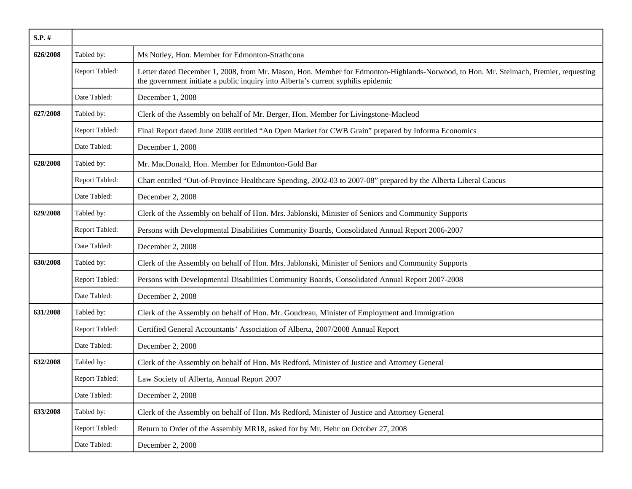| $S.P.$ # |                |                                                                                                                                                                                                                           |
|----------|----------------|---------------------------------------------------------------------------------------------------------------------------------------------------------------------------------------------------------------------------|
| 626/2008 | Tabled by:     | Ms Notley, Hon. Member for Edmonton-Strathcona                                                                                                                                                                            |
|          | Report Tabled: | Letter dated December 1, 2008, from Mr. Mason, Hon. Member for Edmonton-Highlands-Norwood, to Hon. Mr. Stelmach, Premier, requesting<br>the government initiate a public inquiry into Alberta's current syphilis epidemic |
|          | Date Tabled:   | December 1, 2008                                                                                                                                                                                                          |
| 627/2008 | Tabled by:     | Clerk of the Assembly on behalf of Mr. Berger, Hon. Member for Livingstone-Macleod                                                                                                                                        |
|          | Report Tabled: | Final Report dated June 2008 entitled "An Open Market for CWB Grain" prepared by Informa Economics                                                                                                                        |
|          | Date Tabled:   | December 1, 2008                                                                                                                                                                                                          |
| 628/2008 | Tabled by:     | Mr. MacDonald, Hon. Member for Edmonton-Gold Bar                                                                                                                                                                          |
|          | Report Tabled: | Chart entitled "Out-of-Province Healthcare Spending, 2002-03 to 2007-08" prepared by the Alberta Liberal Caucus                                                                                                           |
|          | Date Tabled:   | December 2, 2008                                                                                                                                                                                                          |
| 629/2008 | Tabled by:     | Clerk of the Assembly on behalf of Hon. Mrs. Jablonski, Minister of Seniors and Community Supports                                                                                                                        |
|          | Report Tabled: | Persons with Developmental Disabilities Community Boards, Consolidated Annual Report 2006-2007                                                                                                                            |
|          | Date Tabled:   | December 2, 2008                                                                                                                                                                                                          |
| 630/2008 | Tabled by:     | Clerk of the Assembly on behalf of Hon. Mrs. Jablonski, Minister of Seniors and Community Supports                                                                                                                        |
|          | Report Tabled: | Persons with Developmental Disabilities Community Boards, Consolidated Annual Report 2007-2008                                                                                                                            |
|          | Date Tabled:   | December 2, 2008                                                                                                                                                                                                          |
| 631/2008 | Tabled by:     | Clerk of the Assembly on behalf of Hon. Mr. Goudreau, Minister of Employment and Immigration                                                                                                                              |
|          | Report Tabled: | Certified General Accountants' Association of Alberta, 2007/2008 Annual Report                                                                                                                                            |
|          | Date Tabled:   | December 2, 2008                                                                                                                                                                                                          |
| 632/2008 | Tabled by:     | Clerk of the Assembly on behalf of Hon. Ms Redford, Minister of Justice and Attorney General                                                                                                                              |
|          | Report Tabled: | Law Society of Alberta, Annual Report 2007                                                                                                                                                                                |
|          | Date Tabled:   | December 2, 2008                                                                                                                                                                                                          |
| 633/2008 | Tabled by:     | Clerk of the Assembly on behalf of Hon. Ms Redford, Minister of Justice and Attorney General                                                                                                                              |
|          | Report Tabled: | Return to Order of the Assembly MR18, asked for by Mr. Hehr on October 27, 2008                                                                                                                                           |
|          | Date Tabled:   | December 2, 2008                                                                                                                                                                                                          |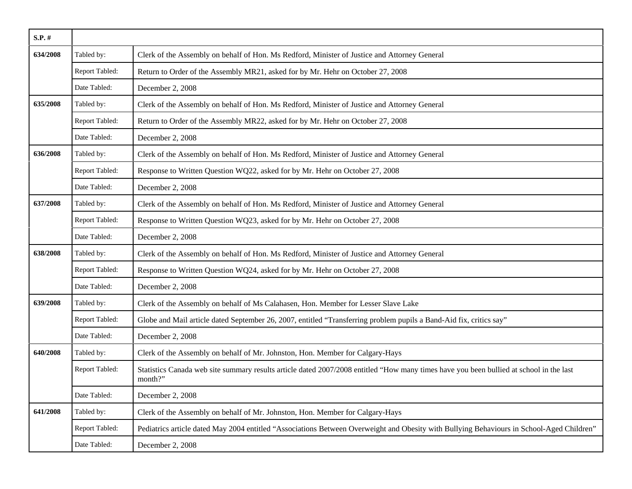| $S.P.$ # |                |                                                                                                                                                    |
|----------|----------------|----------------------------------------------------------------------------------------------------------------------------------------------------|
| 634/2008 | Tabled by:     | Clerk of the Assembly on behalf of Hon. Ms Redford, Minister of Justice and Attorney General                                                       |
|          | Report Tabled: | Return to Order of the Assembly MR21, asked for by Mr. Hehr on October 27, 2008                                                                    |
|          | Date Tabled:   | December 2, 2008                                                                                                                                   |
| 635/2008 | Tabled by:     | Clerk of the Assembly on behalf of Hon. Ms Redford, Minister of Justice and Attorney General                                                       |
|          | Report Tabled: | Return to Order of the Assembly MR22, asked for by Mr. Hehr on October 27, 2008                                                                    |
|          | Date Tabled:   | December 2, 2008                                                                                                                                   |
| 636/2008 | Tabled by:     | Clerk of the Assembly on behalf of Hon. Ms Redford, Minister of Justice and Attorney General                                                       |
|          | Report Tabled: | Response to Written Question WQ22, asked for by Mr. Hehr on October 27, 2008                                                                       |
|          | Date Tabled:   | December 2, 2008                                                                                                                                   |
| 637/2008 | Tabled by:     | Clerk of the Assembly on behalf of Hon. Ms Redford, Minister of Justice and Attorney General                                                       |
|          | Report Tabled: | Response to Written Question WQ23, asked for by Mr. Hehr on October 27, 2008                                                                       |
|          | Date Tabled:   | December 2, 2008                                                                                                                                   |
| 638/2008 | Tabled by:     | Clerk of the Assembly on behalf of Hon. Ms Redford, Minister of Justice and Attorney General                                                       |
|          | Report Tabled: | Response to Written Question WQ24, asked for by Mr. Hehr on October 27, 2008                                                                       |
|          | Date Tabled:   | December 2, 2008                                                                                                                                   |
| 639/2008 | Tabled by:     | Clerk of the Assembly on behalf of Ms Calahasen, Hon. Member for Lesser Slave Lake                                                                 |
|          | Report Tabled: | Globe and Mail article dated September 26, 2007, entitled "Transferring problem pupils a Band-Aid fix, critics say"                                |
|          | Date Tabled:   | December 2, 2008                                                                                                                                   |
| 640/2008 | Tabled by:     | Clerk of the Assembly on behalf of Mr. Johnston, Hon. Member for Calgary-Hays                                                                      |
|          | Report Tabled: | Statistics Canada web site summary results article dated 2007/2008 entitled "How many times have you been bullied at school in the last<br>month?" |
|          | Date Tabled:   | December 2, 2008                                                                                                                                   |
| 641/2008 | Tabled by:     | Clerk of the Assembly on behalf of Mr. Johnston, Hon. Member for Calgary-Hays                                                                      |
|          | Report Tabled: | Pediatrics article dated May 2004 entitled "Associations Between Overweight and Obesity with Bullying Behaviours in School-Aged Children"          |
|          | Date Tabled:   | December 2, 2008                                                                                                                                   |